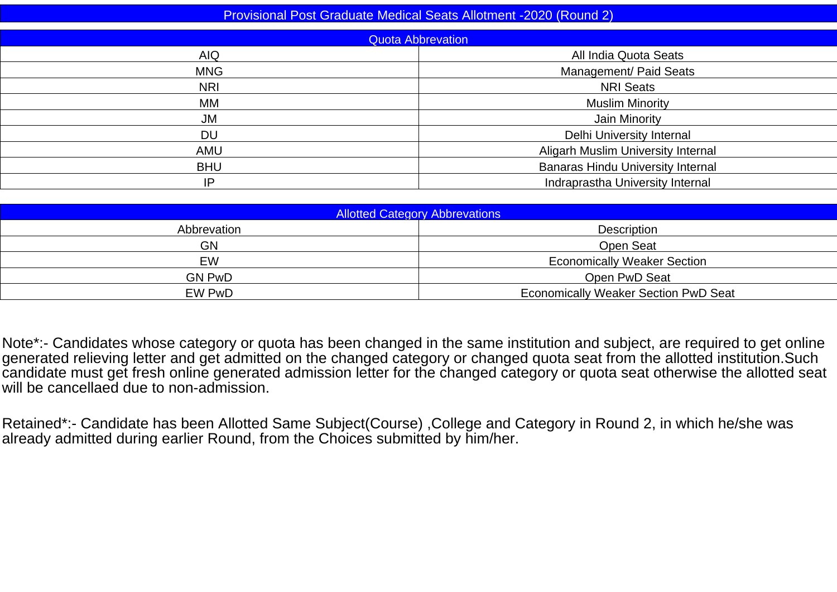| <b>Provisional Post Graduate Medical Seats Allotment -2020 (Round 2)</b> |                                           |  |  |  |  |  |  |  |  |
|--------------------------------------------------------------------------|-------------------------------------------|--|--|--|--|--|--|--|--|
|                                                                          | <b>Quota Abbrevation</b>                  |  |  |  |  |  |  |  |  |
| <b>AIQ</b>                                                               | All India Quota Seats                     |  |  |  |  |  |  |  |  |
| <b>MNG</b>                                                               | Management/ Paid Seats                    |  |  |  |  |  |  |  |  |
| <b>NRI</b>                                                               | <b>NRI Seats</b>                          |  |  |  |  |  |  |  |  |
| МM                                                                       | <b>Muslim Minority</b>                    |  |  |  |  |  |  |  |  |
| <b>JM</b>                                                                | Jain Minority                             |  |  |  |  |  |  |  |  |
| <b>DU</b>                                                                | Delhi University Internal                 |  |  |  |  |  |  |  |  |
| <b>AMU</b>                                                               | <b>Aligarh Muslim University Internal</b> |  |  |  |  |  |  |  |  |
| <b>BHU</b>                                                               | <b>Banaras Hindu University Internal</b>  |  |  |  |  |  |  |  |  |
| Indraprastha University Internal<br>IP                                   |                                           |  |  |  |  |  |  |  |  |
|                                                                          |                                           |  |  |  |  |  |  |  |  |

| <b>Allotted Category Abbrevations</b> |                                             |  |  |  |  |  |  |  |  |
|---------------------------------------|---------------------------------------------|--|--|--|--|--|--|--|--|
| Abbrevation                           | Description                                 |  |  |  |  |  |  |  |  |
| <b>GN</b>                             | Open Seat                                   |  |  |  |  |  |  |  |  |
| EW                                    | <b>Economically Weaker Section</b>          |  |  |  |  |  |  |  |  |
| <b>GN PwD</b>                         | Open PwD Seat                               |  |  |  |  |  |  |  |  |
| EW PwD                                | <b>Economically Weaker Section PwD Seat</b> |  |  |  |  |  |  |  |  |
|                                       |                                             |  |  |  |  |  |  |  |  |

Note\*:- Candidates whose category or quota has been changed in the same institution and subject, are required to get onlinegenerated relieving letter and get admitted on the changed category or changed quota seat from the allotted institution.Such<br>candidate must get fresh online generated admission letter for the changed category or quota seat will be cancellaed due to non-admission.

Retained\*:- Candidate has been Allotted Same Subject(Course) ,College and Category in Round 2, in which he/she wasalready admitted during earlier Round, from the Choices submitted by him/her.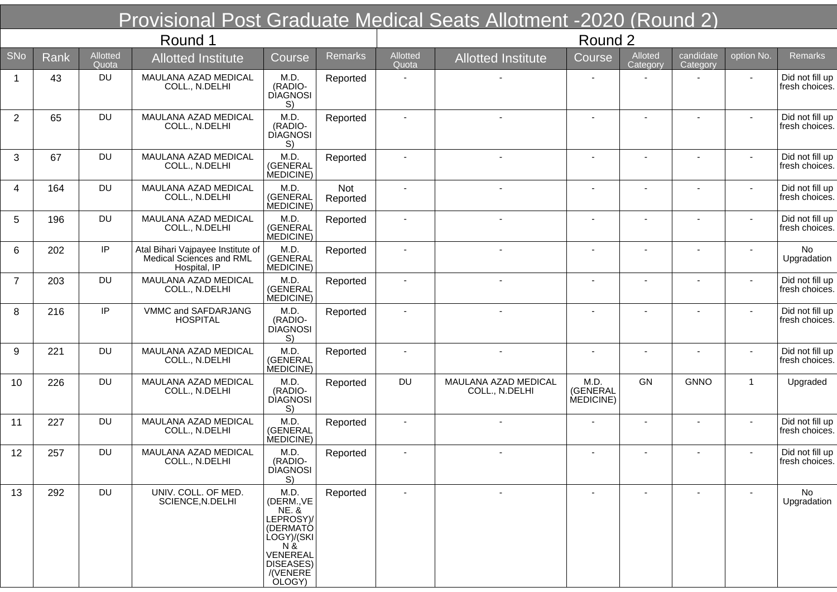|                |      |                   | Provisional Post Graduate Medical Seats Allotment -2020 (Round 2)             |                                                                                                                                      |                 |                   |                                        |                               |                          |                          |                          |                                   |
|----------------|------|-------------------|-------------------------------------------------------------------------------|--------------------------------------------------------------------------------------------------------------------------------------|-----------------|-------------------|----------------------------------------|-------------------------------|--------------------------|--------------------------|--------------------------|-----------------------------------|
|                |      |                   | Round 1                                                                       |                                                                                                                                      |                 |                   |                                        | Round 2                       |                          |                          |                          |                                   |
| <b>SNo</b>     | Rank | Allotted<br>Quota | <b>Allotted Institute</b>                                                     | Course                                                                                                                               | <b>Remarks</b>  | Allotted<br>Quota | <b>Allotted Institute</b>              | Course                        | Alloted<br>Category      | candidate<br>Category    | option No.               | <b>Remarks</b>                    |
| -1             | 43   | <b>DU</b>         | MAULANA AZAD MEDICAL<br>COLL., N.DELHI                                        | M.D.<br>(RADIO-<br><b>DIAGNOSI</b><br>S)                                                                                             | Reported        |                   |                                        |                               |                          |                          | $\blacksquare$           | Did not fill up<br>fresh choices. |
| $\overline{2}$ | 65   | <b>DU</b>         | MAULANA AZAD MEDICAL<br>COLL., N.DELHI                                        | M.D.<br>(RADIO-<br><b>DIAGNOSI</b><br>S)                                                                                             | Reported        |                   |                                        |                               |                          |                          |                          | Did not fill up<br>fresh choices. |
| 3              | 67   | <b>DU</b>         | MAULANA AZAD MEDICAL<br>COLL., N.DELHI                                        | M.D.<br>(GENERAL<br>MEDICINE)                                                                                                        | Reported        |                   |                                        |                               |                          |                          | $\overline{\phantom{a}}$ | Did not fill up<br>fresh choices. |
| 4              | 164  | <b>DU</b>         | MAULANA AZAD MEDICAL<br>COLL., N.DELHI                                        | M.D.<br>(GENERAL<br>MEDICINE)                                                                                                        | Not<br>Reported |                   |                                        |                               |                          |                          |                          | Did not fill up<br>fresh choices. |
| 5              | 196  | <b>DU</b>         | MAULANA AZAD MEDICAL<br>COLL., N.DELHI                                        | M.D.<br>(GENERAL<br>MEDICINE)                                                                                                        | Reported        |                   |                                        |                               |                          | $\blacksquare$           |                          | Did not fill up<br>fresh choices. |
| 6              | 202  | IP                | Atal Bihari Vajpayee Institute of<br>Medical Sciences and RML<br>Hospital, IP | M.D.<br>(GENERAL<br>MEDICINE)                                                                                                        | Reported        |                   |                                        |                               |                          | $\overline{\phantom{a}}$ |                          | No<br>Upgradation                 |
| $\overline{7}$ | 203  | <b>DU</b>         | MAULANA AZAD MEDICAL<br>COLL., N.DELHI                                        | M.D.<br>(GENERAL<br>MEDICINE)                                                                                                        | Reported        |                   |                                        | $\blacksquare$                | $\overline{\phantom{a}}$ | $\overline{\phantom{a}}$ | $\overline{\phantom{a}}$ | Did not fill up<br>fresh choices. |
| 8              | 216  | IP                | VMMC and SAFDARJANG<br><b>HOSPITAL</b>                                        | M.D.<br>(RADIO-<br><b>DIAGNOSI</b><br>S)                                                                                             | Reported        |                   |                                        | $\overline{\phantom{a}}$      |                          | $\overline{\phantom{a}}$ | $\blacksquare$           | Did not fill up<br>fresh choices. |
| 9              | 221  | <b>DU</b>         | MAULANA AZAD MEDICAL<br>COLL., N.DELHI                                        | M.D.<br>(GENERAL<br>MEDICINE)                                                                                                        | Reported        |                   |                                        | $\blacksquare$                | $\blacksquare$           | $\overline{\phantom{a}}$ |                          | Did not fill up<br>fresh choices. |
| 10             | 226  | <b>DU</b>         | MAULANA AZAD MEDICAL<br>COLL., N.DELHI                                        | M.D.<br>(RADIO-<br><b>DIAGNOSI</b><br>S)                                                                                             | Reported        | <b>DU</b>         | MAULANA AZAD MEDICAL<br>COLL., N.DELHI | M.D.<br>(GENERAL<br>MEDICINE) | GN                       | <b>GNNO</b>              | $\mathbf{1}$             | Upgraded                          |
| 11             | 227  | <b>DU</b>         | MAULANA AZAD MEDICAL<br>COLL., N.DELHI                                        | M.D.<br>(GENERAL<br>MEDICINE)                                                                                                        | Reported        |                   |                                        |                               |                          |                          |                          | Did not fill up<br>fresh choices. |
| 12             | 257  | DU.               | MAULANA AZAD MEDICAL<br>COLL., N.DELHI                                        | M.D.<br>(RADIO-<br><b>DIAGNOSI</b><br>S)                                                                                             | Reported        |                   |                                        |                               |                          |                          |                          | Did not fill up<br>fresh choices. |
| 13             | 292  | <b>DU</b>         | UNIV. COLL. OF MED.<br>SCIENCE, N.DELHI                                       | M.D.<br>(DERM., VE<br><b>NE. &amp;</b><br>LEPROSY)/<br>(DERMATÓ<br>LOGY)/(SKI<br>N &<br>VENEREAL<br>DISEASES)<br>/(VENERE)<br>OLOGY) | Reported        |                   |                                        |                               |                          |                          |                          | No<br>Upgradation                 |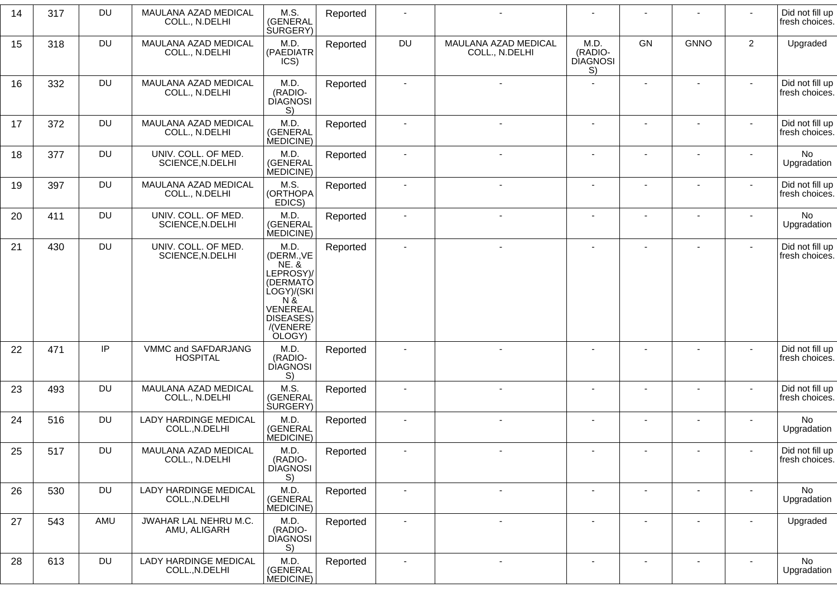| 14 | 317 | <b>DU</b> | MAULANA AZAD MEDICAL<br>COLL., N.DELHI         | M.S.<br>(GENERAL<br><b>SURGERY</b> )                                                                                                 | Reported |                          |                                        |                                          |                |                          |                | Did not fill up<br>fresh choices. |
|----|-----|-----------|------------------------------------------------|--------------------------------------------------------------------------------------------------------------------------------------|----------|--------------------------|----------------------------------------|------------------------------------------|----------------|--------------------------|----------------|-----------------------------------|
| 15 | 318 | <b>DU</b> | MAULANA AZAD MEDICAL<br>COLL., N.DELHI         | M.D.<br>(PAEDIATR<br>ICS)                                                                                                            | Reported | <b>DU</b>                | MAULANA AZAD MEDICAL<br>COLL., N.DELHI | M.D.<br>(RADIO-<br><b>DIAGNOSI</b><br>S) | <b>GN</b>      | <b>GNNO</b>              | $\overline{2}$ | Upgraded                          |
| 16 | 332 | <b>DU</b> | MAULANA AZAD MEDICAL<br>COLL., N.DELHI         | M.D.<br>(RADIO-<br><b>DIAGNOSI</b><br>S)                                                                                             | Reported |                          |                                        |                                          |                |                          |                | Did not fill up<br>fresh choices. |
| 17 | 372 | <b>DU</b> | MAULANA AZAD MEDICAL<br>COLL., N.DELHI         | M.D.<br>(GENERAL<br>MEDICINE)                                                                                                        | Reported |                          | ä,                                     |                                          |                |                          |                | Did not fill up<br>fresh choices. |
| 18 | 377 | <b>DU</b> | UNIV. COLL. OF MED.<br>SCIENCE, N.DELHI        | M.D.<br>(GENERAL<br>MEDICINE)                                                                                                        | Reported |                          |                                        |                                          |                |                          |                | No<br>Upgradation                 |
| 19 | 397 | <b>DU</b> | MAULANA AZAD MEDICAL<br>COLL., N.DELHI         | M.S.<br>(ORTHOPA<br>EDICS)                                                                                                           | Reported |                          |                                        |                                          |                |                          |                | Did not fill up<br>fresh choices. |
| 20 | 411 | <b>DU</b> | UNIV. COLL. OF MED.<br>SCIENCE, N.DELHI        | M.D.<br>(GENERAL<br>MEDICINE)                                                                                                        | Reported | $\blacksquare$           |                                        |                                          | $\blacksquare$ |                          |                | No<br>Upgradation                 |
| 21 | 430 | <b>DU</b> | UNIV. COLL. OF MED.<br>SCIENCE, N.DELHI        | M.D.<br>(DERM., VE<br><b>NE. &amp;</b><br>LEPROSY)/<br>(DERMATÓ<br>LOGY)/(SKI<br>N &<br>VENEREAL<br>DISEASES)<br>/(VENERE)<br>OLOGY) | Reported | $\sim$                   | $\blacksquare$                         | $\overline{\phantom{a}}$                 |                | $\overline{\phantom{a}}$ | $\mathbf{r}$   | Did not fill up<br>fresh choices. |
| 22 | 471 | IP.       | VMMC and SAFDARJANG<br><b>HOSPITAL</b>         | M.D.<br>(RADIO-<br><b>DIAGNOSI</b><br>S)                                                                                             | Reported |                          |                                        |                                          |                |                          |                | Did not fill up<br>fresh choices. |
| 23 | 493 | <b>DU</b> | MAULANA AZAD MEDICAL<br>COLL., N.DELHI         | M.S.<br>(GENERAL<br><b>SURGERY</b> )                                                                                                 | Reported | $\overline{\phantom{a}}$ | $\blacksquare$                         |                                          |                | $\overline{\phantom{a}}$ | $\sim$         | Did not fill up<br>fresh choices. |
| 24 | 516 | <b>DU</b> | LADY HARDINGE MEDICAL<br>COLL., N.DELHI        | M.D.<br>(GENERAL<br>MEDICINE)                                                                                                        | Reported | $\blacksquare$           |                                        |                                          |                |                          |                | No<br>Upgradation                 |
| 25 | 517 | DU        | MAULANA AZAD MEDICAL<br>COLL., N.DELHI         | M.D.<br>(RADIO-<br><b>DIAGNOSI</b><br>S)                                                                                             | Reported |                          |                                        |                                          |                |                          |                | Did not fill up<br>fresh choices. |
| 26 | 530 | DU        | <b>LADY HARDINGE MEDICAL</b><br>COLL., N.DELHI | M.D.<br>(GENERAL<br>MEDICINE)                                                                                                        | Reported | $\sim$                   | $\blacksquare$                         | $\blacksquare$                           | $\blacksquare$ | $\blacksquare$           | $\blacksquare$ | No<br>Upgradation                 |
| 27 | 543 | AMU       | JWAHAR LAL NEHRU M.C.<br>AMU, ALIGARH          | M.D.<br>(RADIO-<br><b>DIAGNOSI</b><br>S)                                                                                             | Reported | $\sim$                   | $\blacksquare$                         |                                          |                |                          |                | Upgraded                          |
| 28 | 613 | <b>DU</b> | LADY HARDINGE MEDICAL<br>COLL., N.DELHI        | M.D.<br>(GENERAL<br>MEDICINE)                                                                                                        | Reported |                          | $\blacksquare$                         | $\blacksquare$                           |                | $\overline{\phantom{a}}$ |                | <b>No</b><br>Upgradation          |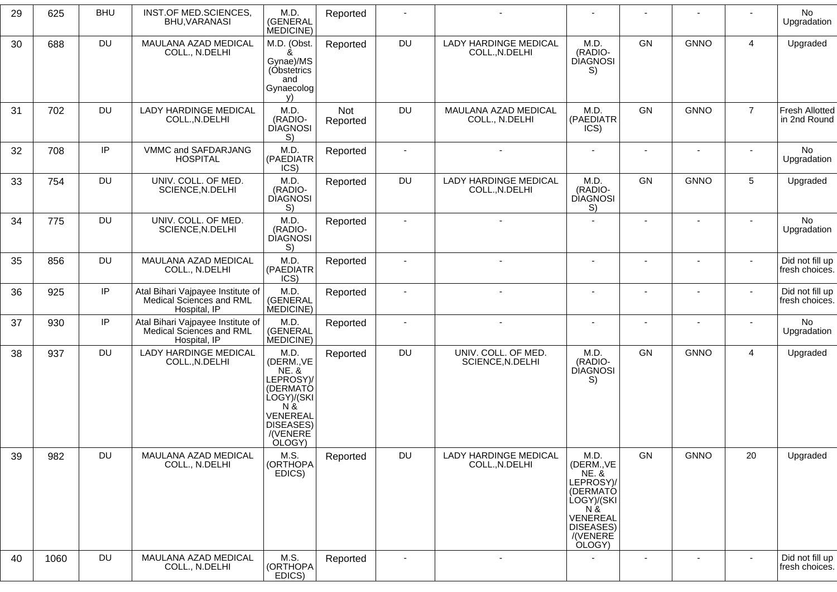|    |      | <b>BHU</b> |                                                                               | M.D.                                                                                                                                        |                 | $\blacksquare$ |                                                | $\blacksquare$                                                                                                                       | $\blacksquare$ | $\overline{\phantom{a}}$ |                | No                                |
|----|------|------------|-------------------------------------------------------------------------------|---------------------------------------------------------------------------------------------------------------------------------------------|-----------------|----------------|------------------------------------------------|--------------------------------------------------------------------------------------------------------------------------------------|----------------|--------------------------|----------------|-----------------------------------|
| 29 | 625  |            | INST.OF MED.SCIENCES,<br>BHU, VARANASI                                        | (GENERAL<br>MEDICINE)                                                                                                                       | Reported        |                |                                                |                                                                                                                                      |                |                          |                | Upgradation                       |
| 30 | 688  | <b>DU</b>  | MAULANA AZAD MEDICAL<br>COLL., N.DELHI                                        | M.D. (Obst.<br>&<br>Gynae)/MS<br>(Obstetrics<br>and<br>Gynaecolog<br>V)                                                                     | Reported        | <b>DU</b>      | <b>LADY HARDINGE MEDICAL</b><br>COLL., N.DELHI | M.D.<br>(RADIO-<br><b>DIAGNOSI</b><br>S)                                                                                             | GN             | <b>GNNO</b>              | $\overline{4}$ | Upgraded                          |
| 31 | 702  | <b>DU</b>  | <b>LADY HARDINGE MEDICAL</b><br>COLL., N.DELHI                                | M.D.<br>(RADIO-<br><b>DIAGNOSI</b><br>S)                                                                                                    | Not<br>Reported | <b>DU</b>      | MAULANA AZAD MEDICAL<br>COLL., N.DELHI         | M.D.<br>(PAEDIATR<br>ICS)                                                                                                            | <b>GN</b>      | <b>GNNO</b>              | $\overline{7}$ | Fresh Allotted<br>in 2nd Round    |
| 32 | 708  | IP         | VMMC and SAFDARJANG<br><b>HOSPITAL</b>                                        | M.D.<br>(PAEDIATR<br>ICS)                                                                                                                   | Reported        | $\sim$         | $\overline{a}$                                 | $\overline{a}$                                                                                                                       | $\blacksquare$ | ÷.                       |                | No<br>Upgradation                 |
| 33 | 754  | <b>DU</b>  | UNIV. COLL. OF MED.<br>SCIENCE, N.DELHI                                       | M.D.<br>(RADIO-<br><b>DIAGNOSI</b><br>S)                                                                                                    | Reported        | <b>DU</b>      | LADY HARDINGE MEDICAL<br>COLL., N.DELHI        | M.D.<br>(RADIO-<br><b>DIAGNOSI</b><br>S)                                                                                             | <b>GN</b>      | <b>GNNO</b>              | 5              | Upgraded                          |
| 34 | 775  | <b>DU</b>  | UNIV. COLL. OF MED.<br>SCIENCE, N.DELHI                                       | M.D.<br>(RADIO-<br><b>DIAGNOSI</b><br>S)                                                                                                    | Reported        |                |                                                |                                                                                                                                      |                |                          |                | No<br>Upgradation                 |
| 35 | 856  | <b>DU</b>  | MAULANA AZAD MEDICAL<br>COLL., N.DELHI                                        | M.D.<br>(PAEDIATR<br>ICS)                                                                                                                   | Reported        |                |                                                | $\blacksquare$                                                                                                                       | $\blacksquare$ |                          | $\sim$         | Did not fill up<br>fresh choices. |
| 36 | 925  | IP         | Atal Bihari Vajpayee Institute of<br>Medical Sciences and RML<br>Hospital, IP | M.D.<br>(GENERAL<br>MEDICINE)                                                                                                               | Reported        |                |                                                |                                                                                                                                      |                |                          |                | Did not fill up<br>fresh choices. |
| 37 | 930  | $\sf IP$   | Atal Bihari Vajpayee Institute of<br>Medical Sciences and RML<br>Hospital, IP | M.D.<br>(GENERAL<br>MEDICINE)                                                                                                               | Reported        | $\blacksquare$ |                                                | $\blacksquare$                                                                                                                       | $\blacksquare$ | ÷                        |                | No<br>Upgradation                 |
| 38 | 937  | <b>DU</b>  | <b>LADY HARDINGE MEDICAL</b><br>COLL., N.DELHI                                | M.D.<br>(DERM., VE<br><b>NE. &amp;</b><br>LEPROSY)/<br>(DERMATÓ<br>ÙOGY)/(SKI<br>N &<br>VENEREAL<br><b>DISEASES)</b><br>/(VENERE)<br>OLOGY) | Reported        | DU             | UNIV. COLL. OF MED.<br>SCIENCE, N.DELHI        | M.D.<br>(RADIO-<br><b>DIAGNOSI</b><br>S)                                                                                             | GN             | <b>GNNO</b>              | $\overline{4}$ | Upgraded                          |
| 39 | 982  | DU         | MAULANA AZAD MEDICAL<br>COLL., N.DELHI                                        | M.S.<br>(ORTHOPA<br>EDICS)                                                                                                                  | Reported        | <b>DU</b>      | <b>LADY HARDINGE MEDICAL</b><br>COLL., N.DELHI | M.D.<br>(DERM., VE<br><b>NE. &amp;</b><br>LEPROSY)/<br>(DERMATÓ<br>LOGY)/(SKI<br>N &<br>VENEREAL<br>DISEASES)<br>/(VENERE)<br>OLOGY) | GN             | <b>GNNO</b>              | 20             | Upgraded                          |
| 40 | 1060 | <b>DU</b>  | MAULANA AZAD MEDICAL<br>COLL., N.DELHI                                        | M.S.<br>(ORTHOPA<br>EDICS)                                                                                                                  | Reported        | $\blacksquare$ | $\blacksquare$                                 | $\blacksquare$                                                                                                                       | $\blacksquare$ | $\blacksquare$           | $\sim$         | Did not fill up<br>fresh choices. |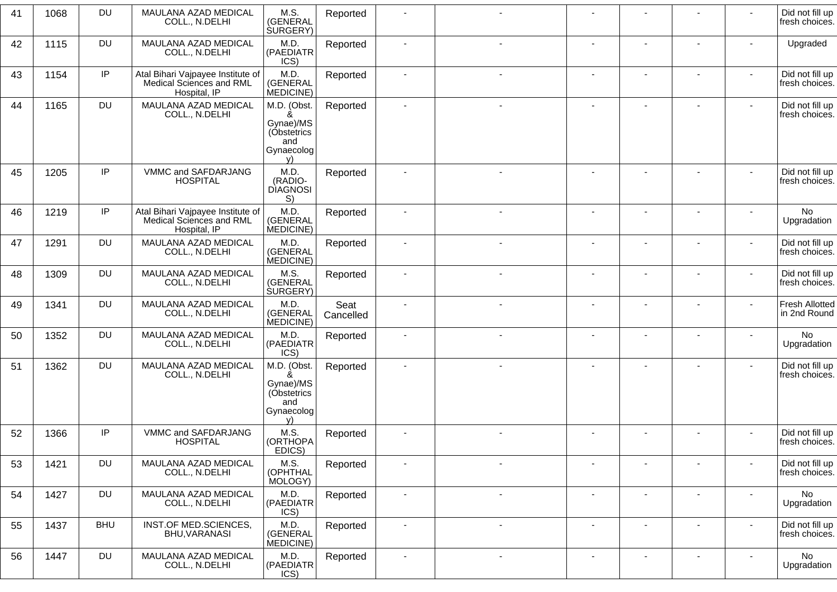| 41 | 1068 | <b>DU</b>  | MAULANA AZAD MEDICAL<br>COLL., N.DELHI                                        | M.S.<br>(GENERAL<br><b>SURGERY</b> )                                    | Reported          |                          |                          |                          |                          |                          |                          | Did not fill up<br>fresh choices.     |
|----|------|------------|-------------------------------------------------------------------------------|-------------------------------------------------------------------------|-------------------|--------------------------|--------------------------|--------------------------|--------------------------|--------------------------|--------------------------|---------------------------------------|
| 42 | 1115 | <b>DU</b>  | MAULANA AZAD MEDICAL<br>COLL., N.DELHI                                        | M.D.<br>(PAEDIATR<br>ICS)                                               | Reported          | $\overline{\phantom{a}}$ |                          | ٠                        |                          | $\overline{\phantom{a}}$ |                          | Upgraded                              |
| 43 | 1154 | IP         | Atal Bihari Vajpayee Institute of<br>Medical Sciences and RML<br>Hospital, IP | M.D.<br>(GENERAL<br>MEDICINE)                                           | Reported          | $\sim$                   | $\sim$                   | $\mathbf{r}$             | $\blacksquare$           | $\overline{\phantom{a}}$ | $\sim$                   | Did not fill up<br>fresh choices.     |
| 44 | 1165 | DU         | MAULANA AZAD MEDICAL<br>COLL., N.DELHI                                        | M.D. (Obst.<br>&<br>Gynae)/MS<br>(Obstetrics<br>and<br>Gynaecolog<br>V) | Reported          |                          |                          |                          |                          |                          | ۰                        | Did not fill up<br>fresh choices.     |
| 45 | 1205 | IP         | VMMC and SAFDARJANG<br><b>HOSPITAL</b>                                        | M.D.<br>(RADIO-<br><b>DIAGNOSI</b><br>S)                                | Reported          |                          |                          |                          |                          |                          |                          | Did not fill up<br>fresh choices.     |
| 46 | 1219 | IP         | Atal Bihari Vajpayee Institute of<br>Medical Sciences and RML<br>Hospital, IP | M.D.<br>(GENERAL<br>MEDICINE)                                           | Reported          |                          |                          | ٠                        | $\blacksquare$           | ۰                        | $\blacksquare$           | No<br>Upgradation                     |
| 47 | 1291 | DU         | MAULANA AZAD MEDICAL<br>COLL., N.DELHI                                        | M.D.<br>(GENERAL<br>MEDICINE)                                           | Reported          |                          |                          |                          |                          |                          | $\blacksquare$           | Did not fill up<br>fresh choices.     |
| 48 | 1309 | <b>DU</b>  | MAULANA AZAD MEDICAL<br>COLL., N.DELHI                                        | M.S.<br>(GENERAL<br>SURGERY)                                            | Reported          |                          |                          |                          |                          |                          |                          | Did not fill up<br>fresh choices.     |
| 49 | 1341 | <b>DU</b>  | MAULANA AZAD MEDICAL<br>COLL., N.DELHI                                        | M.D.<br>(GENERAL<br>MEDICINE)                                           | Seat<br>Cancelled |                          |                          | $\overline{\phantom{m}}$ |                          | ٠                        | $\overline{\phantom{0}}$ | <b>Fresh Allotted</b><br>in 2nd Round |
| 50 | 1352 | DU         | MAULANA AZAD MEDICAL<br>COLL., N.DELHI                                        | M.D.<br>(PAEDIATR<br>ICS)                                               | Reported          | $\blacksquare$           | $\overline{\phantom{a}}$ | ÷                        | ٠                        | ÷                        |                          | No<br>Upgradation                     |
| 51 | 1362 | <b>DU</b>  | MAULANA AZAD MEDICAL<br>COLL., N.DELHI                                        | M.D. (Obst.<br>ጼ<br>Gynae)/MS<br>(Obstetrics<br>and<br>Gynaecolog<br>V) | Reported          | $\blacksquare$           | $\blacksquare$           | $\blacksquare$           | $\blacksquare$           | $\blacksquare$           | $\blacksquare$           | Did not fill up<br>fresh choices.     |
| 52 | 1366 | IP         | VMMC and SAFDARJANG<br><b>HOSPITAL</b>                                        | M.S.<br>(ORTHOPA<br>EDICS)                                              | Reported          |                          |                          |                          | ٠                        |                          | $\blacksquare$           | Did not fill up<br>fresh choices.     |
| 53 | 1421 | DU         | MAULANA AZAD MEDICAL<br>COLL., N.DELHI                                        | M.S.<br>(OPHTHAL<br>MOLOGY)                                             | Reported          |                          |                          |                          |                          |                          |                          | Did not fill up<br>fresh choices.     |
| 54 | 1427 | <b>DU</b>  | MAULANA AZAD MEDICAL<br>COLL., N.DELHI                                        | M.D.<br>(PAEDIATR<br>ICS)                                               | Reported          |                          | $\blacksquare$           | ٠                        |                          | $\blacksquare$           |                          | No<br>Upgradation                     |
| 55 | 1437 | <b>BHU</b> | INST.OF MED.SCIENCES,<br>BHU, VARANASI                                        | M.D.<br>(GENERAL<br>MEDICINE)                                           | Reported          | $\blacksquare$           | $\blacksquare$           | $\blacksquare$           | $\overline{\phantom{a}}$ | $\overline{\phantom{a}}$ | $\sim$                   | Did not fill up<br>fresh choices.     |
| 56 | 1447 | <b>DU</b>  | MAULANA AZAD MEDICAL<br>COLL., N.DELHI                                        | M.D.<br>(PAEDIATR<br>ICS)                                               | Reported          | $\overline{\phantom{a}}$ | $\overline{\phantom{a}}$ | $\blacksquare$           | $\overline{\phantom{a}}$ | $\overline{\phantom{a}}$ | $\overline{\phantom{a}}$ | No<br>Upgradation                     |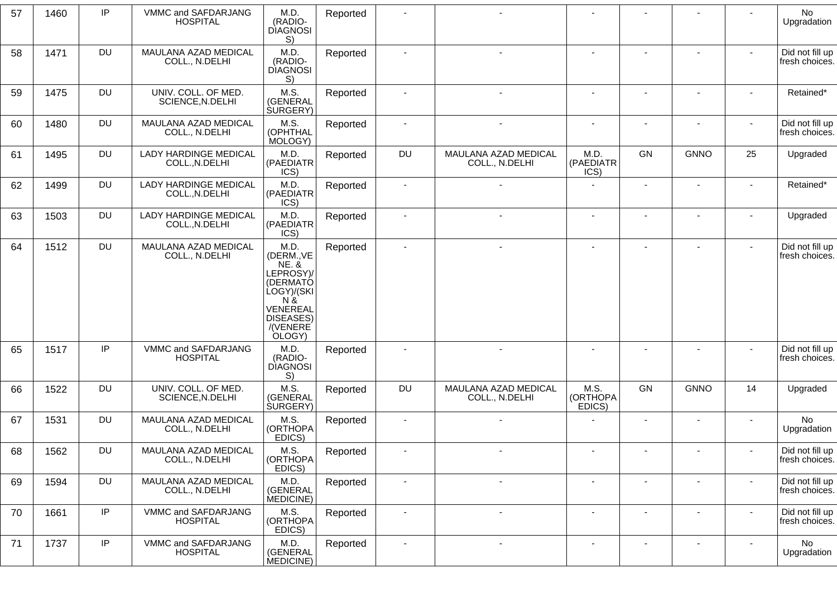| 57 | 1460 | IP        | VMMC and SAFDARJANG<br><b>HOSPITAL</b>         | M.D.<br>(RADIO-<br><b>DIAGNOSI</b><br>S)                                                                                             | Reported | $\blacksquare$           |                                        |                            |                |                |                | No<br>Upgradation                 |
|----|------|-----------|------------------------------------------------|--------------------------------------------------------------------------------------------------------------------------------------|----------|--------------------------|----------------------------------------|----------------------------|----------------|----------------|----------------|-----------------------------------|
| 58 | 1471 | <b>DU</b> | MAULANA AZAD MEDICAL<br>COLL., N.DELHI         | M.D.<br>(RADIO-<br><b>DIAGNOSI</b><br>S)                                                                                             | Reported | $\blacksquare$           |                                        |                            |                |                |                | Did not fill up<br>fresh choices. |
| 59 | 1475 | <b>DU</b> | UNIV. COLL. OF MED.<br>SCIENCE, N.DELHI        | M.S.<br>(GENERAL<br><b>SURGERY</b> )                                                                                                 | Reported | $\blacksquare$           |                                        | $\sim$                     | $\sim$         |                | $\sim$         | Retained*                         |
| 60 | 1480 | <b>DU</b> | MAULANA AZAD MEDICAL<br>COLL., N.DELHI         | M.S.<br>(OPHTHAL<br>MOLOGY)                                                                                                          | Reported | $\blacksquare$           |                                        |                            |                |                |                | Did not fill up<br>fresh choices. |
| 61 | 1495 | <b>DU</b> | LADY HARDINGE MEDICAL<br>COLL., N.DELHI        | M.D.<br>(PAEDIATR<br>ICS)                                                                                                            | Reported | <b>DU</b>                | MAULANA AZAD MEDICAL<br>COLL., N.DELHI | M.D.<br>(PAEDIATR<br>ICS)  | GN             | <b>GNNO</b>    | 25             | Upgraded                          |
| 62 | 1499 | <b>DU</b> | LADY HARDINGE MEDICAL<br>COLL., N.DELHI        | M.D.<br>(PAEDIATR<br>ICS)                                                                                                            | Reported | $\overline{\phantom{a}}$ |                                        | $\overline{a}$             |                |                | $\sim$         | Retained*                         |
| 63 | 1503 | <b>DU</b> | <b>LADY HARDINGE MEDICAL</b><br>COLL., N.DELHI | M.D.<br>(PAEDIATR<br>ICS)                                                                                                            | Reported | $\blacksquare$           | $\sim$                                 | $\sim$                     | $\sim$         |                |                | Upgraded                          |
| 64 | 1512 | <b>DU</b> | MAULANA AZAD MEDICAL<br>COLL., N.DELHI         | M.D.<br>(DERM., VE<br><b>NE. &amp;</b><br>LEPROSY)/<br>(DERMATÓ<br>LOGY)/(SKI<br>N &<br>VENEREAL<br>DISEASES)<br>/(VENERE)<br>OLOGY) | Reported | $\mathbf{r}$             |                                        | $\sim$                     | $\sim$         | $\blacksquare$ | $\sim$         | Did not fill up<br>fresh choices. |
| 65 | 1517 | IP        | VMMC and SAFDARJANG<br><b>HOSPITAL</b>         | M.D.<br>(RADIO-<br><b>DIAGNOSI</b><br>S)                                                                                             | Reported | $\overline{\phantom{a}}$ |                                        |                            |                |                | $\sim$         | Did not fill up<br>fresh choices. |
| 66 | 1522 | <b>DU</b> | UNIV. COLL. OF MED.<br>SCIENCE, N.DELHI        | M.S.<br>(GENERAL<br><b>SURGERY</b> )                                                                                                 | Reported | <b>DU</b>                | MAULANA AZAD MEDICAL<br>COLL., N.DELHI | M.S.<br>(ORTHOPA<br>EDICS) | GN             | <b>GNNO</b>    | 14             | Upgraded                          |
| 67 | 1531 | <b>DU</b> | MAULANA AZAD MEDICAL<br>COLL., N.DELHI         | M.S.<br>(ORTHOPA<br>EDICS)                                                                                                           | Reported | $\overline{\phantom{a}}$ |                                        |                            |                |                |                | No<br>Upgradation                 |
| 68 | 1562 | DU        | MAULANA AZAD MEDICAL<br>COLL., N.DELHI         | M.S.<br>(ORTHOPA<br>EDICS)                                                                                                           | Reported |                          |                                        |                            |                |                |                | Did not fill up<br>fresh choices. |
| 69 | 1594 | <b>DU</b> | MAULANA AZAD MEDICAL<br>COLL., N.DELHI         | M.D.<br>(GENERAL<br>MEDICINE)                                                                                                        | Reported | $\mathbf{r}$             |                                        |                            |                |                |                | Did not fill up<br>fresh choices. |
| 70 | 1661 | IP        | VMMC and SAFDARJANG<br><b>HOSPITAL</b>         | M.S.<br>(ORTHOPA<br>EDICS)                                                                                                           | Reported | $\overline{\phantom{a}}$ | $\overline{\phantom{a}}$               |                            |                |                | $\blacksquare$ | Did not fill up<br>fresh choices. |
| 71 | 1737 | IP        | VMMC and SAFDARJANG<br><b>HOSPITAL</b>         | M.D.<br>(GENERAL<br>MEDICINE)                                                                                                        | Reported | $\sim$                   | $\overline{\phantom{a}}$               | $\blacksquare$             | $\blacksquare$ |                | $\sim$         | No<br>Upgradation                 |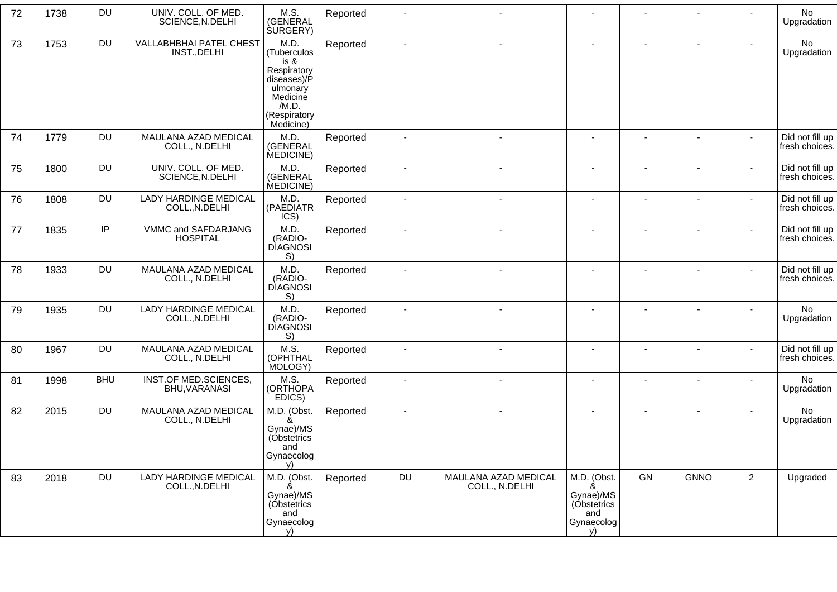| 72 | 1738 | DU         | UNIV. COLL. OF MED.<br>SCIENCE, N.DELHI        | M.S.<br>(GENERAL<br><b>SURGERY</b> )                                                                                    | Reported | $\blacksquare$           |                                        |                                                                         |                          |             |                | No<br>Upgradation                 |
|----|------|------------|------------------------------------------------|-------------------------------------------------------------------------------------------------------------------------|----------|--------------------------|----------------------------------------|-------------------------------------------------------------------------|--------------------------|-------------|----------------|-----------------------------------|
| 73 | 1753 | DU         | <b>VALLABHBHAI PATEL CHEST</b><br>INST., DELHI | M.D.<br>(Tuberculos<br>is &<br>Respiratory<br>diseases)/P<br>ulmonary<br>Medicine<br>/M.D.<br>(Respiratory<br>Medicine) | Reported | $\overline{\phantom{a}}$ | $\blacksquare$                         | $\blacksquare$                                                          |                          |             | $\sim$         | No<br>Upgradation                 |
| 74 | 1779 | <b>DU</b>  | MAULANA AZAD MEDICAL<br>COLL., N.DELHI         | M.D.<br>(GENERAL<br>MEDICINE)                                                                                           | Reported | $\overline{\phantom{a}}$ |                                        |                                                                         |                          |             | $\sim$         | Did not fill up<br>fresh choices. |
| 75 | 1800 | DU         | UNIV. COLL. OF MED.<br>SCIENCE, N.DELHI        | M.D.<br>(GENERAL<br>MEDICINE)                                                                                           | Reported | $\overline{\phantom{a}}$ |                                        |                                                                         | $\sim$                   |             |                | Did not fill up<br>fresh choices. |
| 76 | 1808 | DU         | <b>LADY HARDINGE MEDICAL</b><br>COLL., N.DELHI | M.D.<br>(PAEDIATR<br>ICS)                                                                                               | Reported | $\overline{\phantom{a}}$ |                                        |                                                                         |                          |             | $\sim$         | Did not fill up<br>fresh choices. |
| 77 | 1835 | IP         | VMMC and SAFDARJANG<br><b>HOSPITAL</b>         | M.D.<br>(RADIO-<br><b>DIAGNOSI</b><br>S)                                                                                | Reported | $\blacksquare$           | $\sim$                                 |                                                                         | $\overline{\phantom{a}}$ |             | $\sim$         | Did not fill up<br>fresh choices. |
| 78 | 1933 | DU         | MAULANA AZAD MEDICAL<br>COLL., N.DELHI         | M.D.<br>(RADIO-<br><b>DIAGNOSI</b><br>S)                                                                                | Reported | $\blacksquare$           | $\overline{\phantom{a}}$               |                                                                         |                          |             | $\sim$         | Did not fill up<br>fresh choices. |
| 79 | 1935 | <b>DU</b>  | LADY HARDINGE MEDICAL<br>COLL., N.DELHI        | M.D.<br>(RADIO-<br><b>DIAGNOSI</b><br>S)                                                                                | Reported |                          |                                        |                                                                         |                          |             |                | No<br>Upgradation                 |
| 80 | 1967 | <b>DU</b>  | MAULANA AZAD MEDICAL<br>COLL., N.DELHI         | M.S.<br>(OPHTHAL<br>MOLOGY)                                                                                             | Reported | $\blacksquare$           |                                        |                                                                         | $\overline{\phantom{a}}$ |             | $\sim$         | Did not fill up<br>fresh choices. |
| 81 | 1998 | <b>BHU</b> | INST.OF MED.SCIENCES,<br>BHU, VARANASI         | M.S.<br>(ORTHOPA<br>EDICS)                                                                                              | Reported | $\blacksquare$           |                                        |                                                                         |                          |             |                | No<br>Upgradation                 |
| 82 | 2015 | <b>DU</b>  | MAULANA AZAD MEDICAL<br>COLL., N.DELHI         | M.D. (Obst.<br>&<br>Gynae)/MS<br>(Obstetrics<br>and<br>Gynaecolog<br>v)                                                 | Reported | $\overline{\phantom{a}}$ |                                        |                                                                         |                          |             |                | No<br>Upgradation                 |
| 83 | 2018 | <b>DU</b>  | LADY HARDINGE MEDICAL<br>COLL., N.DELHI        | M.D. (Obst.<br>Gynae)/MS<br>(Obstetrics<br>and<br>Gynaecolog<br>v)                                                      | Reported | DU                       | MAULANA AZAD MEDICAL<br>COLL., N.DELHI | M.D. (Obst.<br>&<br>Gynae)/MS<br>(Obstetrics<br>and<br>Gynaecolog<br>V) | GN                       | <b>GNNO</b> | $\overline{2}$ | Upgraded                          |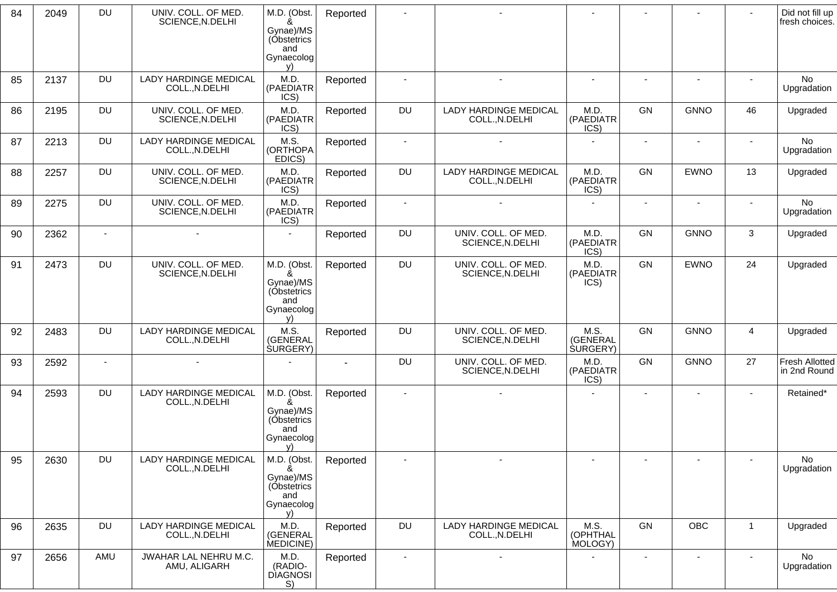| 84 | 2049 | <b>DU</b>      | UNIV. COLL. OF MED.<br>SCIENCE, N.DELHI        | M.D. (Obst.<br>&<br>Gynae)/MS<br>(Obstetrics<br>and<br>Gynaecolog       | Reported |                          |                                                |                                      | $\blacksquare$           |                          |                | Did not fill up<br>fresh choices.     |
|----|------|----------------|------------------------------------------------|-------------------------------------------------------------------------|----------|--------------------------|------------------------------------------------|--------------------------------------|--------------------------|--------------------------|----------------|---------------------------------------|
| 85 | 2137 | <b>DU</b>      | <b>LADY HARDINGE MEDICAL</b><br>COLL., N.DELHI | V)<br>M.D.<br>(PAEDIATR<br>ICS)                                         | Reported | $\blacksquare$           | $\blacksquare$                                 | $\sim$                               | $\overline{\phantom{a}}$ | $\overline{\phantom{a}}$ | $\sim$         | No<br>Upgradation                     |
| 86 | 2195 | <b>DU</b>      | UNIV. COLL. OF MED.<br>SCIENCE, N.DELHI        | M.D.<br>(PAEDIATR<br>ICS)                                               | Reported | DU                       | <b>LADY HARDINGE MEDICAL</b><br>COLL., N.DELHI | M.D.<br>(PAEDIATR<br>ICS)            | GN                       | <b>GNNO</b>              | 46             | Upgraded                              |
| 87 | 2213 | <b>DU</b>      | <b>LADY HARDINGE MEDICAL</b><br>COLL., N.DELHI | M.S.<br>(ORTHOPA<br>EDICS)                                              | Reported |                          | $\sim$                                         |                                      | $\sim$                   | $\sim$                   | $\sim$         | No<br>Upgradation                     |
| 88 | 2257 | <b>DU</b>      | UNIV. COLL. OF MED.<br>SCIENCE, N.DELHI        | M.D.<br>(PAEDIATR<br>ICS)                                               | Reported | DU                       | <b>LADY HARDINGE MEDICAL</b><br>COLL., N.DELHI | M.D.<br>(PAEDIATR<br>ICS)            | GN                       | <b>EWNO</b>              | 13             | Upgraded                              |
| 89 | 2275 | <b>DU</b>      | UNIV. COLL. OF MED.<br>SCIENCE, N.DELHI        | M.D.<br>(PAEDIATR<br>ICS)                                               | Reported | $\overline{\phantom{a}}$ |                                                | $\blacksquare$                       | $\blacksquare$           | $\blacksquare$           |                | No<br>Upgradation                     |
| 90 | 2362 | $\overline{a}$ | $\blacksquare$                                 | $\sim$                                                                  | Reported | DU                       | UNIV. COLL. OF MED.<br>SCIENCE, N.DELHI        | M.D.<br>(PAEDIATR<br>ICS)            | <b>GN</b>                | <b>GNNO</b>              | 3              | Upgraded                              |
| 91 | 2473 | <b>DU</b>      | UNIV. COLL. OF MED.<br>SCIENCE, N.DELHI        | M.D. (Obst.<br>Gynae)/MS<br>(Óbstetrics<br>and<br>Gynaecolog<br>V)      | Reported | DU                       | UNIV. COLL. OF MED.<br>SCIENCE, N.DELHI        | M.D.<br>(PAEDIATR<br>ICS)            | GN                       | <b>EWNO</b>              | 24             | Upgraded                              |
| 92 | 2483 | <b>DU</b>      | <b>LADY HARDINGE MEDICAL</b><br>COLL., N.DELHI | M.S.<br>(GENERAL<br>SURGERY)                                            | Reported | <b>DU</b>                | UNIV. COLL. OF MED.<br>SCIENCE, N.DELHI        | M.S.<br>(GENERAL<br><b>SURGERY</b> ) | GN                       | <b>GNNO</b>              | $\overline{4}$ | Upgraded                              |
| 93 | 2592 |                |                                                |                                                                         |          | DU                       | UNIV. COLL. OF MED.<br>SCIENCE, N.DELHI        | M.D.<br>(PAEDIATR<br>ICS)            | <b>GN</b>                | <b>GNNO</b>              | 27             | <b>Fresh Allotted</b><br>in 2nd Round |
| 94 | 2593 | <b>DU</b>      | LADY HARDINGE MEDICAL<br>COLL., N.DELHI        | M.D. (Obst.<br>ጼ<br>Gynae)/MS<br>(Obstetrics<br>and<br>Gynaecolog<br>y) | Reported |                          |                                                |                                      | $\blacksquare$           | $\overline{\phantom{a}}$ |                | Retained*                             |
| 95 | 2630 | <b>DU</b>      | <b>LADY HARDINGE MEDICAL</b><br>COLL., N.DELHI | M.D. (Obst.<br>ጼ<br>Gynae)/MS<br>(Obstetrics<br>and<br>Gynaecolog<br>V) | Reported |                          |                                                | $\overline{\phantom{a}}$             |                          |                          |                | <b>No</b><br>Upgradation              |
| 96 | 2635 | DU             | <b>LADY HARDINGE MEDICAL</b><br>COLL., N.DELHI | M.D.<br>(GENERAL<br>MEDICINE)                                           | Reported | DU                       | <b>LADY HARDINGE MEDICAL</b><br>COLL., N.DELHI | M.S.<br>(OPHTHAL<br>MOLOGY)          | GN                       | OBC                      | $\mathbf{1}$   | Upgraded                              |
| 97 | 2656 | AMU            | JWAHAR LAL NEHRU M.C.<br>AMU, ALIGARH          | M.D.<br>(RADIO-<br>DIAGNOSI<br>S)                                       | Reported | $\blacksquare$           | $\blacksquare$                                 | $\overline{\phantom{a}}$             | $\overline{\phantom{a}}$ | $\blacksquare$           | $\sim$         | No<br>Upgradation                     |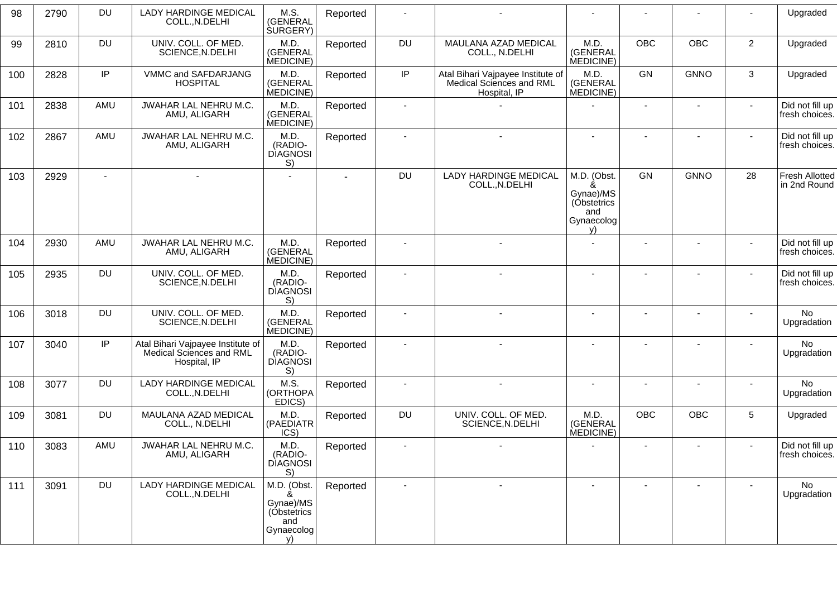| 98  | 2790 | <b>DU</b> | <b>LADY HARDINGE MEDICAL</b><br>COLL., N.DELHI                                | M.S.<br>(GENERAL<br><b>SURGERY</b> )                               | Reported |                          |                                                                               |                                                                         |                |                          |                | Upgraded                              |
|-----|------|-----------|-------------------------------------------------------------------------------|--------------------------------------------------------------------|----------|--------------------------|-------------------------------------------------------------------------------|-------------------------------------------------------------------------|----------------|--------------------------|----------------|---------------------------------------|
| 99  | 2810 | <b>DU</b> | UNIV. COLL. OF MED.<br>SCIENCE, N.DELHI                                       | M.D.<br>(GENERAL<br>MEDICINE)                                      | Reported | <b>DU</b>                | MAULANA AZAD MEDICAL<br>COLL., N.DELHI                                        | M.D.<br>(GENERAL<br>MEDICINE)                                           | <b>OBC</b>     | <b>OBC</b>               | $\overline{2}$ | Upgraded                              |
| 100 | 2828 | IP        | VMMC and SAFDARJANG<br><b>HOSPITAL</b>                                        | M.D.<br>(GENERAL<br>MEDICINE)                                      | Reported | IP                       | Atal Bihari Vajpayee Institute of<br>Medical Sciences and RML<br>Hospital, IP | M.D.<br>(GENERAL<br>MEDICINE)                                           | GN             | <b>GNNO</b>              | 3              | Upgraded                              |
| 101 | 2838 | AMU       | JWAHAR LAL NEHRU M.C.<br>AMU, ALIGARH                                         | M.D.<br>(GENERAL<br>MEDICINE)                                      | Reported | $\blacksquare$           |                                                                               |                                                                         |                |                          |                | Did not fill up<br>fresh choices.     |
| 102 | 2867 | AMU       | JWAHAR LAL NEHRU M.C.<br>AMU, ALIGARH                                         | M.D.<br>(RADIO-<br><b>DIAGNOSI</b><br>S)                           | Reported |                          |                                                                               |                                                                         |                |                          |                | Did not fill up<br>fresh choices.     |
| 103 | 2929 |           |                                                                               |                                                                    |          | <b>DU</b>                | <b>LADY HARDINGE MEDICAL</b><br>COLL., N.DELHI                                | M.D. (Obst.<br>&<br>Gynae)/MS<br>(Obstetrics<br>and<br>Gynaecolog<br>V) | GN             | <b>GNNO</b>              | 28             | <b>Fresh Allotted</b><br>in 2nd Round |
| 104 | 2930 | AMU       | JWAHAR LAL NEHRU M.C.<br>AMU, ALIGARH                                         | M.D.<br>(GENERAL<br>MEDICINE)                                      | Reported |                          |                                                                               |                                                                         |                |                          |                | Did not fill up<br>fresh choices.     |
| 105 | 2935 | <b>DU</b> | UNIV. COLL. OF MED.<br>SCIENCE, N.DELHI                                       | M.D.<br>(RADIO-<br><b>DIAGNOSI</b><br>S)                           | Reported |                          |                                                                               |                                                                         |                |                          |                | Did not fill up<br>fresh choices.     |
| 106 | 3018 | <b>DU</b> | UNIV. COLL. OF MED.<br>SCIENCE, N.DELHI                                       | M.D.<br>(GENERAL<br>MEDICINE)                                      | Reported | $\blacksquare$           |                                                                               |                                                                         |                |                          |                | No<br>Upgradation                     |
| 107 | 3040 | IP        | Atal Bihari Vajpayee Institute of<br>Medical Sciences and RML<br>Hospital, IP | M.D.<br>(RADIO-<br><b>DIAGNOSI</b><br>S)                           | Reported |                          |                                                                               |                                                                         |                |                          |                | No<br>Upgradation                     |
| 108 | 3077 | <b>DU</b> | <b>LADY HARDINGE MEDICAL</b><br>COLL., N.DELHI                                | M.S.<br>(ORTHOPA<br>EDICS)                                         | Reported | $\overline{\phantom{a}}$ | $\sim$                                                                        |                                                                         |                | $\overline{\phantom{a}}$ |                | <b>No</b><br>Upgradation              |
| 109 | 3081 | <b>DU</b> | MAULANA AZAD MEDICAL<br>COLL., N.DELHI                                        | M.D.<br>(PAEDIATR<br>ICS)                                          | Reported | <b>DU</b>                | UNIV. COLL. OF MED.<br>SCIENCE, N.DELHI                                       | M.D.<br>(GENERAL<br>MEDICINE)                                           | <b>OBC</b>     | OBC                      | 5              | Upgraded                              |
| 110 | 3083 | AMU       | JWAHAR LAL NEHRU M.C.<br>AMU, ALIGARH                                         | M.D.<br>(RADIO-<br><b>DIAGNOSI</b><br>S)                           | Reported |                          |                                                                               |                                                                         |                |                          |                | Did not fill up<br>fresh choices.     |
| 111 | 3091 | <b>DU</b> | <b>LADY HARDINGE MEDICAL</b><br>COLL., N.DELHI                                | M.D. (Obst.<br>Gynae)/MS<br>(Obstetrics<br>and<br>Gynaecolog<br>V) | Reported | $\blacksquare$           | $\sim$                                                                        | $\blacksquare$                                                          | $\blacksquare$ | $\overline{\phantom{a}}$ | $\sim$         | No<br>Upgradation                     |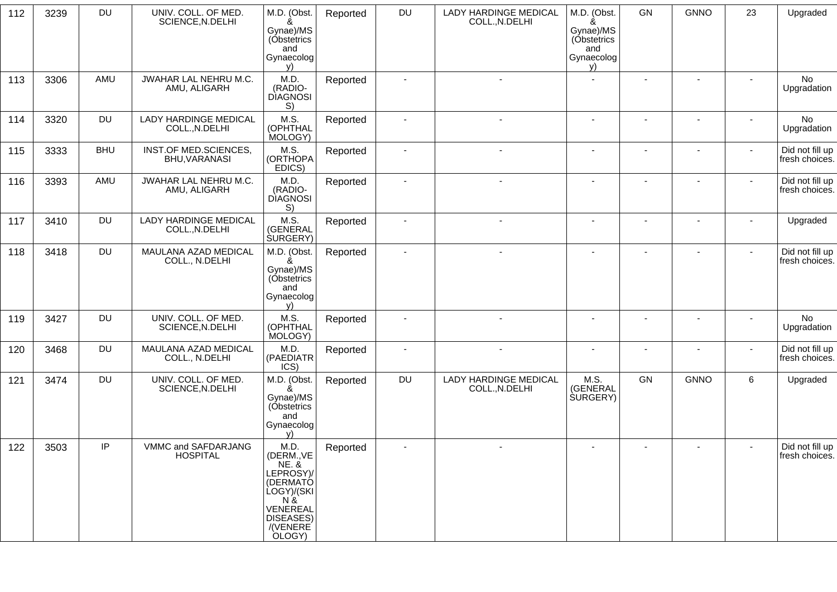| 112 | 3239 | <b>DU</b>  | UNIV. COLL. OF MED.<br>SCIENCE, N.DELHI        | M.D. (Obst.<br>Gynae)/MS<br>(Obstetrics<br>and<br>Gynaecolog<br>v)                                                                          | Reported | <b>DU</b>                | <b>LADY HARDINGE MEDICAL</b><br>COLL., N.DELHI | M.D. (Obst.<br>&<br>Gynae)/MS<br>(Obstetrics<br>and<br>Gynaecolog<br>V) | GN     | <b>GNNO</b> | 23     | Upgraded                          |
|-----|------|------------|------------------------------------------------|---------------------------------------------------------------------------------------------------------------------------------------------|----------|--------------------------|------------------------------------------------|-------------------------------------------------------------------------|--------|-------------|--------|-----------------------------------|
| 113 | 3306 | AMU        | JWAHAR LAL NEHRU M.C.<br>AMU, ALIGARH          | M.D.<br>(RADIO-<br><b>DIAGNOSI</b><br>S)                                                                                                    | Reported | $\blacksquare$           |                                                |                                                                         |        |             | $\sim$ | No<br>Upgradation                 |
| 114 | 3320 | DU         | LADY HARDINGE MEDICAL<br>COLL., N.DELHI        | M.S.<br>(OPHTHAL<br>MOLOGY)                                                                                                                 | Reported | $\blacksquare$           | $\sim$                                         | $\blacksquare$                                                          | $\sim$ |             |        | No<br>Upgradation                 |
| 115 | 3333 | <b>BHU</b> | INST.OF MED.SCIENCES,<br>BHU, VARANASI         | M.S.<br>(ORTHOPA<br>EDICS)                                                                                                                  | Reported | $\blacksquare$           |                                                |                                                                         |        |             | $\sim$ | Did not fill up<br>fresh choices. |
| 116 | 3393 | AMU        | JWAHAR LAL NEHRU M.C.<br>AMU, ALIGARH          | M.D.<br>(RADIO-<br><b>DIAGNOSI</b><br>S)                                                                                                    | Reported | $\blacksquare$           |                                                |                                                                         |        |             | $\sim$ | Did not fill up<br>fresh choices. |
| 117 | 3410 | <b>DU</b>  | <b>LADY HARDINGE MEDICAL</b><br>COLL., N.DELHI | M.S.<br>(GENERAL<br><b>SURGERY</b> )                                                                                                        | Reported | $\blacksquare$           |                                                |                                                                         |        |             | $\sim$ | Upgraded                          |
| 118 | 3418 | <b>DU</b>  | MAULANA AZAD MEDICAL<br>COLL., N.DELHI         | M.D. (Obst.<br>Gynae)/MS<br>(Óbstetrics<br>and<br>Gynaecolog<br>v)                                                                          | Reported | $\overline{\phantom{a}}$ |                                                |                                                                         |        |             | $\sim$ | Did not fill up<br>fresh choices. |
| 119 | 3427 | <b>DU</b>  | UNIV. COLL. OF MED.<br>SCIENCE, N.DELHI        | M.S.<br>(OPHTHAL<br>MOLOGY)                                                                                                                 | Reported | $\blacksquare$           |                                                |                                                                         |        |             | $\sim$ | No<br>Upgradation                 |
| 120 | 3468 | <b>DU</b>  | MAULANA AZAD MEDICAL<br>COLL., N.DELHI         | M.D.<br>(PAEDIATR<br>ICS)                                                                                                                   | Reported | $\blacksquare$           | $\sim$                                         |                                                                         |        |             | $\sim$ | Did not fill up<br>fresh choices. |
| 121 | 3474 | <b>DU</b>  | UNIV. COLL. OF MED.<br>SCIENCE, N.DELHI        | M.D. (Obst.<br>Gynae)/MS<br>(Óbstetrics<br>and<br>Gynaecolog<br>v)                                                                          | Reported | <b>DU</b>                | <b>LADY HARDINGE MEDICAL</b><br>COLL., N.DELHI | M.S.<br>(GENERAL<br><b>SURGERY</b> )                                    | GN     | <b>GNNO</b> | 6      | Upgraded                          |
| 122 | 3503 | IP         | VMMC and SAFDARJANG<br><b>HOSPITAL</b>         | M.D.<br>(DERM., VE<br><b>NE. &amp;</b><br>LEPROSY)/<br>(DERMATÓ<br>LOGY)/(SKI<br>N &<br>VENEREAL<br><b>DISEASES)</b><br>/(VENERE)<br>OLOGY) | Reported |                          |                                                |                                                                         |        |             |        | Did not fill up<br>fresh choices. |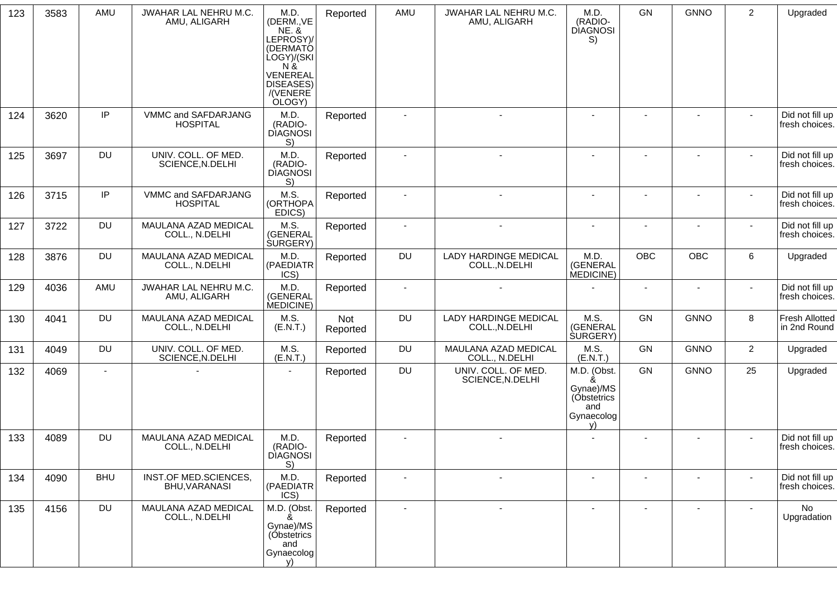| 123 | 3583 | AMU        | JWAHAR LAL NEHRU M.C.<br>AMU, ALIGARH   | M.D.<br>(DERM., VE<br><b>NE. &amp;</b><br>LEPROSY)/<br>(DERMATÓ<br>LOGY)/(SKI<br>$N \&$<br>VENEREAL<br>DISEASES)<br>/(VENERE)<br>OLOGY) | Reported        | AMU       | JWAHAR LAL NEHRU M.C.<br>AMU, ALIGARH          | M.D.<br>(RADIO-<br><b>DIAGNOSI</b><br>S)                                | <b>GN</b>                | <b>GNNO</b>              | $\overline{2}$           | Upgraded                              |
|-----|------|------------|-----------------------------------------|-----------------------------------------------------------------------------------------------------------------------------------------|-----------------|-----------|------------------------------------------------|-------------------------------------------------------------------------|--------------------------|--------------------------|--------------------------|---------------------------------------|
| 124 | 3620 | IP         | VMMC and SAFDARJANG<br><b>HOSPITAL</b>  | M.D.<br>(RADIO-<br><b>DIAGNOSI</b><br>S)                                                                                                | Reported        | $\sim$    | $\blacksquare$                                 |                                                                         |                          |                          | $\sim$                   | Did not fill up<br>fresh choices.     |
| 125 | 3697 | <b>DU</b>  | UNIV. COLL. OF MED.<br>SCIENCE, N.DELHI | M.D.<br>(RADIO-<br><b>DIAGNOSI</b><br>S)                                                                                                | Reported        |           |                                                |                                                                         |                          |                          |                          | Did not fill up<br>fresh choices.     |
| 126 | 3715 | IP         | VMMC and SAFDARJANG<br><b>HOSPITAL</b>  | M.S.<br>(ORTHOPA<br>EDICS)                                                                                                              | Reported        |           |                                                |                                                                         |                          |                          | $\sim$                   | Did not fill up<br>fresh choices.     |
| 127 | 3722 | <b>DU</b>  | MAULANA AZAD MEDICAL<br>COLL., N.DELHI  | M.S.<br>(GENERAL<br>SURGERY)                                                                                                            | Reported        |           |                                                |                                                                         |                          |                          | $\blacksquare$           | Did not fill up<br>fresh choices.     |
| 128 | 3876 | <b>DU</b>  | MAULANA AZAD MEDICAL<br>COLL., N.DELHI  | M.D.<br>(PAEDIATR<br>ICS)                                                                                                               | Reported        | DU        | LADY HARDINGE MEDICAL<br>COLL., N.DELHI        | M.D.<br>(GENERAL<br>MEDICINE)                                           | OBC                      | OBC                      | 6                        | Upgraded                              |
| 129 | 4036 | AMU        | JWAHAR LAL NEHRU M.C.<br>AMU, ALIGARH   | M.D.<br>(GENERAL<br>MEDICINE)                                                                                                           | Reported        | $\sim$    |                                                |                                                                         | $\blacksquare$           |                          |                          | Did not fill up<br>fresh choices.     |
| 130 | 4041 | <b>DU</b>  | MAULANA AZAD MEDICAL<br>COLL., N.DELHI  | M.S.<br>(E.N.T.)                                                                                                                        | Not<br>Reported | <b>DU</b> | <b>LADY HARDINGE MEDICAL</b><br>COLL., N.DELHI | M.S.<br>(GENERAL<br><b>SURGERY</b> )                                    | GN                       | <b>GNNO</b>              | 8                        | <b>Fresh Allotted</b><br>in 2nd Round |
| 131 | 4049 | <b>DU</b>  | UNIV. COLL. OF MED.<br>SCIENCE, N.DELHI | M.S.<br>(E.N.T.)                                                                                                                        | Reported        | <b>DU</b> | MAULANA AZAD MEDICAL<br>COLL., N.DELHI         | M.S.<br>(E.N.T.)                                                        | GN                       | <b>GNNO</b>              | $\overline{2}$           | Upgraded                              |
| 132 | 4069 | $\sim$     |                                         | $\blacksquare$                                                                                                                          | Reported        | <b>DU</b> | UNIV. COLL. OF MED.<br>SCIENCE, N.DELHI        | M.D. (Obst.<br>&<br>Gynae)/MS<br>(Obstetrics<br>and<br>Gynaecolog<br>V) | GN                       | <b>GNNO</b>              | 25                       | Upgraded                              |
| 133 | 4089 | <b>DU</b>  | MAULANA AZAD MEDICAL<br>COLL., N.DELHI  | M.D.<br>(RADIO-<br><b>DIAGNOSI</b><br>S)                                                                                                | Reported        | $\sim$    | $\blacksquare$                                 |                                                                         | $\overline{\phantom{a}}$ | $\overline{\phantom{a}}$ | $\overline{\phantom{a}}$ | Did not fill up<br>fresh choices.     |
| 134 | 4090 | <b>BHU</b> | INST.OF MED.SCIENCES,<br>BHU, VARANASI  | M.D.<br>(PAEDIATR<br>ICS)                                                                                                               | Reported        |           | $\overline{\phantom{a}}$                       |                                                                         |                          |                          |                          | Did not fill up<br>fresh choices.     |
| 135 | 4156 | <b>DU</b>  | MAULANA AZAD MEDICAL<br>COLL., N.DELHI  | M.D. (Obst.<br>&<br>Gynae)/MS<br>(Obstetrics<br>and<br>Gynaecolog<br>V)                                                                 | Reported        | $\sim$    | $\blacksquare$                                 | $\blacksquare$                                                          |                          | $\blacksquare$           | $\sim$                   | No<br>Upgradation                     |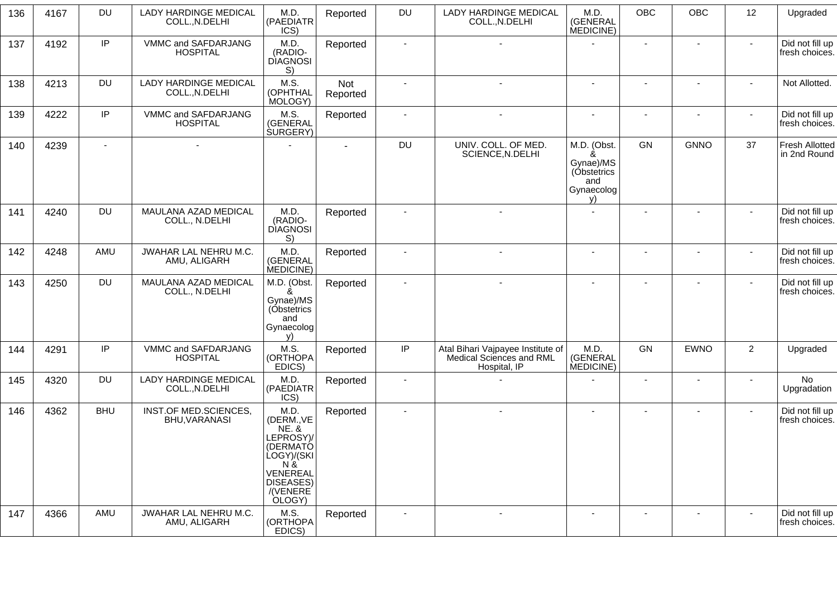| 136 | 4167 | <b>DU</b>      | <b>LADY HARDINGE MEDICAL</b><br>COLL., N.DELHI | M.D.<br>(PAEDIATR<br>ICS)                                                                                                            | Reported        | DU                       | <b>LADY HARDINGE MEDICAL</b><br>COLL., N.DELHI                                | M.D.<br>(GENERAL<br>MEDICINE)                                           | OBC            | OBC                      | 12             | Upgraded                              |
|-----|------|----------------|------------------------------------------------|--------------------------------------------------------------------------------------------------------------------------------------|-----------------|--------------------------|-------------------------------------------------------------------------------|-------------------------------------------------------------------------|----------------|--------------------------|----------------|---------------------------------------|
| 137 | 4192 | IP             | VMMC and SAFDARJANG<br><b>HOSPITAL</b>         | M.D.<br>(RADIO-<br><b>DIAGNOSI</b><br>S)                                                                                             | Reported        | $\blacksquare$           | $\overline{\phantom{a}}$                                                      |                                                                         | $\blacksquare$ | $\blacksquare$           | $\sim$         | Did not fill up<br>fresh choices.     |
| 138 | 4213 | <b>DU</b>      | LADY HARDINGE MEDICAL<br>COLL., N.DELHI        | M.S.<br>(OPHTHAL<br>MOLOGY)                                                                                                          | Not<br>Reported |                          |                                                                               | $\blacksquare$                                                          |                |                          |                | Not Allotted.                         |
| 139 | 4222 | IP             | VMMC and SAFDARJANG<br><b>HOSPITAL</b>         | M.S.<br>(GENERAL<br><b>SURGERY</b> )                                                                                                 | Reported        | $\sim$                   | $\blacksquare$                                                                | $\blacksquare$                                                          | $\blacksquare$ | $\blacksquare$           | $\sim$         | Did not fill up<br>fresh choices.     |
| 140 | 4239 | $\blacksquare$ | $\blacksquare$                                 |                                                                                                                                      |                 | DU                       | UNIV. COLL. OF MED.<br>SCIENCE, N.DELHI                                       | M.D. (Obst.<br>&<br>Gynae)/MS<br>(Obstetrics<br>and<br>Gynaecolog<br>y) | GN             | <b>GNNO</b>              | 37             | <b>Fresh Allotted</b><br>in 2nd Round |
| 141 | 4240 | <b>DU</b>      | MAULANA AZAD MEDICAL<br>COLL., N.DELHI         | M.D.<br>(RADIO-<br><b>DIAGNOSI</b><br>S)                                                                                             | Reported        | $\sim$                   |                                                                               | $\sim$                                                                  |                | $\sim$                   | $\sim$         | Did not fill up<br>fresh choices.     |
| 142 | 4248 | AMU            | JWAHAR LAL NEHRU M.C.<br>AMU, ALIGARH          | M.D.<br>(GENERAL<br>MEDICINE)                                                                                                        | Reported        | $\sim$                   |                                                                               | $\blacksquare$                                                          | $\sim$         |                          |                | Did not fill up<br>fresh choices.     |
| 143 | 4250 | <b>DU</b>      | MAULANA AZAD MEDICAL<br>COLL., N.DELHI         | M.D. (Obst.<br>&<br>Gynae)/MS<br>(Obstetrics<br>and<br>Gynaecolog<br>v)                                                              | Reported        | $\overline{\phantom{a}}$ |                                                                               | $\overline{\phantom{a}}$                                                | $\blacksquare$ | $\blacksquare$           | $\sim$         | Did not fill up<br>fresh choices.     |
| 144 | 4291 | IP             | VMMC and SAFDARJANG<br><b>HOSPITAL</b>         | M.S.<br>(ORTHOPA<br>EDICS)                                                                                                           | Reported        | IP                       | Atal Bihari Vajpayee Institute of<br>Medical Sciences and RML<br>Hospital, IP | M.D.<br>(GENERAL<br>MEDICINE)                                           | GN             | <b>EWNO</b>              | $\overline{2}$ | Upgraded                              |
| 145 | 4320 | <b>DU</b>      | LADY HARDINGE MEDICAL<br>COLL., N.DELHI        | M.D.<br>(PAEDIATR<br>ICS)                                                                                                            | Reported        | $\overline{a}$           |                                                                               |                                                                         | $\blacksquare$ |                          |                | No<br>Upgradation                     |
| 146 | 4362 | <b>BHU</b>     | INST.OF MED.SCIENCES,<br>BHU, VARANASI         | M.D.<br>(DERM., VE<br><b>NE. &amp;</b><br>LEPROSY)/<br>(DERMATÓ<br>LOGY)/(SKI<br>N &<br>VENEREAL<br>DISEASES)<br>/(VENERE)<br>OLOGY) | Reported        |                          |                                                                               |                                                                         |                |                          |                | Did not fill up<br>fresh choices.     |
| 147 | 4366 | AMU            | JWAHAR LAL NEHRU M.C.<br>AMU, ALIGARH          | M.S.<br>(ORTHOPA<br>EDICS)                                                                                                           | Reported        | $\overline{\phantom{a}}$ | $\overline{\phantom{a}}$                                                      | $\overline{\phantom{a}}$                                                |                | $\overline{\phantom{a}}$ |                | Did not fill up<br>fresh choices.     |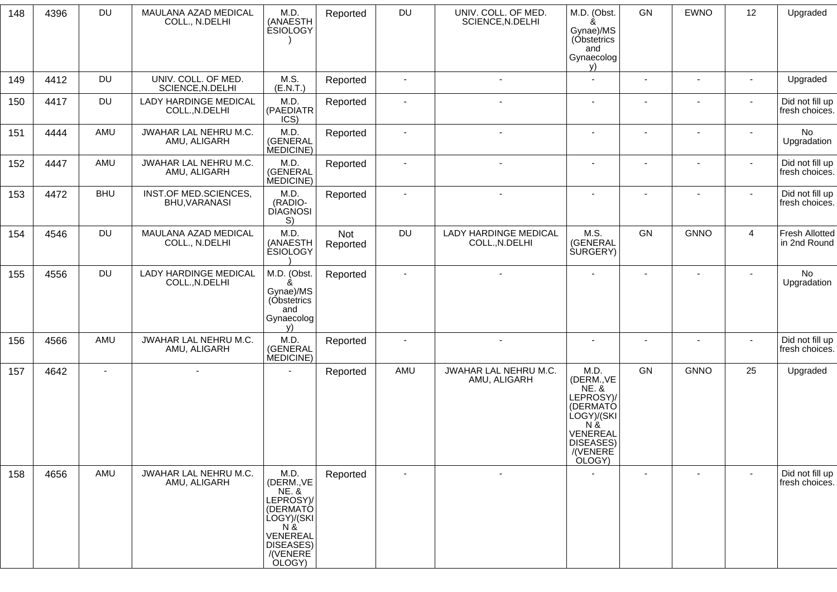| 148 | 4396 | DU         | MAULANA AZAD MEDICAL<br>COLL., N.DELHI         | M.D.<br>(ANAESTH<br><b>ESIOLOGY</b>                                                                                                  | Reported        | DU                       | UNIV. COLL. OF MED.<br>SCIENCE, N.DELHI        | M.D. (Obst.<br>&<br>Gynae)/MS<br>(Obstetrics<br>and<br>Gynaecolog<br>y)                                                              | GN                       | <b>EWNO</b>              | 12                       | Upgraded                              |
|-----|------|------------|------------------------------------------------|--------------------------------------------------------------------------------------------------------------------------------------|-----------------|--------------------------|------------------------------------------------|--------------------------------------------------------------------------------------------------------------------------------------|--------------------------|--------------------------|--------------------------|---------------------------------------|
| 149 | 4412 | DU         | UNIV. COLL. OF MED.<br>SCIENCE, N.DELHI        | M.S.<br>(E.N.T.)                                                                                                                     | Reported        | $\sim$                   | $\blacksquare$                                 | $\sim$                                                                                                                               |                          | $\blacksquare$           | $\sim$                   | Upgraded                              |
| 150 | 4417 | DU         | LADY HARDINGE MEDICAL<br>COLL., N.DELHI        | M.D.<br>(PAEDIATR<br>ICS)                                                                                                            | Reported        | $\overline{\phantom{a}}$ | $\qquad \qquad \blacksquare$                   | $\blacksquare$                                                                                                                       |                          | $\overline{a}$           | $\overline{\phantom{a}}$ | Did not fill up<br>fresh choices.     |
| 151 | 4444 | AMU        | JWAHAR LAL NEHRU M.C.<br>AMU, ALIGARH          | M.D.<br>(GENERAL<br>MEDICINE)                                                                                                        | Reported        | $\blacksquare$           | $\sim$                                         | $\blacksquare$                                                                                                                       | $\sim$                   |                          |                          | No<br>Upgradation                     |
| 152 | 4447 | AMU        | JWAHAR LAL NEHRU M.C.<br>AMU, ALIGARH          | M.D.<br>(GENERAL<br>MEDICINE)                                                                                                        | Reported        | $\overline{\phantom{a}}$ |                                                |                                                                                                                                      |                          | $\overline{\phantom{a}}$ | $\mathbf{r}$             | Did not fill up<br>fresh choices.     |
| 153 | 4472 | <b>BHU</b> | INST.OF MED.SCIENCES,<br>BHU, VARANASI         | M.D.<br>(RADIO-<br><b>DIAGNOSI</b><br>S)                                                                                             | Reported        | $\blacksquare$           | $\blacksquare$                                 | $\blacksquare$                                                                                                                       | $\overline{\phantom{a}}$ | $\blacksquare$           | $\blacksquare$           | Did not fill up<br>fresh choices.     |
| 154 | 4546 | <b>DU</b>  | MAULANA AZAD MEDICAL<br>COLL., N.DELHI         | M.D.<br>(ANAESTH<br><b>ESIOLOGY</b>                                                                                                  | Not<br>Reported | DU                       | <b>LADY HARDINGE MEDICAL</b><br>COLL., N.DELHI | M.S.<br>(GENERAL<br><b>SURGERY</b> )                                                                                                 | GN                       | <b>GNNO</b>              | 4                        | <b>Fresh Allotted</b><br>in 2nd Round |
| 155 | 4556 | <b>DU</b>  | <b>LADY HARDINGE MEDICAL</b><br>COLL., N.DELHI | M.D. (Obst.<br>ጼ<br>Gynae)/MS<br>(Obstetrics<br>and<br>Gynaecolog<br>v)                                                              | Reported        | $\sim$                   |                                                |                                                                                                                                      |                          |                          |                          | <b>No</b><br>Upgradation              |
| 156 | 4566 | AMU        | JWAHAR LAL NEHRU M.C.<br>AMU, ALIGARH          | M.D.<br>(GENERAL<br>MEDICINE)                                                                                                        | Reported        | $\overline{\phantom{a}}$ | $\sim$                                         | $\blacksquare$                                                                                                                       |                          | $\blacksquare$           | $\blacksquare$           | Did not fill up<br>fresh choices.     |
| 157 | 4642 | $\sim$     | $\overline{\phantom{a}}$                       |                                                                                                                                      | Reported        | AMU                      | JWAHAR LAL NEHRU M.C.<br>AMU, ALIGARH          | M.D.<br>(DERM., VE<br><b>NE. &amp;</b><br>LEPROSY)/<br>(DERMATÓ<br>LOGY)/(SKI<br>N &<br>VENEREAL<br>DISEASES)<br>/(VENERE)<br>OLOGY) | GN                       | <b>GNNO</b>              | 25                       | Upgraded                              |
| 158 | 4656 | AMU        | JWAHAR LAL NEHRU M.C.<br>AMU, ALIGARH          | M.D.<br>(DERM., VE<br><b>NE. &amp;</b><br>LEPROSY)/<br>(DERMATÓ<br>LOGY)/(SKI<br>N &<br>VENEREAL<br>DISEASES)<br>/(VENERE)<br>OLOGY) | Reported        | $\overline{\phantom{a}}$ | $\blacksquare$                                 |                                                                                                                                      | $\blacksquare$           | $\blacksquare$           | $\blacksquare$           | Did not fill up<br>fresh choices.     |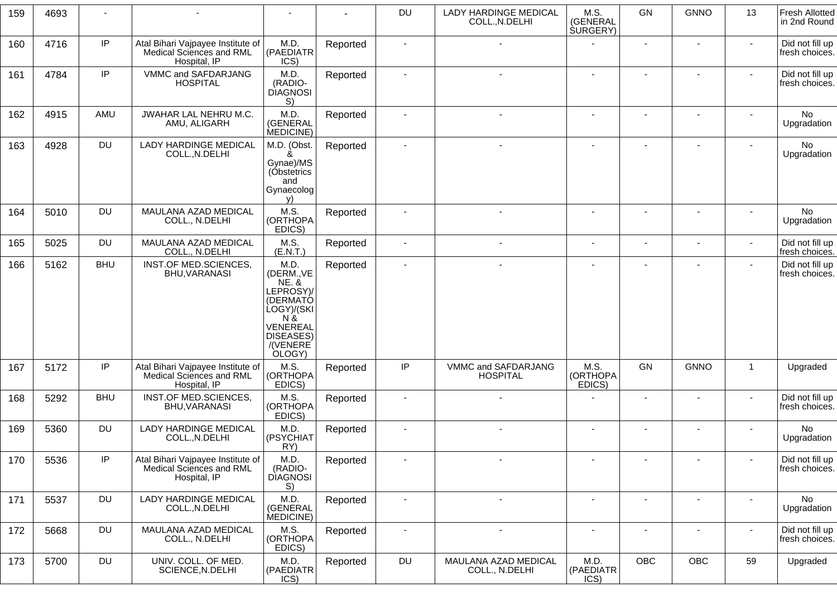| 159 | 4693 |            |                                                                               | $\overline{\phantom{a}}$                                                                                                                |          | <b>DU</b>      | <b>LADY HARDINGE MEDICAL</b><br>COLL., N.DELHI | M.S.<br>(GENERAL<br><b>SURGERY</b> ) | GN                           | <b>GNNO</b>    | 13             | <b>Fresh Allotted</b><br>in 2nd Round |
|-----|------|------------|-------------------------------------------------------------------------------|-----------------------------------------------------------------------------------------------------------------------------------------|----------|----------------|------------------------------------------------|--------------------------------------|------------------------------|----------------|----------------|---------------------------------------|
| 160 | 4716 | IP         | Atal Bihari Vajpayee Institute of<br>Medical Sciences and RML<br>Hospital, IP | M.D.<br>(PAEDIATR<br>ICS)                                                                                                               | Reported |                |                                                |                                      | $\blacksquare$               |                |                | Did not fill up<br>fresh choices.     |
| 161 | 4784 | IP         | VMMC and SAFDARJANG<br><b>HOSPITAL</b>                                        | M.D.<br>(RADIO-<br><b>DIAGNOSI</b><br>S)                                                                                                | Reported |                |                                                | $\blacksquare$                       | $\blacksquare$               |                |                | Did not fill up<br>fresh choices.     |
| 162 | 4915 | AMU        | JWAHAR LAL NEHRU M.C.<br>AMU, ALIGARH                                         | M.D.<br>(GENERAL<br>MEDICINE)                                                                                                           | Reported |                |                                                |                                      |                              |                |                | No<br>Upgradation                     |
| 163 | 4928 | <b>DU</b>  | <b>LADY HARDINGE MEDICAL</b><br>COLL., N.DELHI                                | M.D. (Obst.<br>ጼ<br>Gynae)/MS<br>(Obstetrics<br>and<br>Gynaecolog<br>V)                                                                 | Reported |                |                                                |                                      | $\blacksquare$               |                |                | No<br>Upgradation                     |
| 164 | 5010 | <b>DU</b>  | MAULANA AZAD MEDICAL<br>COLL., N.DELHI                                        | M.S.<br>(ORTHOPA<br>EDICS)                                                                                                              | Reported |                |                                                |                                      | $\blacksquare$               |                |                | No<br>Upgradation                     |
| 165 | 5025 | <b>DU</b>  | MAULANA AZAD MEDICAL<br>COLL., N.DELHI                                        | M.S.<br>(E.N.T.)                                                                                                                        | Reported | $\blacksquare$ |                                                | $\blacksquare$                       | $\blacksquare$               | ٠              | $\mathbf{r}$   | Did not fill up<br>fresh choices.     |
| 166 | 5162 | <b>BHU</b> | INST.OF MED.SCIENCES,<br>BHU, VARANASI                                        | M.D.<br>(DERM., VE<br><b>NE. &amp;</b><br>LEPROSY)/<br>(DERMATÓ<br>ÙOGY)/(SKI<br>$N \&$<br>VENEREAL<br>DISEASES)<br>/(VENERE)<br>OLOGY) | Reported |                |                                                |                                      | $\blacksquare$               |                |                | Did not fill up<br>fresh choices.     |
| 167 | 5172 | $\sf IP$   | Atal Bihari Vajpayee Institute of<br>Medical Sciences and RML<br>Hospital, IP | M.S.<br>(ORTHOPA<br>EDICS)                                                                                                              | Reported | IP             | VMMC and SAFDARJANG<br><b>HOSPITAL</b>         | M.S.<br>(ORTHOPA<br>EDICS)           | GN                           | <b>GNNO</b>    | $\mathbf{1}$   | Upgraded                              |
| 168 | 5292 | <b>BHU</b> | INST.OF MED.SCIENCES,<br>BHU, VARANASI                                        | M.S.<br>(ORTHOPA<br>EDICS)                                                                                                              | Reported |                |                                                |                                      | $\qquad \qquad \blacksquare$ |                | $\blacksquare$ | Did not fill up<br>fresh choices.     |
| 169 | 5360 | <b>DU</b>  | <b>LADY HARDINGE MEDICAL</b><br>COLL., N.DELHI                                | M.D.<br>(PSYCHIAT<br>RY)                                                                                                                | Reported |                |                                                |                                      | $\blacksquare$               |                |                | No<br>Upgradation                     |
| 170 | 5536 | IP         | Atal Bihari Vajpayee Institute of<br>Medical Sciences and RML<br>Hospital, IP | M.D.<br>(RADIO-<br><b>DIAGNOSI</b><br>S)                                                                                                | Reported |                |                                                |                                      |                              |                |                | Did not fill up<br>fresh choices.     |
| 171 | 5537 | <b>DU</b>  | LADY HARDINGE MEDICAL<br>COLL., N.DELHI                                       | M.D.<br>(GENERAL<br>MEDICINE)                                                                                                           | Reported | $\blacksquare$ | $\sim$                                         | $\blacksquare$                       | $\blacksquare$               | $\blacksquare$ | $\blacksquare$ | No<br>Upgradation                     |
| 172 | 5668 | <b>DU</b>  | MAULANA AZAD MEDICAL<br>COLL., N.DELHI                                        | M.S.<br>(ORTHOPA<br>EDICS)                                                                                                              | Reported | $\blacksquare$ |                                                | $\blacksquare$                       | $\blacksquare$               | ÷              | $\sim$         | Did not fill up<br>fresh choices.     |
| 173 | 5700 | <b>DU</b>  | UNIV. COLL. OF MED.<br>SCIENCE, N.DELHI                                       | M.D.<br>(PAEDIATR<br>ICS)                                                                                                               | Reported | DU             | MAULANA AZAD MEDICAL<br>COLL., N.DELHI         | M.D.<br>(PAEDIATR<br>ICS)            | OBC                          | OBC            | 59             | Upgraded                              |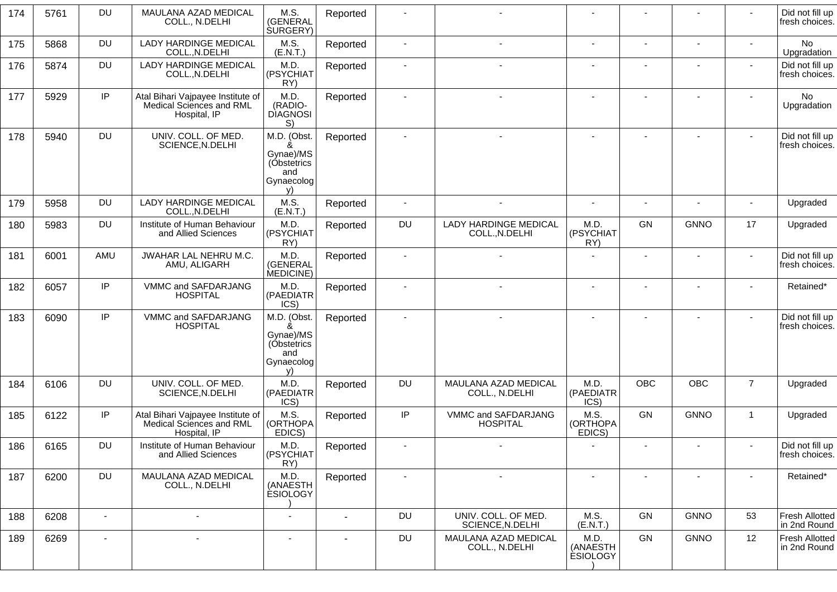| 174 | 5761 | <b>DU</b>      | MAULANA AZAD MEDICAL<br>COLL., N.DELHI                                        | M.S.<br>(GENERAL<br><b>SURGERY</b> )                                    | Reported                 |                |                                                |                                     |                          |                          |                          | Did not fill up<br>fresh choices.     |
|-----|------|----------------|-------------------------------------------------------------------------------|-------------------------------------------------------------------------|--------------------------|----------------|------------------------------------------------|-------------------------------------|--------------------------|--------------------------|--------------------------|---------------------------------------|
| 175 | 5868 | <b>DU</b>      | LADY HARDINGE MEDICAL<br>COLL., N.DELHI                                       | M.S.<br>(E.N.T.)                                                        | Reported                 | $\sim$         | $\overline{a}$                                 | $\sim$                              |                          | $\blacksquare$           | $\blacksquare$           | No<br>Upgradation                     |
| 176 | 5874 | <b>DU</b>      | LADY HARDINGE MEDICAL<br>COLL., N.DELHI                                       | M.D.<br>(PSYCHIAT<br>RY)                                                | Reported                 | $\blacksquare$ |                                                |                                     |                          | $\overline{\phantom{a}}$ |                          | Did not fill up<br>fresh choices.     |
| 177 | 5929 | IP             | Atal Bihari Vajpayee Institute of<br>Medical Sciences and RML<br>Hospital, IP | M.D.<br>(RADIO-<br><b>DIAGNOSI</b><br>S)                                | Reported                 | $\blacksquare$ | $\overline{\phantom{a}}$                       |                                     |                          |                          |                          | No<br>Upgradation                     |
| 178 | 5940 | <b>DU</b>      | UNIV. COLL. OF MED.<br>SCIENCE, N.DELHI                                       | M.D. (Obst.<br>Gynae)/MS<br>(Obstetrics<br>and<br>Gynaecolog<br>V       | Reported                 |                |                                                |                                     |                          |                          |                          | Did not fill up<br>fresh choices.     |
| 179 | 5958 | <b>DU</b>      | <b>LADY HARDINGE MEDICAL</b><br>COLL., N.DELHI                                | M.S.<br>(E.N.T.)                                                        | Reported                 | $\sim$         | $\sim$                                         | $\blacksquare$                      | $\sim$                   |                          |                          | Upgraded                              |
| 180 | 5983 | <b>DU</b>      | Institute of Human Behaviour<br>and Allied Sciences                           | M.D.<br>(PSYCHIAT<br>RY)                                                | Reported                 | DU             | <b>LADY HARDINGE MEDICAL</b><br>COLL., N.DELHI | M.D.<br>(PSYCHIAT<br>RY)            | GN                       | <b>GNNO</b>              | 17                       | Upgraded                              |
| 181 | 6001 | AMU            | JWAHAR LAL NEHRU M.C.<br>AMU, ALIGARH                                         | M.D.<br>(GENERAL<br>MEDICINE)                                           | Reported                 |                |                                                |                                     |                          |                          |                          | Did not fill up<br>fresh choices.     |
| 182 | 6057 | IP             | VMMC and SAFDARJANG<br><b>HOSPITAL</b>                                        | M.D.<br>(PAEDIATR<br>ICS)                                               | Reported                 |                |                                                |                                     |                          |                          |                          | Retained*                             |
| 183 | 6090 | IP             | VMMC and SAFDARJANG<br><b>HOSPITAL</b>                                        | M.D. (Obst.<br>&<br>Gynae)/MS<br>(Obstetrics<br>and<br>Gynaecolog<br>v) | Reported                 | $\blacksquare$ |                                                |                                     |                          | $\blacksquare$           | $\sim$                   | Did not fill up<br>fresh choices.     |
| 184 | 6106 | <b>DU</b>      | UNIV. COLL. OF MED.<br>SCIENCE, N.DELHI                                       | M.D<br>(PAEDIATR<br>ICS)                                                | Reported                 | DU             | MAULANA AZAD MEDICAL<br>COLL., N.DELHI         | M.D.<br>(PAEDIATR<br>ICS)           | <b>OBC</b>               | <b>OBC</b>               | $\overline{7}$           | Upgraded                              |
| 185 | 6122 | IP             | Atal Bihari Vajpayee Institute of<br>Medical Sciences and RML<br>Hospital, IP | M.S.<br>(ORTHOPA<br>EDICS)                                              | Reported                 | IP             | VMMC and SAFDARJANG<br><b>HOSPITAL</b>         | M.S.<br>(ORTHOPA<br>EDICS)          | GN                       | <b>GNNO</b>              | $\mathbf{1}$             | Upgraded                              |
| 186 | 6165 | <b>DU</b>      | Institute of Human Behaviour<br>and Allied Sciences                           | M.D.<br>(PSYCHIAT<br>RY)                                                | Reported                 |                |                                                |                                     | $\overline{\phantom{a}}$ |                          | $\overline{\phantom{a}}$ | Did not fill up<br>fresh choices.     |
| 187 | 6200 | <b>DU</b>      | MAULANA AZAD MEDICAL<br>COLL., N.DELHI                                        | M.D.<br>(ANAESTH<br><b>ESIOLOGY</b>                                     | Reported                 |                | $\sim$                                         |                                     |                          |                          |                          | Retained*                             |
| 188 | 6208 | $\mathbf{r}$   | ٠                                                                             | $\sim$                                                                  | $\overline{\phantom{a}}$ | DU             | UNIV. COLL. OF MED.<br>SCIENCE, N.DELHI        | M.S.<br>(E.N.T.)                    | GN                       | <b>GNNO</b>              | 53                       | <b>Fresh Allotted</b><br>in 2nd Round |
| 189 | 6269 | $\blacksquare$ | $\overline{\phantom{0}}$                                                      | $\overline{\phantom{a}}$                                                | $\sim$                   | DU             | MAULANA AZAD MEDICAL<br>COLL., N.DELHI         | M.D.<br>(ANAESTH<br><b>ESIOLOGY</b> | GN                       | <b>GNNO</b>              | 12                       | <b>Fresh Allotted</b><br>in 2nd Round |
|     |      |                |                                                                               |                                                                         |                          |                |                                                |                                     |                          |                          |                          |                                       |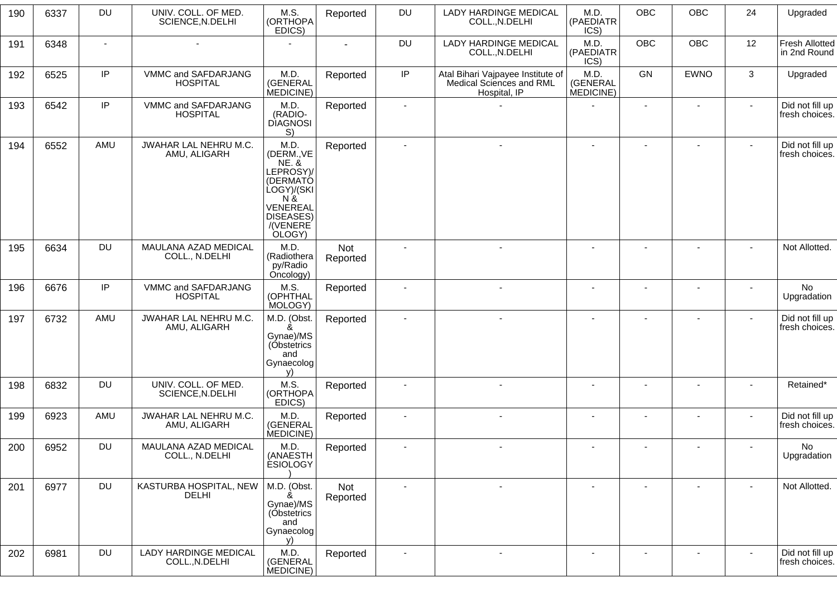| 190 | 6337 | <b>DU</b>      | UNIV. COLL. OF MED.<br>SCIENCE, N.DELHI        | M.S.<br>(ORTHOPA<br>EDICS)                                                                                                                     | Reported        | DU                       | <b>LADY HARDINGE MEDICAL</b><br>COLL., N.DELHI                                | M.D.<br>(PAEDIATR<br>ICS)     | OBC                      | OBC            | 24     | Upgraded                              |
|-----|------|----------------|------------------------------------------------|------------------------------------------------------------------------------------------------------------------------------------------------|-----------------|--------------------------|-------------------------------------------------------------------------------|-------------------------------|--------------------------|----------------|--------|---------------------------------------|
| 191 | 6348 | $\overline{a}$ | $\blacksquare$                                 |                                                                                                                                                |                 | <b>DU</b>                | LADY HARDINGE MEDICAL<br>COLL., N.DELHI                                       | M.D.<br>(PAEDIATR<br>ICS)     | <b>OBC</b>               | <b>OBC</b>     | 12     | <b>Fresh Allotted</b><br>in 2nd Round |
| 192 | 6525 | IP             | VMMC and SAFDARJANG<br><b>HOSPITAL</b>         | M.D.<br>(GENERAL<br>MEDICINE)                                                                                                                  | Reported        | $\sf IP$                 | Atal Bihari Vajpayee Institute of<br>Medical Sciences and RML<br>Hospital, IP | M.D.<br>(GENERAL<br>MEDICINE) | <b>GN</b>                | <b>EWNO</b>    | 3      | Upgraded                              |
| 193 | 6542 | IP             | VMMC and SAFDARJANG<br><b>HOSPITAL</b>         | M.D.<br>(RADIO-<br><b>DIAGNOSI</b><br>S)                                                                                                       | Reported        |                          |                                                                               |                               |                          |                |        | Did not fill up<br>fresh choices.     |
| 194 | 6552 | AMU            | JWAHAR LAL NEHRU M.C.<br>AMU, ALIGARH          | M.D.<br>(DERM., VE<br><b>NE. &amp;</b><br>LEPROSY)/<br>(DERMATÓ<br>LOGY)/(SKI<br>$N \&$<br>VENEREAL<br><b>DISEASES)</b><br>/(VENERE)<br>OLOGY) | Reported        | $\sim$                   | $\sim$                                                                        | $\overline{a}$                | $\sim$                   | $\sim$         | $\sim$ | Did not fill up<br>fresh choices.     |
| 195 | 6634 | DU             | MAULANA AZAD MEDICAL<br>COLL., N.DELHI         | M.D.<br>(Radiothera<br>py/Radio<br>Oncology)                                                                                                   | Not<br>Reported |                          |                                                                               |                               |                          |                |        | Not Allotted.                         |
| 196 | 6676 | IP             | VMMC and SAFDARJANG<br><b>HOSPITAL</b>         | M.S.<br>(OPHTHAL<br>MOLOGY)                                                                                                                    | Reported        | $\overline{\phantom{a}}$ | $\blacksquare$                                                                | $\blacksquare$                | $\overline{\phantom{a}}$ |                |        | No<br>Upgradation                     |
| 197 | 6732 | AMU            | JWAHAR LAL NEHRU M.C.<br>AMU, ALIGARH          | M.D. (Obst.<br>&<br>Gynae)/MS<br>(Obstetrics<br>and<br>Gynaecolog<br>v)                                                                        | Reported        | $\sim$                   | $\sim$                                                                        | $\blacksquare$                | $\blacksquare$           | $\blacksquare$ | $\sim$ | Did not fill up<br>fresh choices.     |
| 198 | 6832 | DU             | UNIV. COLL. OF MED.<br>SCIENCE, N.DELHI        | M.S.<br>(ORTHOPA<br>EDICS)                                                                                                                     | Reported        |                          | $\blacksquare$                                                                |                               |                          |                |        | Retained*                             |
| 199 | 6923 | AMU            | JWAHAR LAL NEHRU M.C.<br>AMU, ALIGARH          | M.D.<br>(GENERAL<br>MEDICINE)                                                                                                                  | Reported        |                          |                                                                               |                               |                          |                |        | Did not fill up<br>fresh choices.     |
| 200 | 6952 | <b>DU</b>      | MAULANA AZAD MEDICAL<br>COLL., N.DELHI         | M.D.<br>(ANAESTH<br><b>ESIOLOGY</b>                                                                                                            | Reported        |                          |                                                                               |                               | $\overline{\phantom{a}}$ |                |        | No<br>Upgradation                     |
| 201 | 6977 | <b>DU</b>      | KASTURBA HOSPITAL, NEW<br><b>DELHI</b>         | M.D. (Obst.<br>Gynae)/MS<br>(Obstetrics<br>and<br>Gynaecolog<br>V)                                                                             | Not<br>Reported |                          | $\blacksquare$                                                                |                               |                          |                |        | Not Allotted.                         |
| 202 | 6981 | DU             | <b>LADY HARDINGE MEDICAL</b><br>COLL., N.DELHI | M.D.<br>(GENERAL<br>MEDICINE)                                                                                                                  | Reported        |                          |                                                                               |                               |                          |                |        | Did not fill up<br>fresh choices.     |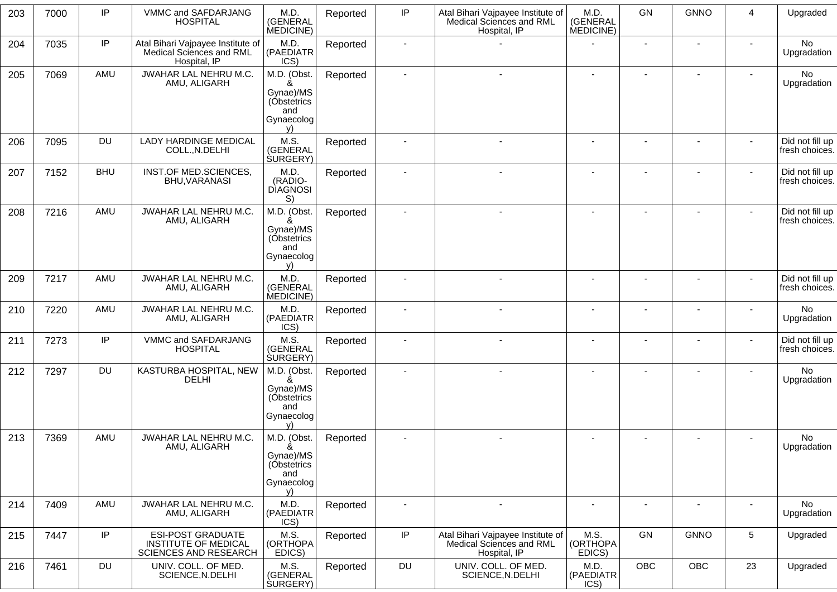| 203 | 7000 | IP         | VMMC and SAFDARJANG<br><b>HOSPITAL</b>                                           | M.D.<br>(GENERAL<br>MEDICINE)                                           | Reported | IP             | Atal Bihari Vajpayee Institute of<br>Medical Sciences and RML<br>Hospital, IP | M.D.<br>(GENERAL<br>MEDICINE) | GN                       | <b>GNNO</b>              | $\boldsymbol{4}$ | Upgraded                          |
|-----|------|------------|----------------------------------------------------------------------------------|-------------------------------------------------------------------------|----------|----------------|-------------------------------------------------------------------------------|-------------------------------|--------------------------|--------------------------|------------------|-----------------------------------|
| 204 | 7035 | IP         | Atal Bihari Vajpayee Institute of<br>Medical Sciences and RML<br>Hospital, IP    | M.D.<br>(PAEDIATR<br>ICS)                                               | Reported |                |                                                                               |                               |                          |                          |                  | No<br>Upgradation                 |
| 205 | 7069 | AMU        | JWAHAR LAL NEHRU M.C.<br>AMU, ALIGARH                                            | M.D. (Obst.<br>Gynae)/MS<br>(Óbstetrics<br>and<br>Gynaecolog<br>V)      | Reported |                |                                                                               | ٠                             | $\blacksquare$           |                          |                  | No<br>Upgradation                 |
| 206 | 7095 | <b>DU</b>  | <b>LADY HARDINGE MEDICAL</b><br>COLL., N.DELHI                                   | M.S.<br>(GENERAL<br><b>SURGERY</b> )                                    | Reported |                | $\sim$                                                                        | $\blacksquare$                | $\blacksquare$           | $\blacksquare$           | $\sim$           | Did not fill up<br>fresh choices. |
| 207 | 7152 | <b>BHU</b> | INST.OF MED.SCIENCES,<br>BHU, VARANASI                                           | M.D.<br>(RADIO-<br><b>DIAGNOSI</b><br>S)                                | Reported |                |                                                                               |                               |                          |                          | $\blacksquare$   | Did not fill up<br>fresh choices. |
| 208 | 7216 | AMU        | JWAHAR LAL NEHRU M.C.<br>AMU, ALIGARH                                            | M.D. (Obst.<br>&<br>Gynae)/MS<br>(Óbstetrics<br>and<br>Gynaecolog<br>v) | Reported |                | $\blacksquare$                                                                | $\blacksquare$                |                          | ۰                        | $\blacksquare$   | Did not fill up<br>fresh choices. |
| 209 | 7217 | AMU        | JWAHAR LAL NEHRU M.C.<br>AMU, ALIGARH                                            | M.D.<br>(GENERAL<br>MEDICINE)                                           | Reported |                |                                                                               | $\blacksquare$                |                          |                          | $\blacksquare$   | Did not fill up<br>fresh choices. |
| 210 | 7220 | AMU        | JWAHAR LAL NEHRU M.C.<br>AMU, ALIGARH                                            | M.D.<br>(PAEDIATR<br>ICS)                                               | Reported |                |                                                                               |                               |                          |                          |                  | No<br>Upgradation                 |
| 211 | 7273 | IP         | VMMC and SAFDARJANG<br><b>HOSPITAL</b>                                           | M.S.<br>(GENERAL<br><b>SURGERY</b> )                                    | Reported |                |                                                                               |                               |                          |                          | $\blacksquare$   | Did not fill up<br>fresh choices. |
| 212 | 7297 | <b>DU</b>  | KASTURBA HOSPITAL, NEW<br><b>DELHI</b>                                           | M.D. (Obst.<br>ጼ<br>Gynae)/MS<br>(Óbstetrics<br>and<br>Gynaecolog<br>v) | Reported |                |                                                                               |                               |                          |                          |                  | No<br>Upgradation                 |
| 213 | 7369 | AMU        | JWAHAR LAL NEHRU M.C.<br>AMU, ALIGARH                                            | M.D. (Obst.<br>&<br>Gynae)/MS<br>(Óbstetrics<br>and<br>Gynaecolog<br>V) | Reported |                |                                                                               | $\blacksquare$                | $\overline{\phantom{a}}$ | ٠                        |                  | No<br>Upgradation                 |
| 214 | 7409 | AMU        | JWAHAR LAL NEHRU M.C.<br>AMU, ALIGARH                                            | M.D.<br>(PAEDIATR<br>ICS)                                               | Reported | $\blacksquare$ | $\blacksquare$                                                                | $\sim$                        | $\blacksquare$           | $\overline{\phantom{a}}$ | $\sim$           | No<br>Upgradation                 |
| 215 | 7447 | IP         | <b>ESI-POST GRADUATE</b><br>INSTITUTE OF MEDICAL<br><b>SCIENCES AND RESEARCH</b> | M.S.<br>(ORTHOPA<br>EDICS)                                              | Reported | $\sf IP$       | Atal Bihari Vajpayee Institute of<br>Medical Sciences and RML<br>Hospital, IP | M.S.<br>(ORTHOPA<br>EDICS)    | GN                       | <b>GNNO</b>              | $5\phantom{.0}$  | Upgraded                          |
| 216 | 7461 | <b>DU</b>  | UNIV. COLL. OF MED.<br>SCIENCE, N.DELHI                                          | M.S.<br>(GENERAL<br><b>SURGERY</b> )                                    | Reported | DU             | UNIV. COLL. OF MED.<br>SCIENCE, N.DELHI                                       | M.D.<br>(PAEDIATR<br>ICS)     | OBC                      | OBC                      | 23               | Upgraded                          |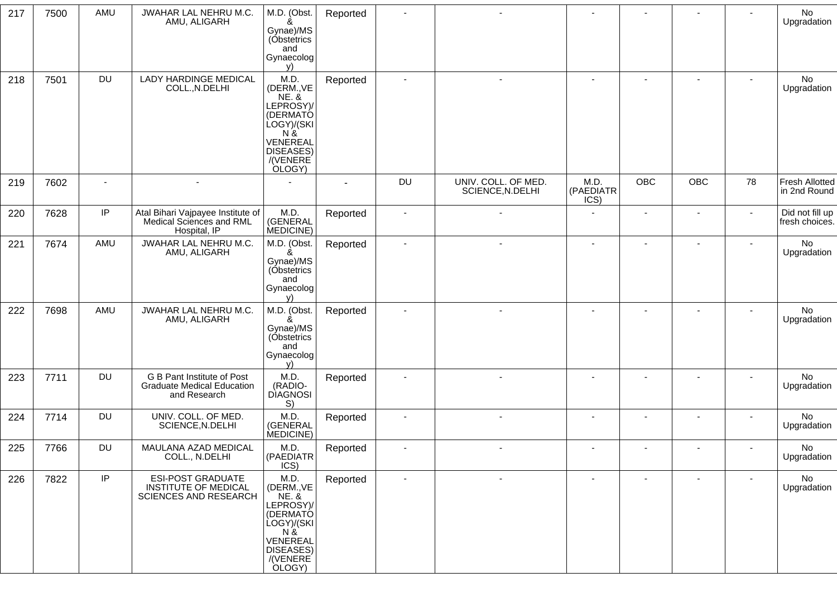| 217 | 7500 | AMU       | JWAHAR LAL NEHRU M.C.<br>AMU, ALIGARH                                                   | M.D. (Obst.<br>ጼ<br>Gynae)/MS<br>(Obstetrics<br>and<br>Gynaecolog<br>v)                                                              | Reported |                          |                                         |                           |                |                          |                          | No<br>Upgradation                     |
|-----|------|-----------|-----------------------------------------------------------------------------------------|--------------------------------------------------------------------------------------------------------------------------------------|----------|--------------------------|-----------------------------------------|---------------------------|----------------|--------------------------|--------------------------|---------------------------------------|
| 218 | 7501 | <b>DU</b> | <b>LADY HARDINGE MEDICAL</b><br>COLL., N.DELHI                                          | M.D.<br>(DERM., VE<br><b>NE. &amp;</b><br>LEPROSY)/<br>(DERMATÓ<br>LOGY)/(SKI<br>N &<br>VENEREAL<br>DISEASES)<br>/(VENERE)<br>OLOGY) | Reported | $\sim$                   | $\sim$                                  | $\blacksquare$            | $\sim$         | $\sim$                   | $\sim$                   | No<br>Upgradation                     |
| 219 | 7602 |           |                                                                                         |                                                                                                                                      |          | DU                       | UNIV. COLL. OF MED.<br>SCIENCE, N.DELHI | M.D.<br>(PAEDIATR<br>ICS) | OBC            | OBC                      | 78                       | <b>Fresh Allotted</b><br>in 2nd Round |
| 220 | 7628 | IP        | Atal Bihari Vajpayee Institute of<br>Medical Sciences and RML<br>Hospital, IP           | M.D.<br>(GENERAL<br>MEDICINE)                                                                                                        | Reported |                          |                                         |                           |                |                          |                          | Did not fill up<br>fresh choices.     |
| 221 | 7674 | AMU       | JWAHAR LAL NEHRU M.C.<br>AMU, ALIGARH                                                   | M.D. (Obst.<br>&<br>Gynae)/MS<br>(Óbstetrics<br>and<br>Gynaecolog<br>v)                                                              | Reported |                          |                                         |                           |                | $\overline{\phantom{a}}$ |                          | No<br>Upgradation                     |
| 222 | 7698 | AMU       | JWAHAR LAL NEHRU M.C.<br>AMU, ALIGARH                                                   | M.D. (Obst.<br>ጼ<br>Gynae)/MS<br>(Obstetrics<br>and<br>Gynaecolog<br>V)                                                              | Reported |                          |                                         |                           | $\blacksquare$ |                          |                          | No<br>Upgradation                     |
| 223 | 7711 | <b>DU</b> | G B Pant Institute of Post<br><b>Graduate Medical Education</b><br>and Research         | M.D.<br>(RADIO-<br><b>DIAGNOSI</b><br>S)                                                                                             | Reported |                          |                                         |                           |                |                          |                          | No<br>Upgradation                     |
| 224 | 7714 | <b>DU</b> | UNIV. COLL. OF MED.<br>SCIENCE, N.DELHI                                                 | M.D.<br>(GENERAL<br>MEDICINE)                                                                                                        | Reported |                          |                                         | $\blacksquare$            |                | $\overline{\phantom{a}}$ |                          | No<br>Upgradation                     |
| 225 | 7766 | <b>DU</b> | MAULANA AZAD MEDICAL<br>COLL., N.DELHI                                                  | M.D.<br>(PAEDIATR<br>ICS)                                                                                                            | Reported |                          |                                         |                           |                |                          | $\sim$                   | No<br>Upgradation                     |
| 226 | 7822 | IP        | <b>ESI-POST GRADUATE</b><br><b>INSTITUTE OF MEDICAL</b><br><b>SCIENCES AND RESEARCH</b> | M.D.<br>(DERM., VE<br><b>NE. &amp;</b><br>LEPROSY)/<br>(DERMATO<br>LOGY)/(SKI<br>N &<br>VENEREAL<br>DISEASES)<br>/(VENERE)<br>OLOGY) | Reported | $\overline{\phantom{a}}$ |                                         | $\blacksquare$            | $\blacksquare$ | $\blacksquare$           | $\overline{\phantom{a}}$ | No<br>Upgradation                     |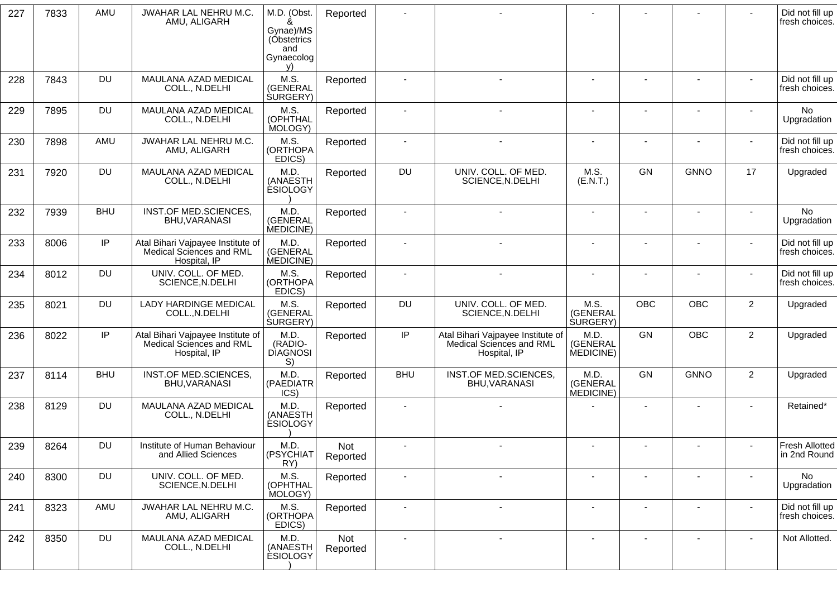| 227 | 7833 | AMU        | JWAHAR LAL NEHRU M.C.<br>AMU, ALIGARH                                         | M.D. (Obst.<br>ጼ<br>Gynae)/MS<br>(Obstetrics<br>and<br>Gynaecolog<br>v) | Reported        |                          |                                                                               |                                      |                          |                          |                          | Did not fill up<br>fresh choices.     |
|-----|------|------------|-------------------------------------------------------------------------------|-------------------------------------------------------------------------|-----------------|--------------------------|-------------------------------------------------------------------------------|--------------------------------------|--------------------------|--------------------------|--------------------------|---------------------------------------|
| 228 | 7843 | <b>DU</b>  | MAULANA AZAD MEDICAL<br>COLL., N.DELHI                                        | M.S.<br>(GENERAL<br><b>SURGERY</b> )                                    | Reported        |                          | $\overline{a}$                                                                | $\blacksquare$                       |                          | $\blacksquare$           | $\sim$                   | Did not fill up<br>fresh choices.     |
| 229 | 7895 | <b>DU</b>  | MAULANA AZAD MEDICAL<br>COLL., N.DELHI                                        | M.S.<br>(OPHTHAL<br>MOLOGY)                                             | Reported        |                          |                                                                               |                                      |                          |                          |                          | <b>No</b><br>Upgradation              |
| 230 | 7898 | AMU        | JWAHAR LAL NEHRU M.C.<br>AMU, ALIGARH                                         | M.S.<br>(ORTHOPA<br>EDICS)                                              | Reported        |                          |                                                                               |                                      |                          |                          |                          | Did not fill up<br>fresh choices.     |
| 231 | 7920 | <b>DU</b>  | MAULANA AZAD MEDICAL<br>COLL., N.DELHI                                        | M.D.<br>(ANAESTH<br><b>ESIOLOGY</b>                                     | Reported        | <b>DU</b>                | UNIV. COLL. OF MED.<br>SCIENCE, N.DELHI                                       | M.S.<br>(E.N.T.)                     | GN                       | <b>GNNO</b>              | 17                       | Upgraded                              |
| 232 | 7939 | <b>BHU</b> | INST.OF MED.SCIENCES,<br><b>BHU, VARANASI</b>                                 | M.D.<br>(GENERAL<br>MEDICINE)                                           | Reported        |                          |                                                                               |                                      |                          |                          |                          | <b>No</b><br>Upgradation              |
| 233 | 8006 | IP         | Atal Bihari Vajpayee Institute of<br>Medical Sciences and RML<br>Hospital, IP | M.D.<br>(GENERAL<br>MEDICINE)                                           | Reported        |                          |                                                                               |                                      |                          |                          |                          | Did not fill up<br>fresh choices.     |
| 234 | 8012 | <b>DU</b>  | UNIV. COLL. OF MED.<br>SCIENCE, N.DELHI                                       | M.S.<br>(ORTHOPA<br>EDICS)                                              | Reported        |                          |                                                                               | $\overline{a}$                       |                          |                          |                          | Did not fill up<br>fresh choices.     |
| 235 | 8021 | <b>DU</b>  | <b>LADY HARDINGE MEDICAL</b><br>COLL., N.DELHI                                | M.S.<br>(GENERAL<br><b>SURGERY</b> )                                    | Reported        | DU                       | UNIV. COLL. OF MED.<br>SCIENCE, N.DELHI                                       | M.S.<br>(GENERAL<br><b>SURGERY</b> ) | <b>OBC</b>               | OBC                      | $\overline{2}$           | Upgraded                              |
| 236 | 8022 | IP         | Atal Bihari Vajpayee Institute of<br>Medical Sciences and RML<br>Hospital, IP | M.D.<br>(RADIO-<br><b>DIAGNOSI</b><br>S)                                | Reported        | IP                       | Atal Bihari Vajpayee Institute of<br>Medical Sciences and RML<br>Hospital, IP | M.D.<br>(GENERAL<br>MEDICINE)        | GN                       | <b>OBC</b>               | $\overline{2}$           | Upgraded                              |
| 237 | 8114 | <b>BHU</b> | INST.OF MED.SCIENCES,<br><b>BHU, VARANASI</b>                                 | M.D<br>(PAEDIATR<br>ICS)                                                | Reported        | <b>BHU</b>               | INST.OF MED.SCIENCES,<br>BHU, VARANASI                                        | M.D.<br>(GENERAL<br>MEDICINE)        | GN                       | <b>GNNO</b>              | $\overline{2}$           | Upgraded                              |
| 238 | 8129 | <b>DU</b>  | MAULANA AZAD MEDICAL<br>COLL., N.DELHI                                        | M.D<br>(ANAESTH<br><b>ÉSIOLOGY</b>                                      | Reported        |                          |                                                                               |                                      | $\blacksquare$           |                          |                          | Retained*                             |
| 239 | 8264 | <b>DU</b>  | Institute of Human Behaviour<br>and Allied Sciences                           | M.D<br>(PSYCHIAT<br>RY)                                                 | Not<br>Reported |                          |                                                                               |                                      |                          |                          | $\blacksquare$           | <b>Fresh Allotted</b><br>in 2nd Round |
| 240 | 8300 | <b>DU</b>  | UNIV. COLL. OF MED.<br>SCIENCE, N.DELHI                                       | M.S.<br>(OPHTHAL<br>MOLOGY)                                             | Reported        | $\overline{\phantom{a}}$ | $\overline{\phantom{a}}$                                                      | $\overline{\phantom{a}}$             | $\overline{\phantom{a}}$ | $\overline{\phantom{a}}$ | $\overline{\phantom{a}}$ | No<br>Upgradation                     |
| 241 | 8323 | AMU        | JWAHAR LAL NEHRU M.C.<br>AMU, ALIGARH                                         | M.S.<br>(ORTHOPA<br>EDICS)                                              | Reported        | $\sim$                   | $\overline{\phantom{a}}$                                                      | $\blacksquare$                       | $\overline{\phantom{a}}$ | $\overline{\phantom{a}}$ | $\overline{\phantom{a}}$ | Did not fill up<br>fresh choices.     |
| 242 | 8350 | <b>DU</b>  | MAULANA AZAD MEDICAL<br>COLL., N.DELHI                                        | M.D.<br>(ANAESTH<br><b>ESIOLOGY</b>                                     | Not<br>Reported | $\overline{\phantom{a}}$ | $\overline{\phantom{a}}$                                                      | $\blacksquare$                       |                          | $\overline{\phantom{a}}$ | $\blacksquare$           | Not Allotted.                         |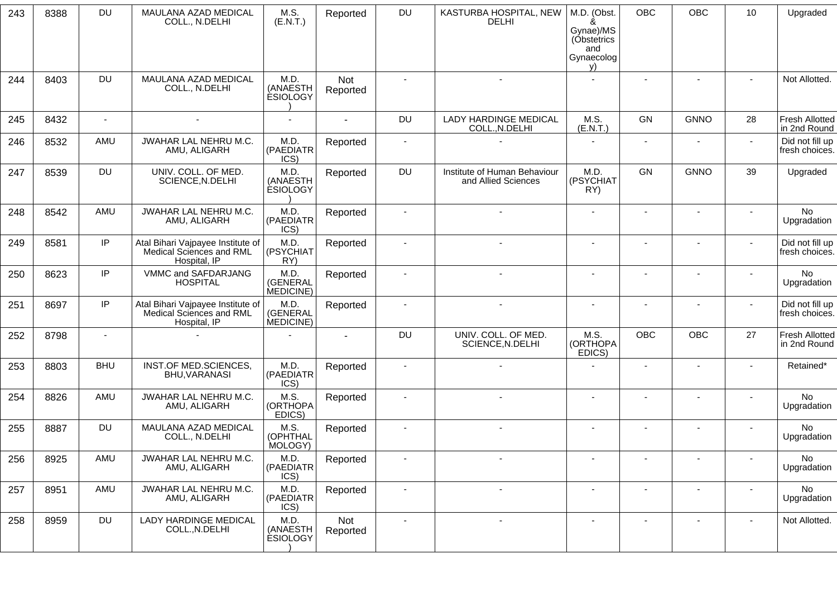| 243 | 8388 | <b>DU</b>      | MAULANA AZAD MEDICAL<br>COLL., N.DELHI                                        | M.S.<br>(E.N.T.)                    | Reported        | DU                       | KASTURBA HOSPITAL, NEW<br><b>DELHI</b>              | M.D. (Obst.<br>&<br>Gynae)/MS<br>(Obstetrics<br>and<br>Gynaecolog<br>y) | <b>OBC</b>     | OBC                      | 10                       | Upgraded                              |
|-----|------|----------------|-------------------------------------------------------------------------------|-------------------------------------|-----------------|--------------------------|-----------------------------------------------------|-------------------------------------------------------------------------|----------------|--------------------------|--------------------------|---------------------------------------|
| 244 | 8403 | <b>DU</b>      | MAULANA AZAD MEDICAL<br>COLL., N.DELHI                                        | M.D.<br>(ANAESTH<br><b>ESIOLOGY</b> | Not<br>Reported | $\sim$                   | $\sim$                                              |                                                                         | $\blacksquare$ | $\overline{\phantom{a}}$ | $\blacksquare$           | Not Allotted.                         |
| 245 | 8432 | $\blacksquare$ | $\blacksquare$                                                                |                                     |                 | DU                       | <b>LADY HARDINGE MEDICAL</b><br>COLL., N.DELHI      | M.S.<br>(E.N.T.)                                                        | GN             | <b>GNNO</b>              | 28                       | <b>Fresh Allotted</b><br>in 2nd Round |
| 246 | 8532 | AMU            | JWAHAR LAL NEHRU M.C.<br>AMU, ALIGARH                                         | M.D.<br>(PAEDIATR<br>ICS)           | Reported        |                          |                                                     |                                                                         |                |                          | $\mathbf{r}$             | Did not fill up<br>fresh choices.     |
| 247 | 8539 | <b>DU</b>      | UNIV. COLL. OF MED.<br>SCIENCE, N.DELHI                                       | M.D.<br>(ANAESTH<br><b>ESIOLOGY</b> | Reported        | DU                       | Institute of Human Behaviour<br>and Allied Sciences | M.D.<br>(PSYCHIAT<br>RY)                                                | GN             | <b>GNNO</b>              | 39                       | Upgraded                              |
| 248 | 8542 | AMU            | JWAHAR LAL NEHRU M.C.<br>AMU, ALIGARH                                         | M.D.<br>(PAEDIATR<br>ICS)           | Reported        |                          | $\blacksquare$                                      | $\sim$                                                                  |                | $\blacksquare$           | $\overline{\phantom{a}}$ | <b>No</b><br>Upgradation              |
| 249 | 8581 | IP             | Atal Bihari Vajpayee Institute of<br>Medical Sciences and RML<br>Hospital, IP | M.D.<br>(PSYCHIAT<br>RY)            | Reported        |                          |                                                     |                                                                         |                |                          | $\sim$                   | Did not fill up<br>fresh choices.     |
| 250 | 8623 | IP             | VMMC and SAFDARJANG<br><b>HOSPITAL</b>                                        | M.D.<br>(GENERAL<br>MEDICINE)       | Reported        |                          |                                                     |                                                                         |                |                          |                          | <b>No</b><br>Upgradation              |
| 251 | 8697 | IP             | Atal Bihari Vajpayee Institute of<br>Medical Sciences and RML<br>Hospital, IP | M.D.<br>(GENERAL<br>MEDICINE)       | Reported        |                          |                                                     |                                                                         |                |                          |                          | Did not fill up<br>fresh choices.     |
| 252 | 8798 | $\blacksquare$ |                                                                               |                                     | $\sim$          | DU                       | UNIV. COLL. OF MED.<br>SCIENCE, N.DELHI             | M.S.<br>(ORTHOPA<br>EDICS)                                              | <b>OBC</b>     | OBC                      | 27                       | <b>Fresh Allotted</b><br>in 2nd Round |
| 253 | 8803 | <b>BHU</b>     | INST.OF MED.SCIENCES,<br>BHU, VARANASI                                        | M.D.<br>(PAEDIATR<br>ICS)           | Reported        | $\blacksquare$           |                                                     |                                                                         |                | $\blacksquare$           |                          | Retained*                             |
| 254 | 8826 | AMU            | JWAHAR LAL NEHRU M.C.<br>AMU, ALIGARH                                         | M.S.<br>(ORTHOPA<br>EDICS)          | Reported        |                          | $\blacksquare$                                      | $\overline{a}$                                                          |                | $\blacksquare$           | $\overline{a}$           | <b>No</b><br>Upgradation              |
| 255 | 8887 | <b>DU</b>      | MAULANA AZAD MEDICAL<br>COLL., N.DELHI                                        | M.S.<br>(OPHTHAL<br>MOLOGY)         | Reported        |                          |                                                     |                                                                         |                |                          |                          | No<br>Upgradation                     |
| 256 | 8925 | AMU            | JWAHAR LAL NEHRU M.C.<br>AMU, ALIGARH                                         | M.D.<br>(PAEDIATR<br>ICS)           | Reported        |                          |                                                     |                                                                         |                |                          |                          | No<br>Upgradation                     |
| 257 | 8951 | AMU            | JWAHAR LAL NEHRU M.C.<br>AMU, ALIGARH                                         | M.D.<br>(PAEDIATR<br>ICS)           | Reported        | $\overline{\phantom{a}}$ | $\blacksquare$                                      |                                                                         |                | $\overline{\phantom{a}}$ |                          | No<br>Upgradation                     |
| 258 | 8959 | <b>DU</b>      | <b>LADY HARDINGE MEDICAL</b><br>COLL., N.DELHI                                | M.D.<br>(ANAESTH<br><b>ESIOLOGY</b> | Not<br>Reported | $\sim$                   | $\overline{\phantom{a}}$                            | $\overline{\phantom{a}}$                                                | $\overline{a}$ | -                        | $\blacksquare$           | Not Allotted.                         |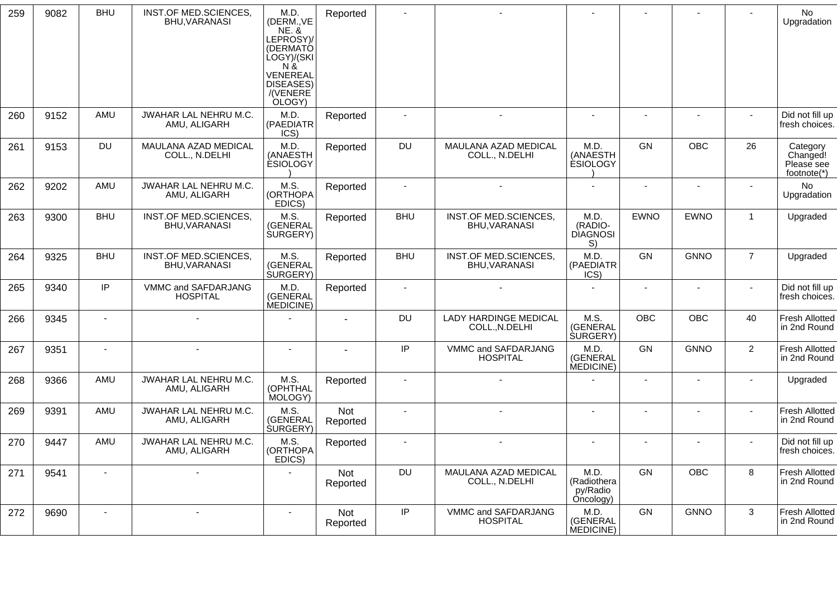| 259 | 9082 | <b>BHU</b>     | INST.OF MED.SCIENCES,<br>BHU, VARANASI        | M.D.<br>(DERM., VE<br><b>NE. &amp;</b><br>LEPROSY)<br>(DERMATÓ<br>LOGY)/(SKI<br>N8<br>VENEREAL<br>DISEASES)<br>/(VENERE)<br>OLOGY) | Reported        |                          |                                                |                                              |                |             |                | No<br>Upgradation                                 |
|-----|------|----------------|-----------------------------------------------|------------------------------------------------------------------------------------------------------------------------------------|-----------------|--------------------------|------------------------------------------------|----------------------------------------------|----------------|-------------|----------------|---------------------------------------------------|
| 260 | 9152 | AMU            | JWAHAR LAL NEHRU M.C.<br>AMU, ALIGARH         | M.D.<br>(PAEDIATR<br>ICS)                                                                                                          | Reported        | $\overline{\phantom{a}}$ | $\sim$                                         |                                              |                |             |                | Did not fill up<br>fresh choices.                 |
| 261 | 9153 | <b>DU</b>      | MAULANA AZAD MEDICAL<br>COLL., N.DELHI        | M.D.<br>(ANAESTH<br><b>ESIOLOGY</b>                                                                                                | Reported        | <b>DU</b>                | MAULANA AZAD MEDICAL<br>COLL., N.DELHI         | M.D.<br>(ANAESTH<br><b>ÉSIOLOGY</b>          | <b>GN</b>      | <b>OBC</b>  | 26             | Category<br>Changed!<br>Please see<br>footnote(*) |
| 262 | 9202 | AMU            | JWAHAR LAL NEHRU M.C.<br>AMU, ALIGARH         | M.S.<br>(ORTHOPA<br>EDICS)                                                                                                         | Reported        | $\blacksquare$           |                                                |                                              |                |             |                | No<br>Upgradation                                 |
| 263 | 9300 | <b>BHU</b>     | INST.OF MED.SCIENCES,<br><b>BHU, VARANASI</b> | M.S.<br>(GENERAL<br><b>SURGERY)</b>                                                                                                | Reported        | <b>BHU</b>               | INST.OF MED.SCIENCES,<br>BHU, VARANASI         | M.D.<br>(RADIO-<br><b>DIAGNOSI</b><br>S)     | <b>EWNO</b>    | <b>EWNO</b> | $\mathbf{1}$   | Upgraded                                          |
| 264 | 9325 | <b>BHU</b>     | INST.OF MED.SCIENCES,<br>BHU, VARANASI        | M.S.<br>(GENERAL<br><b>SURGERY</b> )                                                                                               | Reported        | <b>BHU</b>               | INST.OF MED.SCIENCES,<br>BHU, VARANASI         | M.D.<br>(PAEDIATR<br>ICS)                    | GN             | <b>GNNO</b> | $\overline{7}$ | Upgraded                                          |
| 265 | 9340 | IP             | VMMC and SAFDARJANG<br><b>HOSPITAL</b>        | M.D.<br>(GENERAL<br>MEDICINE)                                                                                                      | Reported        | $\blacksquare$           |                                                |                                              |                |             |                | Did not fill up<br>fresh choices.                 |
| 266 | 9345 |                |                                               |                                                                                                                                    |                 | DU                       | <b>LADY HARDINGE MEDICAL</b><br>COLL., N.DELHI | M.S.<br>(GENERAL<br><b>SURGERY</b> )         | OBC            | OBC         | 40             | Fresh Allotted<br>in 2nd Round                    |
| 267 | 9351 | $\overline{a}$ |                                               |                                                                                                                                    |                 | IP                       | VMMC and SAFDARJANG<br><b>HOSPITAL</b>         | M.D.<br>(GENERAL<br>MEDICINE)                | GN             | <b>GNNO</b> | $\overline{2}$ | Fresh Allotted<br>in 2nd Round                    |
| 268 | 9366 | AMU            | JWAHAR LAL NEHRU M.C.<br>AMU, ALIGARH         | M.S.<br>(OPHTHAL<br>MOLOGY)                                                                                                        | Reported        | $\blacksquare$           |                                                |                                              | $\blacksquare$ |             | $\sim$         | Upgraded                                          |
| 269 | 9391 | AMU            | JWAHAR LAL NEHRU M.C.<br>AMU, ALIGARH         | M.S.<br>(GENERAL<br><b>SURGERY</b> )                                                                                               | Not<br>Reported |                          |                                                |                                              |                |             |                | Fresh Allotted<br>in 2nd Round                    |
| 270 | 9447 | AMU            | JWAHAR LAL NEHRU M.C.<br>AMU, ALIGARH         | M.S.<br>(ORTHOPA<br>EDICS)                                                                                                         | Reported        | ٠                        |                                                |                                              |                |             |                | Did not fill up<br>fresh choices.                 |
| 271 | 9541 |                | $\blacksquare$                                |                                                                                                                                    | Not<br>Reported | DU                       | MAULANA AZAD MEDICAL<br>COLL., N.DELHI         | M.D.<br>(Radiothera<br>py/Radio<br>Oncology) | GN             | <b>OBC</b>  | 8              | Fresh Allotted<br>in 2nd Round                    |
| 272 | 9690 | $\blacksquare$ | $\blacksquare$                                | $\sim$                                                                                                                             | Not<br>Reported | IP                       | VMMC and SAFDARJANG<br><b>HOSPITAL</b>         | M.D.<br>(GENERAL<br>MEDICINE)                | GN             | <b>GNNO</b> | 3              | Fresh Allotted<br>in 2nd Round                    |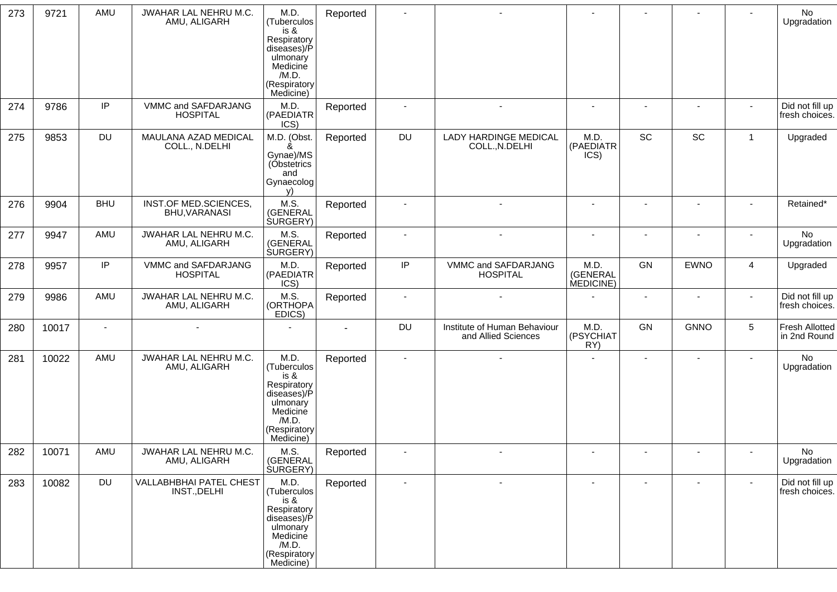| 273 | 9721  | AMU        | JWAHAR LAL NEHRU M.C.<br>AMU, ALIGARH   | M.D.<br>(Tuberculos<br>$is 8$<br>Respiratory<br>diseases)/P<br>ulmonary<br>Medicine<br>/M.D.<br>(Respiratory<br>Medicine) | Reported | $\sim$                   |                                                     |                               | $\blacksquare$           | $\blacksquare$           |                | No<br>Upgradation                     |
|-----|-------|------------|-----------------------------------------|---------------------------------------------------------------------------------------------------------------------------|----------|--------------------------|-----------------------------------------------------|-------------------------------|--------------------------|--------------------------|----------------|---------------------------------------|
| 274 | 9786  | IP         | VMMC and SAFDARJANG<br><b>HOSPITAL</b>  | M.D.<br>(PAEDIATR<br>ICS)                                                                                                 | Reported | $\blacksquare$           | $\sim$                                              | $\sim$                        | $\blacksquare$           |                          |                | Did not fill up<br>fresh choices.     |
| 275 | 9853  | <b>DU</b>  | MAULANA AZAD MEDICAL<br>COLL., N.DELHI  | M.D. (Obst.<br>Gynae)/MS<br>(Obstetrics<br>and<br>Gynaecolog<br>$\mathcal{N}$                                             | Reported | DU                       | LADY HARDINGE MEDICAL<br>COLL., N.DELHI             | M.D.<br>(PAEDIATR<br>ICS)     | SC                       | SC                       | $\overline{1}$ | Upgraded                              |
| 276 | 9904  | <b>BHU</b> | INST.OF MED.SCIENCES,<br>BHU, VARANASI  | M.S.<br>(GENERAL<br><b>SURGERY</b> )                                                                                      | Reported | $\blacksquare$           | $\overline{a}$                                      | $\sim$                        | $\sim$                   | $\blacksquare$           |                | Retained*                             |
| 277 | 9947  | AMU        | JWAHAR LAL NEHRU M.C.<br>AMU, ALIGARH   | M.S.<br>(GENERAL<br>SURGERY)                                                                                              | Reported | $\overline{\phantom{a}}$ | $\blacksquare$                                      | $\blacksquare$                | $\overline{\phantom{a}}$ | $\overline{\phantom{a}}$ | $\sim$         | No<br>Upgradation                     |
| 278 | 9957  | IP         | VMMC and SAFDARJANG<br><b>HOSPITAL</b>  | M.D.<br>(PAEDIATR<br>ICS)                                                                                                 | Reported | IP                       | VMMC and SAFDARJANG<br><b>HOSPITAL</b>              | M.D.<br>(GENERAL<br>MEDICINE) | GN                       | <b>EWNO</b>              | 4              | Upgraded                              |
| 279 | 9986  | AMU        | JWAHAR LAL NEHRU M.C.<br>AMU, ALIGARH   | M.S.<br>(ORTHOPA<br>EDICS)                                                                                                | Reported | $\sim$                   |                                                     |                               | $\blacksquare$           | $\overline{\phantom{a}}$ | $\sim$         | Did not fill up<br>fresh choices.     |
| 280 | 10017 |            |                                         |                                                                                                                           |          | DU                       | Institute of Human Behaviour<br>and Allied Sciences | M.D.<br>(PSYCHIAT<br>RY)      | GN                       | <b>GNNO</b>              | 5              | <b>Fresh Allotted</b><br>in 2nd Round |
| 281 | 10022 | AMU        | JWAHAR LAL NEHRU M.C.<br>AMU, ALIGARH   | M.D.<br>(Tuberculos<br>is &<br>Respiratory<br>diseases)/P<br>ulmonary<br>Medicine<br>/M.D.<br>(Respiratory<br>Medicine)   | Reported | $\blacksquare$           |                                                     |                               |                          | $\overline{\phantom{a}}$ |                | No<br>Upgradation                     |
| 282 | 10071 | AMU        | JWAHAR LAL NEHRU M.C.<br>AMU, ALIGARH   | M.S.<br>(GENERAL<br>SURGERY)                                                                                              | Reported |                          |                                                     |                               |                          |                          |                | No<br>Upgradation                     |
| 283 | 10082 | <b>DU</b>  | VALLABHBHAI PATEL CHEST<br>INST., DELHI | M.D.<br>(Tuberculos<br>is &<br>Respiratory<br>diseases)/P<br>ulmonary<br>Medicine<br>/M.D.<br>(Respiratory<br>Medicine)   | Reported | $\overline{\phantom{a}}$ |                                                     |                               |                          |                          |                | Did not fill up<br>fresh choices.     |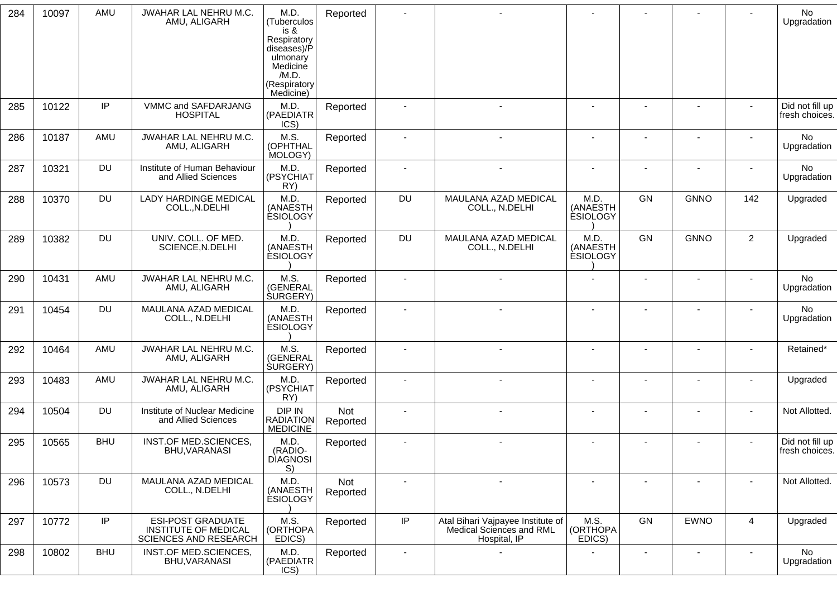| 284 | 10097 | AMU        | JWAHAR LAL NEHRU M.C.<br>AMU, ALIGARH                                                   | M.D.<br>(Tuberculos<br>$is 8$<br>Respiratory<br>diseases)/P<br>ulmonary<br>Medicine<br>/M.D.<br>(Respiratory<br>Medicine) | Reported        |                          |                                                                               |                                     |    |                          |                          | <b>No</b><br>Upgradation          |
|-----|-------|------------|-----------------------------------------------------------------------------------------|---------------------------------------------------------------------------------------------------------------------------|-----------------|--------------------------|-------------------------------------------------------------------------------|-------------------------------------|----|--------------------------|--------------------------|-----------------------------------|
| 285 | 10122 | IP         | VMMC and SAFDARJANG<br><b>HOSPITAL</b>                                                  | M.D.<br>(PAEDIATR<br>ICS)                                                                                                 | Reported        | $\blacksquare$           |                                                                               |                                     |    |                          |                          | Did not fill up<br>fresh choices. |
| 286 | 10187 | AMU        | JWAHAR LAL NEHRU M.C.<br>AMU, ALIGARH                                                   | M.S.<br>(OPHTHAL<br>MOLOGY)                                                                                               | Reported        | -                        |                                                                               |                                     |    |                          |                          | No<br>Upgradation                 |
| 287 | 10321 | <b>DU</b>  | Institute of Human Behaviour<br>and Allied Sciences                                     | M.D.<br>(PSYCHIAT<br>RY)                                                                                                  | Reported        | $\overline{\phantom{a}}$ |                                                                               |                                     |    |                          |                          | No<br>Upgradation                 |
| 288 | 10370 | <b>DU</b>  | <b>LADY HARDINGE MEDICAL</b><br>COLL., N.DELHI                                          | M.D.<br>(ANAESTH<br><b>ESIOLOGY</b>                                                                                       | Reported        | DU                       | MAULANA AZAD MEDICAL<br>COLL., N.DELHI                                        | M.D.<br>(ANAESTH<br><b>ESIOLOGY</b> | GN | <b>GNNO</b>              | 142                      | Upgraded                          |
| 289 | 10382 | <b>DU</b>  | UNIV. COLL. OF MED.<br>SCIENCE, N.DELHI                                                 | M.D.<br>(ANAESTH<br><b>ESIOLOGY</b>                                                                                       | Reported        | DU                       | MAULANA AZAD MEDICAL<br>COLL., N.DELHI                                        | M.D.<br>(ANAESTH<br><b>ESIOLOGY</b> | GN | <b>GNNO</b>              | $\overline{a}$           | Upgraded                          |
| 290 | 10431 | AMU        | JWAHAR LAL NEHRU M.C.<br>AMU, ALIGARH                                                   | M.S.<br>(GENERAL<br><b>SURGERY</b> )                                                                                      | Reported        | $\blacksquare$           |                                                                               |                                     |    |                          | $\overline{\phantom{a}}$ | No<br>Upgradation                 |
| 291 | 10454 | <b>DU</b>  | MAULANA AZAD MEDICAL<br>COLL., N.DELHI                                                  | M.D.<br>(ANAESTH<br><b>ESIOLOGY</b>                                                                                       | Reported        | $\sim$                   |                                                                               |                                     |    |                          |                          | No<br>Upgradation                 |
| 292 | 10464 | AMU        | JWAHAR LAL NEHRU M.C.<br>AMU, ALIGARH                                                   | M.S.<br>(GENERAL<br><b>SURGERY</b> )                                                                                      | Reported        | $\blacksquare$           |                                                                               |                                     |    |                          |                          | Retained*                         |
| 293 | 10483 | AMU        | JWAHAR LAL NEHRU M.C.<br>AMU, ALIGARH                                                   | M.D.<br>(PSYCHIAT<br>RY)                                                                                                  | Reported        | $\overline{\phantom{a}}$ |                                                                               |                                     |    | $\overline{\phantom{a}}$ |                          | Upgraded                          |
| 294 | 10504 | <b>DU</b>  | Institute of Nuclear Medicine<br>and Allied Sciences                                    | DIP IN<br>RADIATION<br><b>MEDICINE</b>                                                                                    | Not<br>Reported | $\overline{\phantom{a}}$ |                                                                               |                                     |    |                          | $\overline{\phantom{0}}$ | Not Allotted.                     |
| 295 | 10565 | <b>BHU</b> | INST.OF MED.SCIENCES,<br>BHU, VARANASI                                                  | M.D.<br>(RADIO-<br><b>DIAGNOSI</b><br>S)                                                                                  | Reported        | $\blacksquare$           |                                                                               |                                     |    |                          |                          | Did not fill up<br>fresh choices. |
| 296 | 10573 | <b>DU</b>  | MAULANA AZAD MEDICAL<br>COLL., N.DELHI                                                  | M.D.<br>(ANAESTH<br><b>ESIOLOGY</b>                                                                                       | Not<br>Reported | $\blacksquare$           |                                                                               | $\sim$                              |    | $\overline{\phantom{a}}$ |                          | Not Allotted.                     |
| 297 | 10772 | IP         | <b>ESI-POST GRADUATE</b><br><b>INSTITUTE OF MEDICAL</b><br><b>SCIENCES AND RESEARCH</b> | M.S.<br>(ORTHOPA<br>EDICS)                                                                                                | Reported        | IP                       | Atal Bihari Vajpayee Institute of<br>Medical Sciences and RML<br>Hospital, IP | M.S.<br>(ORTHOPA<br>EDICS)          | GN | <b>EWNO</b>              | $\overline{4}$           | Upgraded                          |
| 298 | 10802 | <b>BHU</b> | INST.OF MED.SCIENCES,<br>BHU, VARANASI                                                  | M.D.<br>(PAEDIATR<br>ICS)                                                                                                 | Reported        | $\overline{\phantom{a}}$ |                                                                               |                                     |    | $\overline{\phantom{a}}$ | $\overline{\phantom{a}}$ | No<br>Upgradation                 |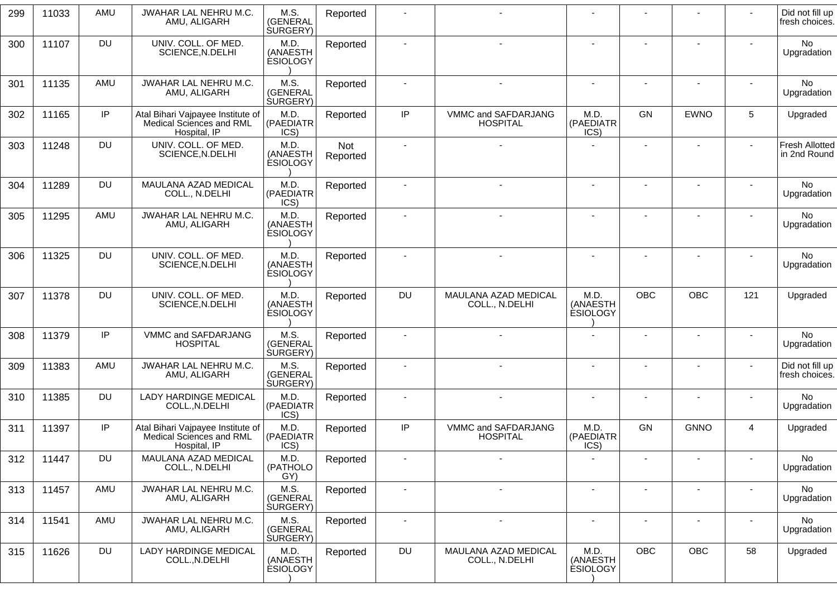| 299 | 11033 | AMU       | JWAHAR LAL NEHRU M.C.<br>AMU, ALIGARH                                         | M.S.<br>(GENERAL<br><b>SURGERY</b> ) | Reported        |                          |                                        |                                     |                          |                          |                          | Did not fill up<br>fresh choices.     |
|-----|-------|-----------|-------------------------------------------------------------------------------|--------------------------------------|-----------------|--------------------------|----------------------------------------|-------------------------------------|--------------------------|--------------------------|--------------------------|---------------------------------------|
| 300 | 11107 | DU        | UNIV. COLL. OF MED.<br>SCIENCE, N.DELHI                                       | M.D.<br>(ANAESTH<br><b>ESIOLOGY</b>  | Reported        |                          | $\blacksquare$                         | $\overline{\phantom{a}}$            |                          |                          |                          | No<br>Upgradation                     |
| 301 | 11135 | AMU       | JWAHAR LAL NEHRU M.C.<br>AMU, ALIGARH                                         | M.S.<br>(GENERAL<br>SURGERY)         | Reported        |                          |                                        |                                     |                          |                          |                          | No<br>Upgradation                     |
| 302 | 11165 | IP        | Atal Bihari Vajpayee Institute of<br>Medical Sciences and RML<br>Hospital, IP | M.D.<br>(PAEDIATR<br>ICS)            | Reported        | IP                       | VMMC and SAFDARJANG<br><b>HOSPITAL</b> | M.D.<br>(PAEDIATR<br>ICS)           | <b>GN</b>                | <b>EWNO</b>              | 5                        | Upgraded                              |
| 303 | 11248 | DU        | UNIV. COLL. OF MED.<br>SCIENCE, N.DELHI                                       | M.D.<br>(ANAESTH<br><b>ESIOLOGY</b>  | Not<br>Reported |                          |                                        |                                     | ٠                        |                          | $\sim$                   | <b>Fresh Allotted</b><br>in 2nd Round |
| 304 | 11289 | DU        | MAULANA AZAD MEDICAL<br>COLL., N.DELHI                                        | M.D.<br>(PAEDIATR<br>ICS)            | Reported        |                          |                                        |                                     |                          |                          |                          | No<br>Upgradation                     |
| 305 | 11295 | AMU       | JWAHAR LAL NEHRU M.C.<br>AMU, ALIGARH                                         | M.D.<br>(ANAESTH<br><b>ÉSIOLOGY</b>  | Reported        |                          |                                        |                                     |                          |                          |                          | No<br>Upgradation                     |
| 306 | 11325 | <b>DU</b> | UNIV. COLL. OF MED.<br>SCIENCE, N.DELHI                                       | M.D.<br>(ANAESTH<br><b>ESIOLOGY</b>  | Reported        |                          |                                        |                                     |                          |                          |                          | No<br>Upgradation                     |
| 307 | 11378 | <b>DU</b> | UNIV. COLL. OF MED.<br>SCIENCE, N.DELHI                                       | M.D.<br>(ANAESTH<br><b>ESIOLOGY</b>  | Reported        | <b>DU</b>                | MAULANA AZAD MEDICAL<br>COLL., N.DELHI | M.D.<br>(ANAESTH<br><b>ESIOLOGY</b> | <b>OBC</b>               | <b>OBC</b>               | 121                      | Upgraded                              |
| 308 | 11379 | IP        | VMMC and SAFDARJANG<br><b>HOSPITAL</b>                                        | M.S.<br>(GENERAL<br>SURGERY)         | Reported        |                          |                                        | ٠                                   |                          |                          |                          | No<br>Upgradation                     |
| 309 | 11383 | AMU       | JWAHAR LAL NEHRU M.C.<br>AMU, ALIGARH                                         | M.S.<br>(GENERAL<br><b>SURGERY</b> ) | Reported        | $\overline{\phantom{a}}$ | $\blacksquare$                         | ٠                                   | $\overline{a}$           | $\overline{\phantom{a}}$ | $\blacksquare$           | Did not fill up<br>fresh choices.     |
| 310 | 11385 | DU        | LADY HARDINGE MEDICAL<br>COLL., N.DELHI                                       | M.D.<br>(PAEDIATR<br>ICS)            | Reported        | $\blacksquare$           | $\blacksquare$                         | $\blacksquare$                      | ٠                        | $\overline{\phantom{a}}$ | ٠                        | No<br>Upgradation                     |
| 311 | 11397 | IP        | Atal Bihari Vajpayee Institute of<br>Medical Sciences and RML<br>Hospital, IP | M.D.<br>(PAEDIATR<br>ICS)            | Reported        | IP                       | VMMC and SAFDARJANG<br><b>HOSPITAL</b> | M.D.<br>(PAEDIATR<br>ICS)           | GN                       | <b>GNNO</b>              | $\overline{4}$           | Upgraded                              |
| 312 | 11447 | DU        | MAULANA AZAD MEDICAL<br>COLL., N.DELHI                                        | M.D.<br>(PATHOLO<br>GY)              | Reported        |                          |                                        |                                     |                          |                          |                          | No<br>Upgradation                     |
| 313 | 11457 | AMU       | JWAHAR LAL NEHRU M.C.<br>AMU, ALIGARH                                         | M.S.<br>(GENERAL<br><b>SURGERY</b> ) | Reported        | $\overline{\phantom{a}}$ | $\overline{\phantom{a}}$               | $\overline{\phantom{a}}$            | $\overline{a}$           | $\overline{\phantom{a}}$ | ٠                        | No<br>Upgradation                     |
| 314 | 11541 | AMU       | JWAHAR LAL NEHRU M.C.<br>AMU, ALIGARH                                         | M.S.<br>(GENERAL<br><b>SURGERY</b> ) | Reported        | $\overline{\phantom{a}}$ | $\overline{\phantom{a}}$               | $\blacksquare$                      | $\overline{\phantom{a}}$ | $\overline{\phantom{a}}$ | $\overline{\phantom{a}}$ | No.<br>Upgradation                    |
| 315 | 11626 | <b>DU</b> | <b>LADY HARDINGE MEDICAL</b><br>COLL., N.DELHI                                | M.D.<br>(ANAESTH<br><b>ESIOLOGY</b>  | Reported        | DU                       | MAULANA AZAD MEDICAL<br>COLL., N.DELHI | M.D.<br>(ANAESTH<br><b>ESIOLOGY</b> | <b>OBC</b>               | OBC                      | 58                       | Upgraded                              |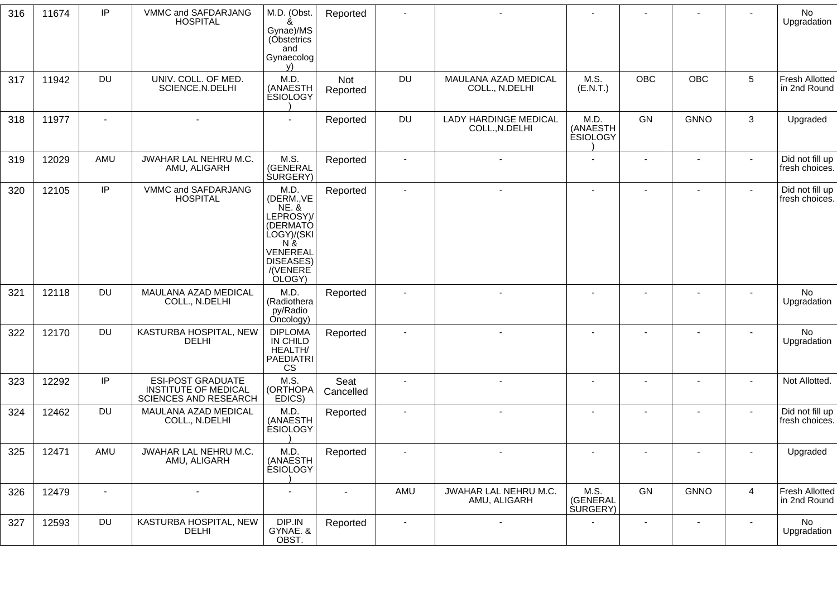| 316 | 11674 | IP        | VMMC and SAFDARJANG<br><b>HOSPITAL</b>                                           | M.D. (Obst.<br>ጼ<br>Gynae)/MS<br>(Obstetrics<br>and<br>Gynaecolog<br>V)                                                                   | Reported          |                |                                                |                                      |                |                          |                | No<br>Upgradation                     |
|-----|-------|-----------|----------------------------------------------------------------------------------|-------------------------------------------------------------------------------------------------------------------------------------------|-------------------|----------------|------------------------------------------------|--------------------------------------|----------------|--------------------------|----------------|---------------------------------------|
| 317 | 11942 | <b>DU</b> | UNIV. COLL. OF MED.<br>SCIENCE, N.DELHI                                          | M.D<br>(ANAESTH<br><b>ESIOLOGY</b>                                                                                                        | Not<br>Reported   | DU             | MAULANA AZAD MEDICAL<br>COLL., N.DELHI         | M.S.<br>(E.N.T.)                     | OBC            | OBC                      | $\overline{5}$ | <b>Fresh Allotted</b><br>in 2nd Round |
| 318 | 11977 |           |                                                                                  |                                                                                                                                           | Reported          | DU             | <b>LADY HARDINGE MEDICAL</b><br>COLL., N.DELHI | M.D.<br>(ANAESTH<br><b>ESIOLOGY</b>  | <b>GN</b>      | <b>GNNO</b>              | 3              | Upgraded                              |
| 319 | 12029 | AMU       | JWAHAR LAL NEHRU M.C.<br>AMU, ALIGARH                                            | M.S.<br>(GENERAL<br><b>SURGERY</b> )                                                                                                      | Reported          |                |                                                |                                      |                |                          |                | Did not fill up<br>fresh choices.     |
| 320 | 12105 | IP        | VMMC and SAFDARJANG<br><b>HOSPITAL</b>                                           | M.D.<br>(DERM., VE<br><b>NE. &amp;</b><br>LEPROSY)/<br>(DERMATÓ<br>LOGY)/(SKI<br>$N$ $\&$<br>VENEREAL<br>DISEASES)<br>/(VENERE)<br>OLOGY) | Reported          |                |                                                |                                      |                |                          |                | Did not fill up<br>fresh choices.     |
| 321 | 12118 | <b>DU</b> | MAULANA AZAD MEDICAL<br>COLL., N.DELHI                                           | M.D.<br>(Radiothera<br>py/Radio<br>Oncology)                                                                                              | Reported          |                |                                                |                                      |                | $\overline{\phantom{a}}$ |                | No<br>Upgradation                     |
| 322 | 12170 | <b>DU</b> | KASTURBA HOSPITAL, NEW<br><b>DELHI</b>                                           | <b>DIPLOMA</b><br>IN CHILD<br>HEALTH/<br>PAEDIATRI<br>CS                                                                                  | Reported          |                |                                                |                                      |                |                          |                | No<br>Upgradation                     |
| 323 | 12292 | IP        | <b>ESI-POST GRADUATE</b><br><b>INSTITUTE OF MEDICAL</b><br>SCIENCES AND RESEARCH | M.S.<br>(ORTHOPA<br>EDICS)                                                                                                                | Seat<br>Cancelled |                |                                                |                                      |                |                          |                | Not Allotted.                         |
| 324 | 12462 | <b>DU</b> | MAULANA AZAD MEDICAL<br>COLL., N.DELHI                                           | M.D.<br>(ANAESTH<br><b>ESIOLOGY</b>                                                                                                       | Reported          |                |                                                | ٠                                    | $\blacksquare$ | $\blacksquare$           |                | Did not fill up<br>fresh choices.     |
| 325 | 12471 | AMU       | JWAHAR LAL NEHRU M.C.<br>AMU, ALIGARH                                            | M.D.<br>(ANAESTH<br><b>ESIOLOGY</b>                                                                                                       | Reported          |                |                                                |                                      |                |                          |                | Upgraded                              |
| 326 | 12479 | $\sim$    | $\blacksquare$                                                                   | $\blacksquare$                                                                                                                            | $\sim$            | AMU            | JWAHAR LAL NEHRU M.C.<br>AMU, ALIGARH          | M.S.<br>(GENERAL<br><b>SURGERY</b> ) | GN             | <b>GNNO</b>              | $\overline{a}$ | Fresh Allotted<br>in 2nd Round        |
| 327 | 12593 | <b>DU</b> | KASTURBA HOSPITAL, NEW<br><b>DELHI</b>                                           | DIP.IN<br>GYNAE. &<br>OBST.                                                                                                               | Reported          | $\blacksquare$ | $\blacksquare$                                 | $\blacksquare$                       | $\blacksquare$ | $\blacksquare$           | $\sim$         | No<br>Upgradation                     |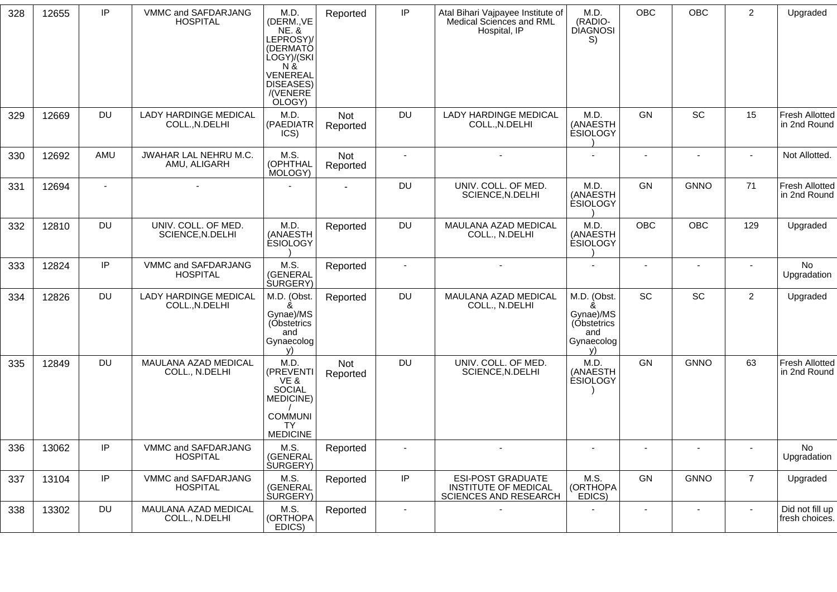| 328 | 12655 | IP             | VMMC and SAFDARJANG<br><b>HOSPITAL</b>         | M.D.<br>(DERM., VE<br><b>NE. &amp;</b><br>LEPROSY)/<br>(DERMATÓ<br>LOGY)/(SKI<br>N &<br>VENEREAL<br>DISEASES)<br>/(VENERE)<br>OLOGY) | Reported               | IP                       | Atal Bihari Vajpayee Institute of<br>Medical Sciences and RML<br>Hospital, IP    | M.D.<br>(RADIO-<br><b>DIAGNOSI</b><br>S)                                | OBC                      | OBC                      | $\overline{2}$ | Upgraded                              |
|-----|-------|----------------|------------------------------------------------|--------------------------------------------------------------------------------------------------------------------------------------|------------------------|--------------------------|----------------------------------------------------------------------------------|-------------------------------------------------------------------------|--------------------------|--------------------------|----------------|---------------------------------------|
| 329 | 12669 | <b>DU</b>      | <b>LADY HARDINGE MEDICAL</b><br>COLL., N.DELHI | M.D.<br>(PAEDIATR<br>ICS)                                                                                                            | <b>Not</b><br>Reported | <b>DU</b>                | <b>LADY HARDINGE MEDICAL</b><br>COLL., N.DELHI                                   | M.D.<br>(ANAESTH<br><b>ESIOLOGY</b>                                     | GN                       | SC                       | 15             | <b>Fresh Allotted</b><br>in 2nd Round |
| 330 | 12692 | AMU            | JWAHAR LAL NEHRU M.C.<br>AMU, ALIGARH          | M.S.<br>(OPHTHAL<br>MOLOGY)                                                                                                          | <b>Not</b><br>Reported | $\blacksquare$           |                                                                                  |                                                                         |                          |                          |                | Not Allotted.                         |
| 331 | 12694 | $\blacksquare$ |                                                |                                                                                                                                      |                        | <b>DU</b>                | UNIV. COLL. OF MED.<br>SCIENCE, N.DELHI                                          | M.D.<br>(ANAESTH<br><b>ESIOLOGY</b>                                     | GN                       | <b>GNNO</b>              | 71             | <b>Fresh Allotted</b><br>in 2nd Round |
| 332 | 12810 | <b>DU</b>      | UNIV. COLL. OF MED.<br>SCIENCE, N.DELHI        | M.D.<br>(ANAESTH<br><b>ESIOLOGY</b>                                                                                                  | Reported               | <b>DU</b>                | MAULANA AZAD MEDICAL<br>COLL., N.DELHI                                           | M.D.<br>(ANAESTH<br><b>ESIOLOGY</b>                                     | <b>OBC</b>               | <b>OBC</b>               | 129            | Upgraded                              |
| 333 | 12824 | IP             | VMMC and SAFDARJANG<br><b>HOSPITAL</b>         | M.S.<br>(GENERAL<br><b>SURGERY</b> )                                                                                                 | Reported               | $\sim$                   | $\overline{a}$                                                                   | $\sim$                                                                  | $\sim$                   | $\blacksquare$           | $\sim$         | No<br>Upgradation                     |
| 334 | 12826 | <b>DU</b>      | <b>LADY HARDINGE MEDICAL</b><br>COLL., N.DELHI | M.D. (Obst.<br>&<br>Gynae)/MS<br>(Obstetrics<br>and<br>Gynaecolog<br>v)                                                              | Reported               | <b>DU</b>                | MAULANA AZAD MEDICAL<br>COLL., N.DELHI                                           | M.D. (Obst.<br>&<br>Gynae)/MS<br>(Obstetrics<br>and<br>Gynaecolog<br>v) | SC                       | SC                       | $\overline{2}$ | Upgraded                              |
| 335 | 12849 | <b>DU</b>      | MAULANA AZAD MEDICAL<br>COLL., N.DELHI         | M.D.<br>(PREVENTI<br>VE&<br>SOCIAL<br>MEDICINE)<br><b>COMMUNI</b><br><b>TY</b><br><b>MEDICINE</b>                                    | Not<br>Reported        | <b>DU</b>                | UNIV. COLL. OF MED.<br>SCIENCE, N.DELHI                                          | M.D.<br>(ANAESTH<br><b>ESIOLOGY</b>                                     | GN                       | <b>GNNO</b>              | 63             | <b>Fresh Allotted</b><br>in 2nd Round |
| 336 | 13062 | IP             | VMMC and SAFDARJANG<br><b>HOSPITAL</b>         | M.S.<br>(GENERAL<br><b>SURGERY</b> )                                                                                                 | Reported               |                          |                                                                                  | $\sim$                                                                  |                          |                          |                | No<br>Upgradation                     |
| 337 | 13104 | IP             | VMMC and SAFDARJANG<br><b>HOSPITAL</b>         | M.S.<br>(GENERAL<br><b>SURGERY)</b>                                                                                                  | Reported               | IP                       | <b>ESI-POST GRADUATE</b><br><b>INSTITUTE OF MEDICAL</b><br>SCIENCES AND RESEARCH | M.S.<br>(ORTHOPA<br>EDICS)                                              | GN                       | <b>GNNO</b>              | $\overline{7}$ | Upgraded                              |
| 338 | 13302 | <b>DU</b>      | MAULANA AZAD MEDICAL<br>COLL., N.DELHI         | M.S.<br>(ORTHOPA<br>EDICS)                                                                                                           | Reported               | $\overline{\phantom{a}}$ |                                                                                  |                                                                         | $\overline{\phantom{a}}$ | $\overline{\phantom{a}}$ | $\blacksquare$ | Did not fill up<br>fresh choices.     |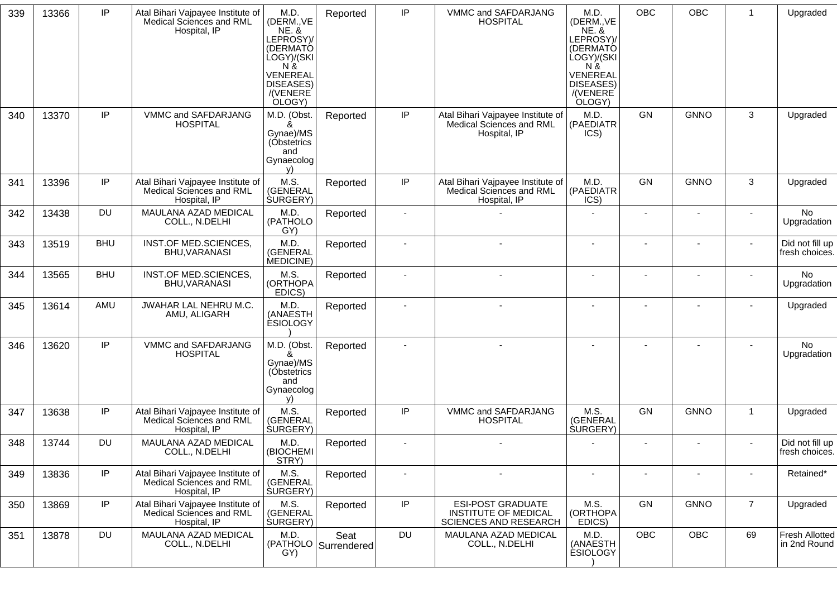| 339 | 13366 | IP         | Atal Bihari Vajpayee Institute of<br>Medical Sciences and RML<br>Hospital, IP | M.D.<br>(DERM., VE<br><b>NE. &amp;</b><br>LEPROSY)/<br>(DERMATÓ<br>ÙOGY)/(SKI<br>N &<br>VENEREAL<br>DISEASES)<br>/(VENERE)<br>OLOGY) | Reported                      | IP                       | VMMC and SAFDARJANG<br><b>HOSPITAL</b>                                                  | M.D.<br>(DERM., VE<br><b>NE. &amp;</b><br>LEPROSY)/<br>(DERMATÓ<br>LOGY)/(SKI<br>$N \&$<br>VENEREAL<br><b>DISEASES)</b><br>/(VENERE)<br>OLOGY) | <b>OBC</b> | OBC            | $\overline{1}$ | Upgraded                              |
|-----|-------|------------|-------------------------------------------------------------------------------|--------------------------------------------------------------------------------------------------------------------------------------|-------------------------------|--------------------------|-----------------------------------------------------------------------------------------|------------------------------------------------------------------------------------------------------------------------------------------------|------------|----------------|----------------|---------------------------------------|
| 340 | 13370 | IP         | VMMC and SAFDARJANG<br><b>HOSPITAL</b>                                        | M.D. (Obst.<br>ጼ<br>Gynae)/MS<br>(Obstetrics<br>and<br>Gynaecolog<br>v)                                                              | Reported                      | IP                       | Atal Bihari Vajpayee Institute of<br>Medical Sciences and RML<br>Hospital, IP           | M.D.<br>(PAEDIATR<br>ICS)                                                                                                                      | GN         | <b>GNNO</b>    | 3              | Upgraded                              |
| 341 | 13396 | IP         | Atal Bihari Vajpayee Institute of<br>Medical Sciences and RML<br>Hospital, IP | M.S.<br>(GENERAL<br><b>SURGERY</b> )                                                                                                 | Reported                      | IP                       | Atal Bihari Vajpayee Institute of<br>Medical Sciences and RML<br>Hospital, IP           | M.D.<br>(PAEDIATR<br>ICS)                                                                                                                      | GN         | <b>GNNO</b>    | 3              | Upgraded                              |
| 342 | 13438 | <b>DU</b>  | MAULANA AZAD MEDICAL<br>COLL., N.DELHI                                        | M.D.<br>(PATHOLO<br>GY)                                                                                                              | Reported                      |                          |                                                                                         |                                                                                                                                                |            |                |                | <b>No</b><br>Upgradation              |
| 343 | 13519 | <b>BHU</b> | INST.OF MED.SCIENCES,<br>BHU, VARANASI                                        | M.D.<br>(GENERAL<br>MEDICINE)                                                                                                        | Reported                      |                          |                                                                                         |                                                                                                                                                |            |                |                | Did not fill up<br>fresh choices.     |
| 344 | 13565 | <b>BHU</b> | INST.OF MED.SCIENCES,<br>BHU, VARANASI                                        | M.S.<br>(ORTHOPA<br>EDICS)                                                                                                           | Reported                      | $\blacksquare$           |                                                                                         |                                                                                                                                                |            |                |                | No.<br>Upgradation                    |
| 345 | 13614 | AMU        | <b>JWAHAR LAL NEHRU M.C.</b><br>AMU, ALIGARH                                  | M.D.<br>(ANAESTH<br><b>ESIOLOGY</b>                                                                                                  | Reported                      | $\overline{\phantom{a}}$ |                                                                                         |                                                                                                                                                |            |                |                | Upgraded                              |
| 346 | 13620 | IP         | VMMC and SAFDARJANG<br><b>HOSPITAL</b>                                        | M.D. (Obst.<br>Gynae)/MS<br>(Obstetrics<br>and<br>Gynaecolog<br>v)                                                                   | Reported                      |                          |                                                                                         |                                                                                                                                                |            |                |                | No<br>Upgradation                     |
| 347 | 13638 | IP         | Atal Bihari Vajpayee Institute of<br>Medical Sciences and RML<br>Hospital, IP | M.S.<br>(GENERAL<br><b>SURGERY</b> )                                                                                                 | Reported                      | IP                       | VMMC and SAFDARJANG<br><b>HOSPITAL</b>                                                  | M.S.<br>(GENERAL<br><b>SURGERY</b> )                                                                                                           | GN         | <b>GNNO</b>    | -1             | Upgraded                              |
| 348 | 13744 | <b>DU</b>  | MAULANA AZAD MEDICAL<br>COLL., N.DELHI                                        | M.D.<br>(BIOCHEMI<br>STRY)                                                                                                           | Reported                      | $\blacksquare$           |                                                                                         |                                                                                                                                                |            |                |                | Did not fill up<br>fresh choices.     |
| 349 | 13836 | IP         | Atal Bihari Vajpayee Institute of<br>Medical Sciences and RML<br>Hospital, IP | M.S.<br>(GENERAL<br><b>SURGERY</b> )                                                                                                 | Reported                      | $\blacksquare$           | $\sim$                                                                                  | $\blacksquare$                                                                                                                                 | $\sim$     | $\blacksquare$ | $\blacksquare$ | Retained*                             |
| 350 | 13869 | IP         | Atal Bihari Vajpayee Institute of<br>Medical Sciences and RML<br>Hospital, IP | M.S.<br>(GENERAL<br><b>SURGERY</b> )                                                                                                 | Reported                      | IP                       | <b>ESI-POST GRADUATE</b><br><b>INSTITUTE OF MEDICAL</b><br><b>SCIENCES AND RESEARCH</b> | M.S.<br>(ORTHOPA<br>EDICS)                                                                                                                     | GN         | <b>GNNO</b>    | $\overline{7}$ | Upgraded                              |
| 351 | 13878 | DU         | MAULANA AZAD MEDICAL<br>COLL., N.DELHI                                        | M.D.<br>GY)                                                                                                                          | Seat<br>(PATHOLO Surrendered) | <b>DU</b>                | MAULANA AZAD MEDICAL<br>COLL., N.DELHI                                                  | M.D.<br>(ANAESTH<br><b>ESIOLOGY</b>                                                                                                            | <b>OBC</b> | OBC            | 69             | <b>Fresh Allotted</b><br>in 2nd Round |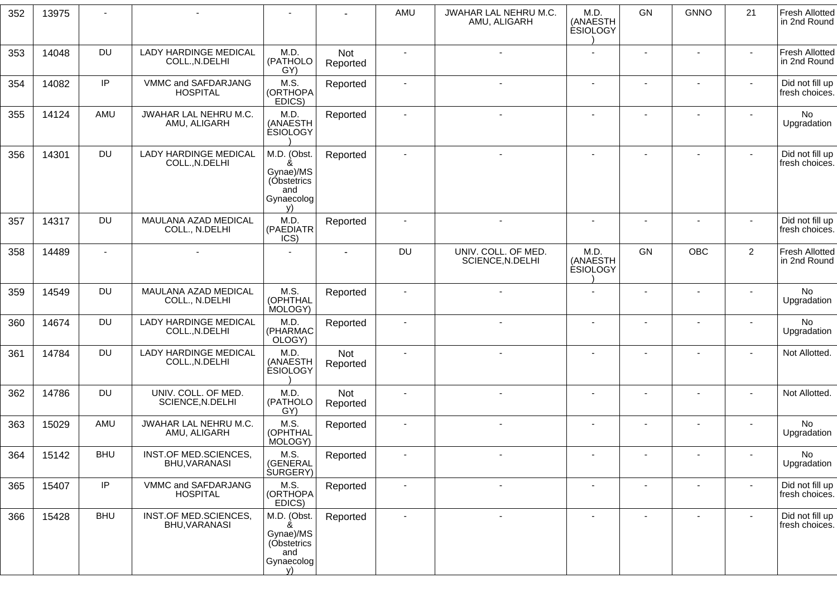| 352 | 13975 |            |                                                |                                                                         |                        | AMU                      | JWAHAR LAL NEHRU M.C.<br>AMU, ALIGARH   | M.D.<br>(ANAESTH<br><b>ESIOLOGY</b> | GN                           | <b>GNNO</b>              | 21                       | <b>Fresh Allotted</b><br>in 2nd Round |
|-----|-------|------------|------------------------------------------------|-------------------------------------------------------------------------|------------------------|--------------------------|-----------------------------------------|-------------------------------------|------------------------------|--------------------------|--------------------------|---------------------------------------|
| 353 | 14048 | <b>DU</b>  | <b>LADY HARDINGE MEDICAL</b><br>COLL., N.DELHI | M.D.<br>(PATHOLO<br>GY)                                                 | <b>Not</b><br>Reported |                          |                                         |                                     |                              |                          |                          | <b>Fresh Allotted</b><br>in 2nd Round |
| 354 | 14082 | IP         | VMMC and SAFDARJANG<br><b>HOSPITAL</b>         | M.S.<br>(ORTHOPA<br>EDICS)                                              | Reported               | $\blacksquare$           |                                         | $\blacksquare$                      | $\blacksquare$               | $\blacksquare$           |                          | Did not fill up<br>fresh choices.     |
| 355 | 14124 | AMU        | <b>JWAHAR LAL NEHRU M.C.</b><br>AMU, ALIGARH   | M.D.<br>(ANAESTH<br><b>ESIOLOGY</b>                                     | Reported               | $\blacksquare$           |                                         | $\overline{a}$                      | $\overline{\phantom{a}}$     | $\overline{\phantom{a}}$ |                          | No<br>Upgradation                     |
| 356 | 14301 | <b>DU</b>  | <b>LADY HARDINGE MEDICAL</b><br>COLL., N.DELHI | M.D. (Obst.<br>ጼ<br>Gynae)/MS<br>(Obstetrics<br>and<br>Gynaecolog<br>V) | Reported               | $\blacksquare$           |                                         |                                     | $\sim$                       |                          |                          | Did not fill up<br>fresh choices.     |
| 357 | 14317 | <b>DU</b>  | MAULANA AZAD MEDICAL<br>COLL., N.DELHI         | M.D.<br>(PAEDIATR<br>ICS)                                               | Reported               |                          | $\sim$                                  | $\blacksquare$                      |                              | ٠                        |                          | Did not fill up<br>fresh choices.     |
| 358 | 14489 |            |                                                | $\blacksquare$                                                          | $\blacksquare$         | <b>DU</b>                | UNIV. COLL. OF MED.<br>SCIENCE, N.DELHI | M.D.<br>(ANAESTH<br><b>ESIOLOGY</b> | GN                           | <b>OBC</b>               | $\overline{2}$           | <b>Fresh Allotted</b><br>in 2nd Round |
| 359 | 14549 | <b>DU</b>  | MAULANA AZAD MEDICAL<br>COLL., N.DELHI         | M.S.<br>(OPHTHAL<br>MOLOGY)                                             | Reported               |                          |                                         |                                     |                              |                          |                          | No<br>Upgradation                     |
| 360 | 14674 | <b>DU</b>  | LADY HARDINGE MEDICAL<br>COLL., N.DELHI        | M.D.<br>(PHARMAC<br>OLOGY)                                              | Reported               |                          |                                         | $\blacksquare$                      | $\qquad \qquad \blacksquare$ | $\blacksquare$           |                          | No<br>Upgradation                     |
| 361 | 14784 | DU         | <b>LADY HARDINGE MEDICAL</b><br>COLL., N.DELHI | M.D.<br>(ANAESTH<br><b>ESIOLOGY</b>                                     | Not<br>Reported        |                          | $\overline{\phantom{a}}$                | $\overline{a}$                      | $\overline{\phantom{a}}$     | $\overline{a}$           |                          | Not Allotted.                         |
| 362 | 14786 | <b>DU</b>  | UNIV. COLL. OF MED.<br>SCIENCE, N.DELHI        | M.D.<br>(PATHOLO<br>GY)                                                 | Not<br>Reported        |                          |                                         |                                     |                              |                          |                          | Not Allotted.                         |
| 363 | 15029 | AMU        | JWAHAR LAL NEHRU M.C.<br>AMU, ALIGARH          | M.S.<br>(OPHTHAL<br>MOLOGY)                                             | Reported               |                          | $\overline{\phantom{a}}$                | $\overline{\phantom{a}}$            | $\qquad \qquad \blacksquare$ | ٠                        |                          | No<br>Upgradation                     |
| 364 | 15142 | <b>BHU</b> | INST.OF MED.SCIENCES,<br>BHU, VARANASI         | M.S.<br>(GENERAL<br><b>SURGERY</b> )                                    | Reported               | $\overline{\phantom{a}}$ |                                         | $\overline{\phantom{a}}$            | $\overline{\phantom{a}}$     | $\overline{\phantom{a}}$ | $\overline{\phantom{a}}$ | No<br>Upgradation                     |
| 365 | 15407 | IP         | VMMC and SAFDARJANG<br><b>HOSPITAL</b>         | M.S.<br>(ORTHOPA<br>EDICS)                                              | Reported               | $\blacksquare$           | $\sim$                                  | $\sim$                              | $\blacksquare$               | $\blacksquare$           |                          | Did not fill up<br>fresh choices.     |
| 366 | 15428 | <b>BHU</b> | INST.OF MED.SCIENCES,<br>BHU, VARANASI         | M.D. (Obst.<br>&<br>Gynae)/MS<br>(Obstetrics<br>and<br>Gynaecolog<br>V) | Reported               | $\blacksquare$           |                                         | $\blacksquare$                      | $\blacksquare$               | $\blacksquare$           | $\sim$                   | Did not fill up<br>fresh choices.     |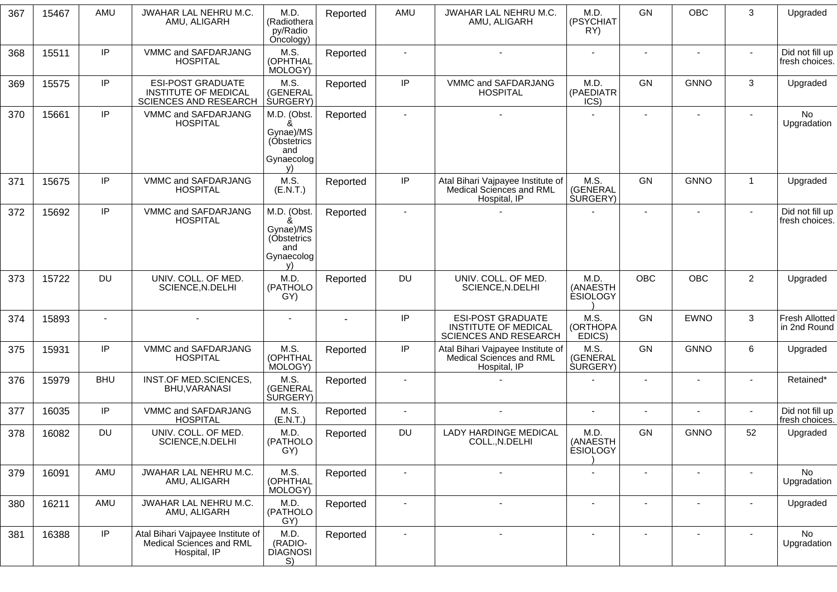| 367 | 15467 | AMU        | <b>JWAHAR LAL NEHRU M.C.</b><br>AMU, ALIGARH                                            | M.D.<br>(Radiothera<br>py/Radio<br>Oncology)                            | Reported | AMU                      | <b>JWAHAR LAL NEHRU M.C.</b><br>AMU, ALIGARH                                     | M.D.<br>(PSYCHIAT<br>RY)             | GN                       | <b>OBC</b>               | 3                        | Upgraded                              |
|-----|-------|------------|-----------------------------------------------------------------------------------------|-------------------------------------------------------------------------|----------|--------------------------|----------------------------------------------------------------------------------|--------------------------------------|--------------------------|--------------------------|--------------------------|---------------------------------------|
| 368 | 15511 | IP         | VMMC and SAFDARJANG<br><b>HOSPITAL</b>                                                  | M.S.<br>(OPHTHAL<br>MOLOGY)                                             | Reported |                          |                                                                                  |                                      |                          |                          |                          | Did not fill up<br>fresh choices.     |
| 369 | 15575 | IP         | <b>ESI-POST GRADUATE</b><br><b>INSTITUTE OF MEDICAL</b><br><b>SCIENCES AND RESEARCH</b> | M.S.<br>(GENERAL<br><b>SURGERY</b> )                                    | Reported | IP                       | VMMC and SAFDARJANG<br><b>HOSPITAL</b>                                           | M.D.<br>(PAEDIATR<br>ICS)            | GN                       | <b>GNNO</b>              | 3                        | Upgraded                              |
| 370 | 15661 | IP         | VMMC and SAFDARJANG<br><b>HOSPITAL</b>                                                  | M.D. (Obst.<br>ጼ<br>Gynae)/MS<br>(Óbstetrics<br>and<br>Gynaecolog<br>v) | Reported |                          |                                                                                  |                                      | $\blacksquare$           | $\overline{\phantom{a}}$ | $\blacksquare$           | No<br>Upgradation                     |
| 371 | 15675 | IP         | VMMC and SAFDARJANG<br><b>HOSPITAL</b>                                                  | M.S.<br>(E.N.T.)                                                        | Reported | IP                       | Atal Bihari Vajpayee Institute of<br>Medical Sciences and RML<br>Hospital, IP    | M.S.<br>(GENERAL<br><b>SURGERY</b> ) | GN                       | <b>GNNO</b>              | $\mathbf{1}$             | Upgraded                              |
| 372 | 15692 | IP.        | VMMC and SAFDARJANG<br><b>HOSPITAL</b>                                                  | M.D. (Obst.<br>&<br>Gynae)/MS<br>(Óbstetrics<br>and<br>Gynaecolog<br>v) | Reported | $\blacksquare$           |                                                                                  |                                      | $\blacksquare$           | $\blacksquare$           | $\sim$                   | Did not fill up<br>fresh choices.     |
| 373 | 15722 | <b>DU</b>  | UNIV. COLL. OF MED.<br>SCIENCE, N.DELHI                                                 | M.D.<br>(PATHOLO<br>GY)                                                 | Reported | <b>DU</b>                | UNIV. COLL. OF MED.<br>SCIENCE, N.DELHI                                          | M.D.<br>(ANAESTH<br><b>ESIOLOGY</b>  | <b>OBC</b>               | <b>OBC</b>               | $\overline{2}$           | Upgraded                              |
| 374 | 15893 |            |                                                                                         |                                                                         | ÷.       | IP                       | <b>ESI-POST GRADUATE</b><br><b>INSTITUTE OF MEDICAL</b><br>SCIENCES AND RESEARCH | M.S.<br>(ORTHOPA<br>EDICS)           | GN                       | <b>EWNO</b>              | 3                        | <b>Fresh Allotted</b><br>in 2nd Round |
| 375 | 15931 | IP         | VMMC and SAFDARJANG<br><b>HOSPITAL</b>                                                  | M.S.<br>(OPHTHAL<br>MOLOGY)                                             | Reported | IP                       | Atal Bihari Vajpayee Institute of<br>Medical Sciences and RML<br>Hospital, IP    | M.S.<br>(GENERAL<br><b>SURGERY</b> ) | GN                       | <b>GNNO</b>              | 6                        | Upgraded                              |
| 376 | 15979 | <b>BHU</b> | INST.OF MED.SCIENCES,<br><b>BHU, VARANASI</b>                                           | M.S.<br>(GENERAL<br><b>SURGERY</b> )                                    | Reported |                          |                                                                                  |                                      |                          |                          |                          | Retained*                             |
| 377 | 16035 | IP         | VMMC and SAFDARJANG<br><b>HOSPITAL</b>                                                  | M.S.<br>(E.N.T.)                                                        | Reported | $\overline{\phantom{a}}$ |                                                                                  |                                      |                          |                          |                          | Did not fill up<br>fresh choices.     |
| 378 | 16082 | DU         | UNIV. COLL. OF MED.<br>SCIENCE, N.DELHI                                                 | M.D.<br>(PATHOLO<br>GY)                                                 | Reported | <b>DU</b>                | <b>LADY HARDINGE MEDICAL</b><br>COLL., N.DELHI                                   | M.D.<br>(ANAESTH<br><b>ESIOLOGY</b>  | GN                       | <b>GNNO</b>              | 52                       | Upgraded                              |
| 379 | 16091 | AMU        | JWAHAR LAL NEHRU M.C.<br>AMU, ALIGARH                                                   | M.S.<br>(OPHTHAL<br>MOLOGY)                                             | Reported |                          |                                                                                  | $\overline{\phantom{a}}$             | $\overline{\phantom{a}}$ |                          | ٠                        | No<br>Upgradation                     |
| 380 | 16211 | AMU        | JWAHAR LAL NEHRU M.C.<br>AMU, ALIGARH                                                   | M.D.<br>(PATHOLO<br>GY)                                                 | Reported | $\blacksquare$           |                                                                                  | $\blacksquare$                       | $\blacksquare$           | $\blacksquare$           | $\overline{\phantom{a}}$ | Upgraded                              |
| 381 | 16388 | IP.        | Atal Bihari Vajpayee Institute of<br>Medical Sciences and RML<br>Hospital, IP           | M.D.<br>(RADIO-<br><b>DIAGNOSI</b><br>S)                                | Reported | $\blacksquare$           | $\sim$                                                                           | $\blacksquare$                       | $\blacksquare$           | $\blacksquare$           | $\sim$                   | <b>No</b><br>Upgradation              |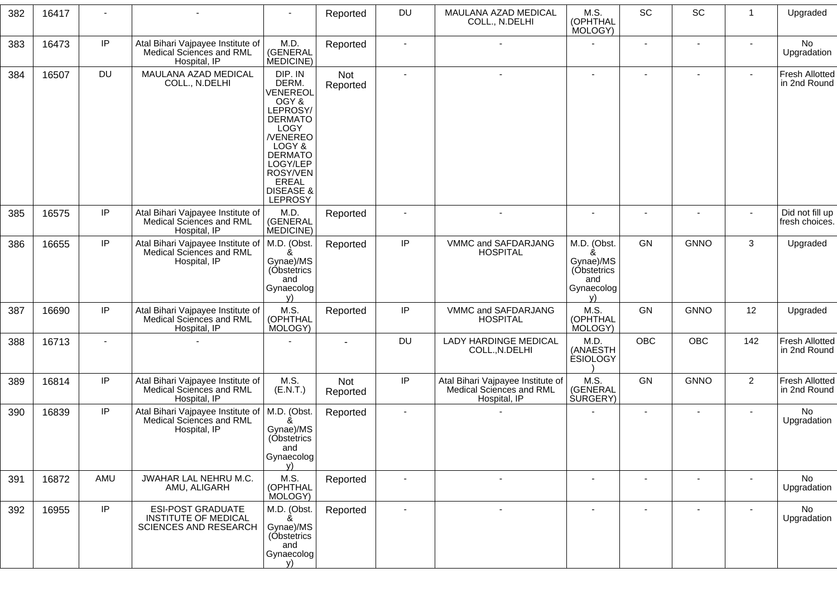| 382 | 16417 |                          |                                                                                  | $\overline{\phantom{a}}$                                                                                                                                                                       | Reported        | DU                       | MAULANA AZAD MEDICAL<br>COLL., N.DELHI                                        | M.S.<br>(OPHTHAL<br>MOLOGY)                                             | SC                       | SC                       | $\overline{1}$           | Upgraded                              |
|-----|-------|--------------------------|----------------------------------------------------------------------------------|------------------------------------------------------------------------------------------------------------------------------------------------------------------------------------------------|-----------------|--------------------------|-------------------------------------------------------------------------------|-------------------------------------------------------------------------|--------------------------|--------------------------|--------------------------|---------------------------------------|
| 383 | 16473 | IP                       | Atal Bihari Vajpayee Institute of<br>Medical Sciences and RML<br>Hospital, IP    | M.D.<br>(GENERAL<br>MEDICINE)                                                                                                                                                                  | Reported        | $\overline{\phantom{a}}$ | $\blacksquare$                                                                |                                                                         |                          | $\overline{\phantom{a}}$ | $\overline{\phantom{a}}$ | No<br>Upgradation                     |
| 384 | 16507 | <b>DU</b>                | MAULANA AZAD MEDICAL<br>COLL., N.DELHI                                           | DIP. IN<br>DERM.<br>VENEREOL<br>OGY &<br>LEPROSY/<br><b>DERMATO</b><br>LOGY<br>/VENEREO<br>LOGY &<br><b>DERMATO</b><br>LOGY/LEP<br>ROSY/VEN<br>EREAL<br><b>DISEASE &amp;</b><br><b>LEPROSY</b> | Not<br>Reported | $\mathbf{r}$             | $\sim$                                                                        | $\blacksquare$                                                          | $\sim$                   | $\blacksquare$           | $\sim$                   | <b>Fresh Allotted</b><br>in 2nd Round |
| 385 | 16575 | IP                       | Atal Bihari Vajpayee Institute of<br>Medical Sciences and RML<br>Hospital, IP    | M.D.<br>(GENERAL<br>MEDICINE)                                                                                                                                                                  | Reported        |                          |                                                                               |                                                                         |                          |                          | $\blacksquare$           | Did not fill up<br>fresh choices.     |
| 386 | 16655 | $\sf IP$                 | Atal Bihari Vajpayee Institute of<br>Medical Sciences and RML<br>Hospital, IP    | M.D. (Obst.<br>ጼ<br>Gynae)/MS<br>(Óbstetrics<br>and<br>Gynaecolog<br>V)                                                                                                                        | Reported        | $\sf IP$                 | VMMC and SAFDARJANG<br><b>HOSPITAL</b>                                        | M.D. (Obst.<br>&<br>Gynae)/MS<br>(Obstetrics<br>and<br>Gynaecolog<br>v) | GN                       | <b>GNNO</b>              | 3                        | Upgraded                              |
| 387 | 16690 | IP                       | Atal Bihari Vajpayee Institute of<br>Medical Sciences and RML<br>Hospital, IP    | M.S.<br>(OPHTHAL<br>MOLOGY)                                                                                                                                                                    | Reported        | IP                       | VMMC and SAFDARJANG<br><b>HOSPITAL</b>                                        | M.S.<br>(OPHTHAL<br>MOLOGY)                                             | GN                       | <b>GNNO</b>              | 12                       | Upgraded                              |
| 388 | 16713 | $\overline{\phantom{a}}$ |                                                                                  |                                                                                                                                                                                                |                 | DU                       | <b>LADY HARDINGE MEDICAL</b><br>COLL., N.DELHI                                | M.D.<br>(ANAESTH<br><b>ESIOLOGY</b>                                     | <b>OBC</b>               | <b>OBC</b>               | 142                      | <b>Fresh Allotted</b><br>in 2nd Round |
| 389 | 16814 | IP                       | Atal Bihari Vajpayee Institute of<br>Medical Sciences and RML<br>Hospital, IP    | M.S.<br>(E.N.T.)                                                                                                                                                                               | Not<br>Reported | $\sf IP$                 | Atal Bihari Vajpayee Institute of<br>Medical Sciences and RML<br>Hospital, IP | M.S.<br>(GENERAL<br><b>SURGERY</b> )                                    | GN                       | <b>GNNO</b>              | $\overline{2}$           | Fresh Allotted<br>in 2nd Round        |
| 390 | 16839 | IP                       | Atal Bihari Vajpayee Institute of<br>Medical Sciences and RML<br>Hospital, IP    | M.D. (Obst.<br>&<br>Gynae)/MS<br>(Óbstetrics<br>and<br>Gynaecolog<br>V)                                                                                                                        | Reported        |                          |                                                                               |                                                                         | $\blacksquare$           | ٠                        |                          | No<br>Upgradation                     |
| 391 | 16872 | AMU                      | JWAHAR LAL NEHRU M.C.<br>AMU, ALIGARH                                            | M.S.<br>(OPHTHAL<br>MOLOGY)                                                                                                                                                                    | Reported        | $\overline{\phantom{a}}$ | $\sim$                                                                        | $\blacksquare$                                                          | $\overline{\phantom{a}}$ | $\blacksquare$           | $\overline{\phantom{a}}$ | No<br>Upgradation                     |
| 392 | 16955 | IP                       | <b>ESI-POST GRADUATE</b><br>INSTITUTE OF MEDICAL<br><b>SCIENCES AND RESEARCH</b> | M.D. (Obst.<br>Gynae)/MS<br>(Óbstetrics<br>and<br>Gynaecolog<br>V)                                                                                                                             | Reported        | $\blacksquare$           | $\blacksquare$                                                                | $\blacksquare$                                                          | $\overline{\phantom{a}}$ | $\overline{\phantom{a}}$ | $\blacksquare$           | No<br>Upgradation                     |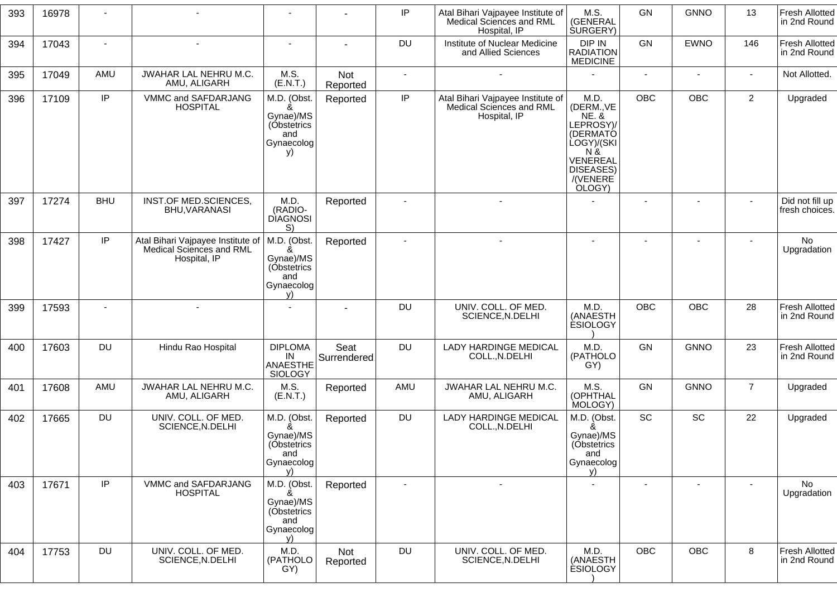| 393 | 16978 |                          |                                                                               |                                                                         |                        | IP                       | Atal Bihari Vajpayee Institute of<br>Medical Sciences and RML<br>Hospital, IP | M.S.<br>(GENERAL<br><b>SURGERY</b> )                                                                                                    | GN                       | <b>GNNO</b>              | 13             | <b>Fresh Allotted</b><br>in 2nd Round |
|-----|-------|--------------------------|-------------------------------------------------------------------------------|-------------------------------------------------------------------------|------------------------|--------------------------|-------------------------------------------------------------------------------|-----------------------------------------------------------------------------------------------------------------------------------------|--------------------------|--------------------------|----------------|---------------------------------------|
| 394 | 17043 | $\overline{\phantom{a}}$ | $\overline{a}$                                                                | $\blacksquare$                                                          | $\blacksquare$         | <b>DU</b>                | Institute of Nuclear Medicine<br>and Allied Sciences                          | DIP IN<br><b>RADIATION</b><br><b>MEDICINE</b>                                                                                           | GN                       | <b>EWNO</b>              | 146            | <b>Fresh Allotted</b><br>in 2nd Round |
| 395 | 17049 | AMU                      | JWAHAR LAL NEHRU M.C.<br>AMU, ALIGARH                                         | M.S.<br>(E.N.T.)                                                        | <b>Not</b><br>Reported | $\blacksquare$           | $\sim$                                                                        |                                                                                                                                         | $\blacksquare$           | $\blacksquare$           | $\sim$         | Not Allotted.                         |
| 396 | 17109 | IP                       | VMMC and SAFDARJANG<br><b>HOSPITAL</b>                                        | M.D. (Obst.<br>Gynae)/MS<br>(Óbstetrics<br>and<br>Gynaecolog<br>y)      | Reported               | IP                       | Atal Bihari Vajpayee Institute of<br>Medical Sciences and RML<br>Hospital, IP | M.D.<br>(DERM., VE<br><b>NE. &amp;</b><br>LEPROSY)/<br>(DERMATÓ<br>LOGY)/(SKI<br>$N \&$<br>VENEREAL<br>DISEASES)<br>/(VENERE)<br>OLOGY) | <b>OBC</b>               | OBC                      | $\overline{2}$ | Upgraded                              |
| 397 | 17274 | <b>BHU</b>               | INST.OF MED.SCIENCES,<br>BHU, VARANASI                                        | M.D.<br>(RADIO-<br><b>DIAGNOSI</b><br>S)                                | Reported               |                          |                                                                               |                                                                                                                                         |                          |                          | $\sim$         | Did not fill up<br>fresh choices.     |
| 398 | 17427 | IP                       | Atal Bihari Vajpayee Institute of<br>Medical Sciences and RML<br>Hospital, IP | M.D. (Obst.<br>8<br>Gynae)/MS<br>(Óbstetrics<br>and<br>Gynaecolog<br>y) | Reported               |                          | $\overline{a}$                                                                | $\sim$                                                                                                                                  | $\overline{\phantom{a}}$ |                          |                | No<br>Upgradation                     |
| 399 | 17593 | $\overline{a}$           | $\blacksquare$                                                                | $\overline{\phantom{a}}$                                                |                        | <b>DU</b>                | UNIV. COLL. OF MED.<br>SCIENCE, N.DELHI                                       | M.D.<br>(ANAESTH<br><b>ESIOLOGY</b>                                                                                                     | <b>OBC</b>               | OBC                      | 28             | <b>Fresh Allotted</b><br>in 2nd Round |
| 400 | 17603 | <b>DU</b>                | Hindu Rao Hospital                                                            | <b>DIPLOMA</b><br>IN<br><b>ANAESTHE</b><br><b>SIOLOGY</b>               | Seat<br>Surrendered    | <b>DU</b>                | <b>LADY HARDINGE MEDICAL</b><br>COLL., N.DELHI                                | M.D.<br>(PATHOLO<br>GY)                                                                                                                 | GN                       | <b>GNNO</b>              | 23             | <b>Fresh Allotted</b><br>in 2nd Round |
| 401 | 17608 | AMU                      | JWAHAR LAL NEHRU M.C.<br>AMU, ALIGARH                                         | M.S.<br>(E.N.T.)                                                        | Reported               | AMU                      | JWAHAR LAL NEHRU M.C.<br>AMU, ALIGARH                                         | M.S.<br>(OPHTHAL<br>MOLOGY)                                                                                                             | GN                       | <b>GNNO</b>              | $\overline{7}$ | Upgraded                              |
| 402 | 17665 | <b>DU</b>                | UNIV. COLL. OF MED.<br>SCIENCE, N.DELHI                                       | M.D. (Obst.<br>ጼ<br>Gynae)/MS<br>(Obstetrics<br>and<br>Gynaecolog<br>v) | Reported               | <b>DU</b>                | <b>LADY HARDINGE MEDICAL</b><br>COLL., N.DELHI                                | M.D. (Obst.<br>&<br>Gynae)/MS<br>(Óbstetrics<br>and<br>Gynaecolog<br>v)                                                                 | SC                       | SC                       | 22             | Upgraded                              |
| 403 | 17671 | IP                       | VMMC and SAFDARJANG<br><b>HOSPITAL</b>                                        | M.D. (Obst.<br>ጼ<br>Gynae)/MS<br>(Óbstetrics<br>and<br>Gynaecolog<br>V) | Reported               | $\overline{\phantom{a}}$ | $\blacksquare$                                                                | $\overline{a}$                                                                                                                          | $\blacksquare$           | $\overline{\phantom{a}}$ |                | No<br>Upgradation                     |
| 404 | 17753 | <b>DU</b>                | UNIV. COLL. OF MED.<br>SCIENCE, N.DELHI                                       | M.D.<br>(PATHOLO<br>GY)                                                 | Not<br>Reported        | DU                       | UNIV. COLL. OF MED.<br>SCIENCE, N.DELHI                                       | M.D.<br>(ANAESTH<br><b>ESIOLOGY</b>                                                                                                     | <b>OBC</b>               | OBC                      | 8              | <b>Fresh Allotted</b><br>in 2nd Round |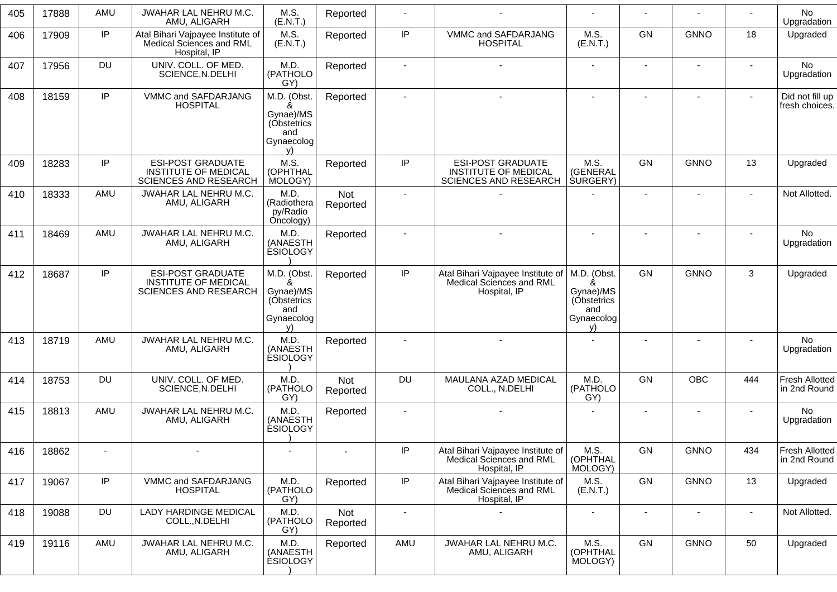| 405 | 17888 | AMU       | JWAHAR LAL NEHRU M.C.<br>AMU, ALIGARH                                                   | M.S.<br>(E.N.T.)                                                        | Reported               |                |                                                                                         |                                                                         |                | $\blacksquare$ |     | <b>No</b><br>Upgradation              |
|-----|-------|-----------|-----------------------------------------------------------------------------------------|-------------------------------------------------------------------------|------------------------|----------------|-----------------------------------------------------------------------------------------|-------------------------------------------------------------------------|----------------|----------------|-----|---------------------------------------|
| 406 | 17909 | IP        | Atal Bihari Vajpayee Institute of<br>Medical Sciences and RML<br>Hospital, IP           | M.S.<br>(E.N.T.)                                                        | Reported               | IP             | VMMC and SAFDARJANG<br><b>HOSPITAL</b>                                                  | M.S.<br>(E.N.T.)                                                        | GN             | <b>GNNO</b>    | 18  | Upgraded                              |
| 407 | 17956 | <b>DU</b> | UNIV. COLL. OF MED.<br>SCIENCE, N.DELHI                                                 | M.D.<br>(PATHOLO<br>GY)                                                 | Reported               |                |                                                                                         |                                                                         |                |                |     | <b>No</b><br>Upgradation              |
| 408 | 18159 | IP        | VMMC and SAFDARJANG<br><b>HOSPITAL</b>                                                  | M.D. (Obst.<br>ጼ<br>Gynae)/MS<br>(Obstetrics<br>and<br>Gynaecolog<br>V) | Reported               |                |                                                                                         |                                                                         | $\blacksquare$ |                |     | Did not fill up<br>fresh choices.     |
| 409 | 18283 | IP        | <b>ESI-POST GRADUATE</b><br><b>INSTITUTE OF MEDICAL</b><br><b>SCIENCES AND RESEARCH</b> | M.S.<br>(OPHTHAL<br>MOLOGY)                                             | Reported               | IP             | <b>ESI-POST GRADUATE</b><br><b>INSTITUTE OF MEDICAL</b><br><b>SCIENCES AND RESEARCH</b> | M.S.<br>(GENERAL<br><b>SURGERY</b> )                                    | <b>GN</b>      | <b>GNNO</b>    | 13  | Upgraded                              |
| 410 | 18333 | AMU       | JWAHAR LAL NEHRU M.C.<br>AMU, ALIGARH                                                   | M.D.<br>(Radiothera<br>py/Radio<br>Oncology)                            | Not<br>Reported        |                |                                                                                         |                                                                         | $\blacksquare$ | $\blacksquare$ |     | Not Allotted.                         |
| 411 | 18469 | AMU       | JWAHAR LAL NEHRU M.C.<br>AMU, ALIGARH                                                   | M.D<br>(ANAESTH<br><b>ESIOLOGY</b>                                      | Reported               |                |                                                                                         |                                                                         |                |                |     | <b>No</b><br>Upgradation              |
| 412 | 18687 | IP        | <b>ESI-POST GRADUATE</b><br><b>INSTITUTE OF MEDICAL</b><br>SCIENCES AND RESEARCH        | M.D. (Obst.<br>&<br>Gynae)/MS<br>(Obstetrics<br>and<br>Gynaecolog<br>v) | Reported               | IP             | Atal Bihari Vajpayee Institute of<br>Medical Sciences and RML<br>Hospital, IP           | M.D. (Obst.<br>&<br>Gynae)/MS<br>(Obstetrics<br>and<br>Gynaecolog<br>v) | GN             | <b>GNNO</b>    | 3   | Upgraded                              |
| 413 | 18719 | AMU       | JWAHAR LAL NEHRU M.C.<br>AMU, ALIGARH                                                   | M.D<br>(ANAESTH<br><b>ÉSIOLOGY</b>                                      | Reported               |                |                                                                                         |                                                                         |                |                |     | <b>No</b><br>Upgradation              |
| 414 | 18753 | <b>DU</b> | UNIV. COLL. OF MED.<br>SCIENCE, N.DELHI                                                 | M.D.<br>(PATHOLO<br>GY)                                                 | Not<br>Reported        | <b>DU</b>      | MAULANA AZAD MEDICAL<br>COLL., N.DELHI                                                  | M.D.<br>(PATHOLO<br>GY)                                                 | <b>GN</b>      | <b>OBC</b>     | 444 | <b>Fresh Allotted</b><br>in 2nd Round |
| 415 | 18813 | AMU       | JWAHAR LAL NEHRU M.C.<br>AMU, ALIGARH                                                   | M.D<br>(ANAESTH<br><b>ESIOLOGY</b>                                      | Reported               |                |                                                                                         |                                                                         |                |                |     | No<br>Upgradation                     |
| 416 | 18862 |           |                                                                                         |                                                                         |                        | IP             | Atal Bihari Vajpayee Institute of<br><b>Medical Sciences and RML</b><br>Hospital, IP    | M.S.<br>(OPHTHAL<br>MOLOGY)                                             | GN             | <b>GNNO</b>    | 434 | Fresh Allotted<br>in 2nd Round        |
| 417 | 19067 | IP        | VMMC and SAFDARJANG<br><b>HOSPITAL</b>                                                  | M.D.<br>(PATHOLO<br>GY)                                                 | Reported               | IP             | Atal Bihari Vajpayee Institute of<br>Medical Sciences and RML<br>Hospital, IP           | M.S.<br>(E.N.T.)                                                        | GN             | <b>GNNO</b>    | 13  | Upgraded                              |
| 418 | 19088 | <b>DU</b> | LADY HARDINGE MEDICAL<br>COLL., N.DELHI                                                 | M.D.<br>(PATHOLO<br>GY)                                                 | <b>Not</b><br>Reported | $\blacksquare$ |                                                                                         | $\overline{\phantom{a}}$                                                |                |                |     | Not Allotted.                         |
| 419 | 19116 | AMU       | JWAHAR LAL NEHRU M.C.<br>AMU, ALIGARH                                                   | M.D.<br>(ANAESTH<br><b>ESIOLOGY</b>                                     | Reported               | AMU            | JWAHAR LAL NEHRU M.C.<br>AMU, ALIGARH                                                   | M.S.<br>(OPHTHAL<br>MOLOGY)                                             | GN             | <b>GNNO</b>    | 50  | Upgraded                              |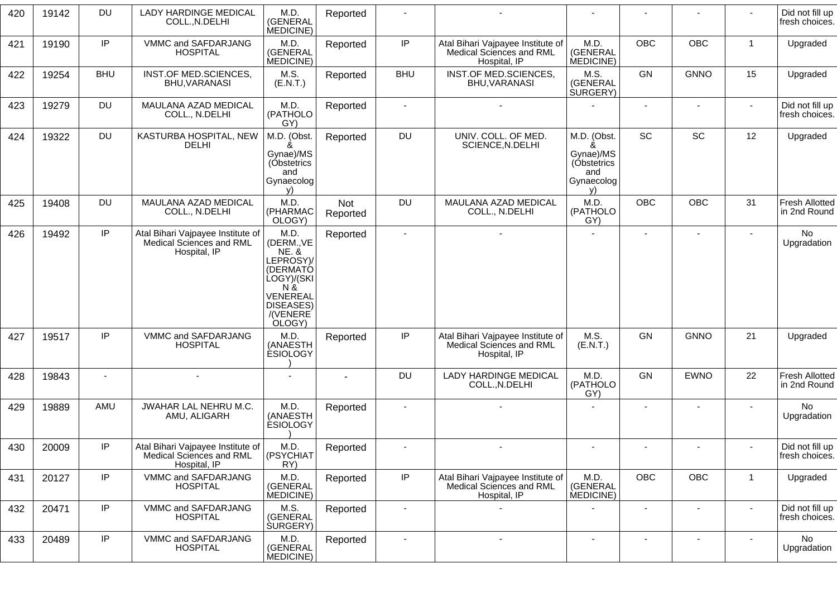| 420 | 19142 | <b>DU</b>      | <b>LADY HARDINGE MEDICAL</b><br>COLL., N.DELHI                                | M.D.<br>(GENERAL<br>MEDICINE)                                                                                                        | Reported        |                |                                                                               |                                                                   |                |                |                | Did not fill up<br>fresh choices.     |
|-----|-------|----------------|-------------------------------------------------------------------------------|--------------------------------------------------------------------------------------------------------------------------------------|-----------------|----------------|-------------------------------------------------------------------------------|-------------------------------------------------------------------|----------------|----------------|----------------|---------------------------------------|
| 421 | 19190 | IP             | VMMC and SAFDARJANG<br><b>HOSPITAL</b>                                        | M.D.<br>(GENERAL<br>MEDICINE)                                                                                                        | Reported        | $\sf IP$       | Atal Bihari Vajpayee Institute of<br>Medical Sciences and RML<br>Hospital, IP | M.D.<br>(GENERAL<br>MEDICINE)                                     | <b>OBC</b>     | <b>OBC</b>     | $\mathbf{1}$   | Upgraded                              |
| 422 | 19254 | <b>BHU</b>     | INST.OF MED.SCIENCES,<br>BHU, VARANASI                                        | M.S.<br>(E.N.T.)                                                                                                                     | Reported        | <b>BHU</b>     | INST.OF MED.SCIENCES,<br>BHU, VARANASI                                        | M.S.<br>(GENERAL<br><b>SURGERY</b> )                              | GN             | <b>GNNO</b>    | 15             | Upgraded                              |
| 423 | 19279 | <b>DU</b>      | MAULANA AZAD MEDICAL<br>COLL., N.DELHI                                        | M.D.<br>(PATHOLO<br>GY)                                                                                                              | Reported        |                |                                                                               |                                                                   |                |                |                | Did not fill up<br>fresh choices.     |
| 424 | 19322 | <b>DU</b>      | KASTURBA HOSPITAL, NEW<br><b>DELHI</b>                                        | M.D. (Obst.<br>ጼ<br>Gynae)/MS<br>(Obstetrics<br>and<br>Gynaecolog<br>V)                                                              | Reported        | DU             | UNIV. COLL. OF MED.<br>SCIENCE, N.DELHI                                       | M.D. (Obst.<br>&<br>Gynae)/MS<br>(Obstetrics<br>and<br>Gynaecolog | <b>SC</b>      | SC             | 12             | Upgraded                              |
| 425 | 19408 | <b>DU</b>      | MAULANA AZAD MEDICAL<br>COLL., N.DELHI                                        | M.D.<br>(PHARMAC<br>OLOGY)                                                                                                           | Not<br>Reported | DU             | MAULANA AZAD MEDICAL<br>COLL., N.DELHI                                        | M.D.<br>(PATHOLO<br>GY)                                           | <b>OBC</b>     | <b>OBC</b>     | 31             | Fresh Allotted<br>in 2nd Round        |
| 426 | 19492 | IP             | Atal Bihari Vajpayee Institute of<br>Medical Sciences and RML<br>Hospital, IP | M.D.<br>(DERM., VE<br><b>NE. &amp;</b><br>LEPROSY)/<br>(DERMATÓ<br>LOGY)/(SKI<br>N &<br>VENEREAL<br>DISEASES)<br>/(VENERE)<br>OLOGY) | Reported        | $\sim$         |                                                                               |                                                                   | $\blacksquare$ | $\blacksquare$ | $\blacksquare$ | No<br>Upgradation                     |
| 427 | 19517 | IP             | VMMC and SAFDARJANG<br><b>HOSPITAL</b>                                        | M.D.<br>(ANAESTH<br><b>ESIOLOGY</b>                                                                                                  | Reported        | $\sf IP$       | Atal Bihari Vajpayee Institute of<br>Medical Sciences and RML<br>Hospital, IP | M.S.<br>(E.N.T.)                                                  | GN             | <b>GNNO</b>    | 21             | Upgraded                              |
| 428 | 19843 | $\blacksquare$ | $\blacksquare$                                                                |                                                                                                                                      |                 | DU             | <b>LADY HARDINGE MEDICAL</b><br>COLL., N.DELHI                                | M.D.<br>(PATHOLO<br>GY)                                           | GN             | <b>EWNO</b>    | 22             | <b>Fresh Allotted</b><br>in 2nd Round |
| 429 | 19889 | AMU            | JWAHAR LAL NEHRU M.C.<br>AMU, ALIGARH                                         | M.D.<br>(ANAESTH<br><b>ESIOLOGY</b>                                                                                                  | Reported        |                |                                                                               |                                                                   |                |                |                | <b>No</b><br>Upgradation              |
| 430 | 20009 | IP             | Atal Bihari Vajpayee Institute of<br>Medical Sciences and RML<br>Hospital, IP | M.D.<br>(PSYCHIAT<br>RY)                                                                                                             | Reported        |                |                                                                               |                                                                   |                |                |                | Did not fill up<br>fresh choices.     |
| 431 | 20127 | IP             | VMMC and SAFDARJANG<br><b>HOSPITAL</b>                                        | M.D.<br>(GENERAL<br>MEDICINE)                                                                                                        | Reported        | IP             | Atal Bihari Vajpayee Institute of<br>Medical Sciences and RML<br>Hospital, IP | M.D.<br>(GENERAL<br>MEDICINE)                                     | <b>OBC</b>     | OBC            | $\mathbf{1}$   | Upgraded                              |
| 432 | 20471 | IP             | VMMC and SAFDARJANG<br><b>HOSPITAL</b>                                        | M.S.<br>(GENERAL<br><b>SURGERY</b> )                                                                                                 | Reported        | $\blacksquare$ |                                                                               |                                                                   | $\mathbf{r}$   | $\blacksquare$ | $\sim$         | Did not fill up<br>fresh choices.     |
| 433 | 20489 | IP             | VMMC and SAFDARJANG<br><b>HOSPITAL</b>                                        | M.D.<br>(GENERAL<br>MEDICINE)                                                                                                        | Reported        |                |                                                                               |                                                                   |                |                |                | No<br>Upgradation                     |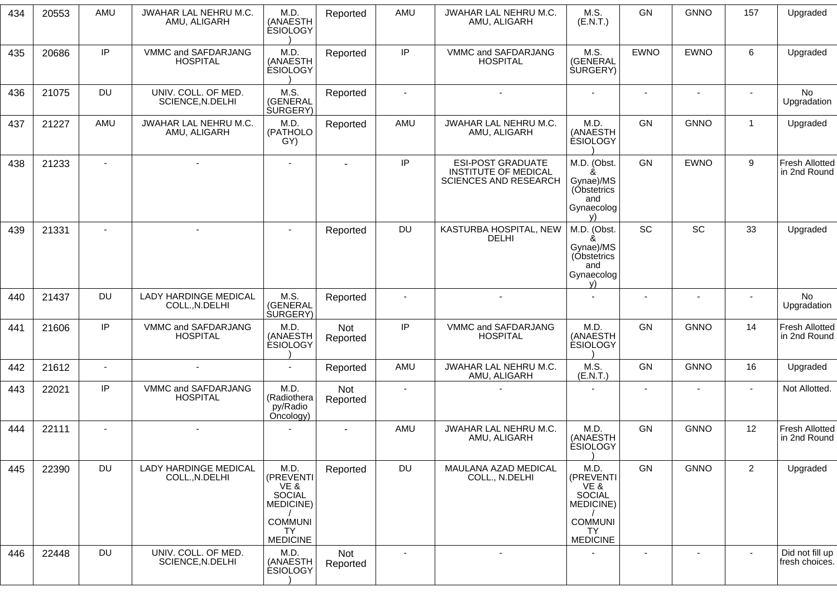| 434 | 20553 | AMU       | JWAHAR LAL NEHRU M.C.<br>AMU, ALIGARH          | M.D.<br>(ANAESTH<br><b>ESIOLOGY</b>                                             | Reported               | AMU       | JWAHAR LAL NEHRU M.C.<br>AMU, ALIGARH                                                   | M.S.<br>(E.N.T.)                                                                       | GN                       | <b>GNNO</b>              | 157            | Upgraded                              |
|-----|-------|-----------|------------------------------------------------|---------------------------------------------------------------------------------|------------------------|-----------|-----------------------------------------------------------------------------------------|----------------------------------------------------------------------------------------|--------------------------|--------------------------|----------------|---------------------------------------|
| 435 | 20686 | IP        | VMMC and SAFDARJANG<br><b>HOSPITAL</b>         | M.D.<br>(ANAESTH<br><b>ESIOLOGY</b>                                             | Reported               | IP        | VMMC and SAFDARJANG<br><b>HOSPITAL</b>                                                  | M.S.<br>(GENERAL<br><b>SURGERY</b> )                                                   | <b>EWNO</b>              | <b>EWNO</b>              | 6              | Upgraded                              |
| 436 | 21075 | <b>DU</b> | UNIV. COLL. OF MED.<br>SCIENCE, N.DELHI        | M.S.<br>(GENERAL<br>SURGERY)                                                    | Reported               | $\sim$    | $\sim$                                                                                  | $\sim$                                                                                 | $\overline{\phantom{a}}$ | $\blacksquare$           | $\sim$         | No<br>Upgradation                     |
| 437 | 21227 | AMU       | JWAHAR LAL NEHRU M.C.<br>AMU, ALIGARH          | M.D.<br>(PATHOLO<br>GY)                                                         | Reported               | AMU       | JWAHAR LAL NEHRU M.C.<br>AMU, ALIGARH                                                   | M.D.<br>(ANAESTH<br><b>ÉSIOLOGY</b>                                                    | GN                       | <b>GNNO</b>              | $\mathbf{1}$   | Upgraded                              |
| 438 | 21233 | $\sim$    | $\blacksquare$                                 | $\blacksquare$                                                                  | $\blacksquare$         | IP        | <b>ESI-POST GRADUATE</b><br><b>INSTITUTE OF MEDICAL</b><br><b>SCIENCES AND RESEARCH</b> | M.D. (Obst.<br>&<br>Gynae)/MS<br>(Obstetrics<br>and<br>Gynaecolog                      | <b>GN</b>                | <b>EWNO</b>              | 9              | <b>Fresh Allotted</b><br>in 2nd Round |
| 439 | 21331 |           | $\sim$                                         | $\sim$                                                                          | Reported               | <b>DU</b> | KASTURBA HOSPITAL, NEW<br><b>DELHI</b>                                                  | M.D. (Obst.<br>Gynae)/MS<br>(Obstetrics<br>and<br>Gynaecolog<br>V)                     | <b>SC</b>                | SC                       | 33             | Upgraded                              |
| 440 | 21437 | <b>DU</b> | <b>LADY HARDINGE MEDICAL</b><br>COLL., N.DELHI | M.S.<br>(GENERAL<br>SURGERY)                                                    | Reported               |           | $\sim$                                                                                  | $\overline{a}$                                                                         | $\sim$                   | $\sim$                   | $\sim$         | No<br>Upgradation                     |
| 441 | 21606 | IP        | VMMC and SAFDARJANG<br><b>HOSPITAL</b>         | M.D.<br>(ANAESTH<br><b>ESIOLOGY</b>                                             | Not<br>Reported        | IP        | VMMC and SAFDARJANG<br><b>HOSPITAL</b>                                                  | M.D.<br>(ANAESTH<br><b>ESIOLOGY</b>                                                    | <b>GN</b>                | <b>GNNO</b>              | 14             | <b>Fresh Allotted</b><br>in 2nd Round |
| 442 | 21612 | $\sim$    | $\blacksquare$                                 | $\blacksquare$                                                                  | Reported               | AMU       | JWAHAR LAL NEHRU M.C.<br>AMU, ALIGARH                                                   | M.S.<br>(E.N.T.)                                                                       | GN                       | <b>GNNO</b>              | 16             | Upgraded                              |
| 443 | 22021 | IP        | VMMC and SAFDARJANG<br><b>HOSPITAL</b>         | M.D.<br>(Radiothera<br>py/Radio<br>Oncology)                                    | <b>Not</b><br>Reported |           |                                                                                         |                                                                                        | $\blacksquare$           | ٠                        |                | Not Allotted.                         |
| 444 | 22111 |           |                                                |                                                                                 |                        | AMU       | JWAHAR LAL NEHRU M.C.<br>AMU, ALIGARH                                                   | M.D.<br>(ANAESTH<br><b>ESIOLOGY</b>                                                    | GN                       | <b>GNNO</b>              | 12             | <b>Fresh Allotted</b><br>in 2nd Round |
| 445 | 22390 | <b>DU</b> | LADY HARDINGE MEDICAL<br>COLL., N.DELHI        | M.D.<br>(PREVENTI<br>VE &<br>SOCIAL<br>MEDICINE)<br><b>COMMUNI</b><br><b>TY</b> | Reported               | DU        | MAULANA AZAD MEDICAL<br>COLL., N.DELHI                                                  | M.D.<br>(PREVENTI<br>VE &<br>SOCIAL<br><b>MEDICINE)</b><br><b>COMMUNI</b><br><b>TY</b> | GN                       | <b>GNNO</b>              | $\overline{2}$ | Upgraded                              |
| 446 | 22448 | <b>DU</b> | UNIV. COLL. OF MED.<br>SCIENCE, N.DELHI        | <b>MEDICINE</b><br>M.D.<br>(ANAESTH<br><b>ESIOLOGY</b>                          | <b>Not</b><br>Reported |           | $\qquad \qquad \blacksquare$                                                            | <b>MEDICINE</b>                                                                        | $\overline{\phantom{a}}$ | $\overline{\phantom{a}}$ | $\blacksquare$ | Did not fill up<br>fresh choices.     |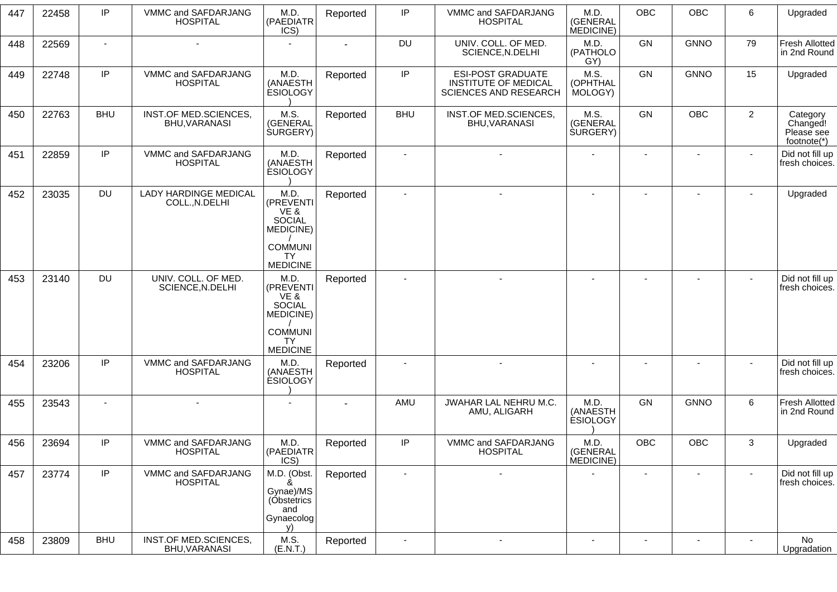| 447 | 22458 | IP         | VMMC and SAFDARJANG<br><b>HOSPITAL</b>         | M.D.<br>(PAEDIATR<br>ICS)                                          | Reported       | IP             | VMMC and SAFDARJANG<br><b>HOSPITAL</b>                                                  | M.D.<br>(GENERAL<br>MEDICINE)        | <b>OBC</b>     | OBC                      | 6              | Upgraded                                          |
|-----|-------|------------|------------------------------------------------|--------------------------------------------------------------------|----------------|----------------|-----------------------------------------------------------------------------------------|--------------------------------------|----------------|--------------------------|----------------|---------------------------------------------------|
| 448 | 22569 | $\sim$     | $\blacksquare$                                 |                                                                    | $\blacksquare$ | DU             | UNIV. COLL. OF MED.<br>SCIENCE, N.DELHI                                                 | M.D.<br>(PATHOLO<br>GY)              | GN             | <b>GNNO</b>              | 79             | <b>Fresh Allotted</b><br>in 2nd Round             |
| 449 | 22748 | IP         | VMMC and SAFDARJANG<br><b>HOSPITAL</b>         | M.D.<br>(ANAESTH<br><b>ESIOLOGY</b>                                | Reported       | IP             | <b>ESI-POST GRADUATE</b><br><b>INSTITUTE OF MEDICAL</b><br><b>SCIENCES AND RESEARCH</b> | M.S.<br>(OPHTHAL<br>MOLOGY)          | GN             | <b>GNNO</b>              | 15             | Upgraded                                          |
| 450 | 22763 | <b>BHU</b> | INST.OF MED.SCIENCES,<br>BHU, VARANASI         | M.S.<br>(GENERAL<br><b>SURGERY</b> )                               | Reported       | <b>BHU</b>     | INST.OF MED.SCIENCES,<br>BHU, VARANASI                                                  | M.S.<br>(GENERAL<br><b>SURGERY</b> ) | <b>GN</b>      | OBC                      | $\overline{2}$ | Category<br>Changed!<br>Please see<br>footnote(*) |
| 451 | 22859 | IP         | VMMC and SAFDARJANG<br><b>HOSPITAL</b>         | M.D.<br>(ANAESTH<br><b>ESIOLOGY</b>                                | Reported       |                |                                                                                         |                                      |                |                          |                | Did not fill up<br>fresh choices.                 |
| 452 | 23035 | <b>DU</b>  | <b>LADY HARDINGE MEDICAL</b><br>COLL., N.DELHI | M.D.<br>(PREVENTI<br>VE &<br>SOCIAL<br>MEDICINE)                   | Reported       | $\blacksquare$ | ä,                                                                                      |                                      | $\blacksquare$ | $\blacksquare$           |                | Upgraded                                          |
|     |       |            |                                                | <b>COMMUNI</b><br>TY<br><b>MEDICINE</b>                            |                |                |                                                                                         |                                      |                |                          |                |                                                   |
| 453 | 23140 | <b>DU</b>  | UNIV. COLL. OF MED.<br>SCIENCE, N.DELHI        | M.D.<br>(PREVENTI<br>VE &<br>SOCIAL<br>MEDICINE)                   | Reported       |                |                                                                                         |                                      |                |                          | $\blacksquare$ | Did not fill up<br>fresh choices.                 |
|     |       |            |                                                | <b>COMMUNI</b><br><b>TY</b><br><b>MEDICINE</b>                     |                |                |                                                                                         |                                      |                |                          |                |                                                   |
| 454 | 23206 | IP         | VMMC and SAFDARJANG<br><b>HOSPITAL</b>         | M.D<br>(ANAESTH<br><b>ESIOLOGY</b>                                 | Reported       |                |                                                                                         |                                      |                | $\overline{\phantom{0}}$ |                | Did not fill up<br>fresh choices.                 |
| 455 | 23543 | $\sim$     |                                                |                                                                    |                | AMU            | JWAHAR LAL NEHRU M.C.<br>AMU, ALIGARH                                                   | M.D.<br>(ANAESTH<br><b>ESIOLOGY</b>  | GN             | <b>GNNO</b>              | $\,6\,$        | <b>Fresh Allotted</b><br>in 2nd Round             |
| 456 | 23694 | IP         | VMMC and SAFDARJANG<br><b>HUSPITAL</b>         | M.D.<br>(PAEDIATR<br>ICS)                                          | Reported       | IP             | VMMC and SAFDARJANG<br><b>HUSPITAL</b>                                                  | M.D.<br>(GENERAL<br>MEDICINE)        | <b>OBC</b>     | OBC                      | 3              | Upgraded                                          |
| 457 | 23774 | IP         | VMMC and SAFDARJANG<br><b>HOSPITAL</b>         | M.D. (Obst.<br>Gynae)/MS<br>(Obstetrics<br>and<br>Gynaecolog<br>V) | Reported       | $\blacksquare$ | $\blacksquare$                                                                          |                                      | $\blacksquare$ | $\overline{\phantom{a}}$ | $\blacksquare$ | Did not fill up<br>fresh choices.                 |
| 458 | 23809 | <b>BHU</b> | INST.OF MED.SCIENCES,<br>BHU, VARANASI         | M.S.<br>(E.N.T.)                                                   | Reported       | $\sim$         | $\blacksquare$                                                                          | $\blacksquare$                       | $\sim$         | $\blacksquare$           | $\sim$         | No<br>Upgradation                                 |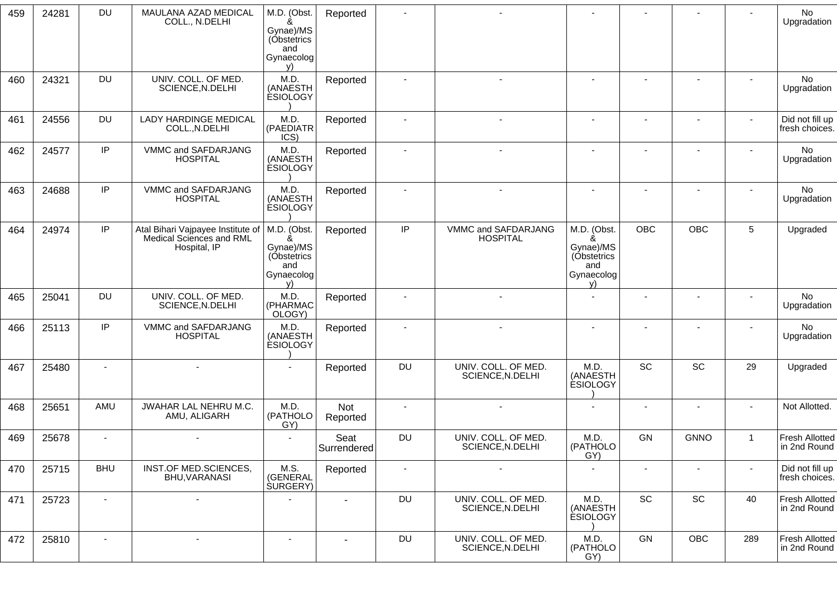| 459 | 24281 | <b>DU</b>      | MAULANA AZAD MEDICAL<br>COLL., N.DELHI                                        | M.D. (Obst.<br>Gynae)/MS<br>(Obstetrics<br>and<br>Gynaecolog<br>V) | Reported               |                |                                         |                                                                    |                          |                          |                | No<br>Upgradation                     |
|-----|-------|----------------|-------------------------------------------------------------------------------|--------------------------------------------------------------------|------------------------|----------------|-----------------------------------------|--------------------------------------------------------------------|--------------------------|--------------------------|----------------|---------------------------------------|
| 460 | 24321 | <b>DU</b>      | UNIV. COLL. OF MED.<br>SCIENCE, N.DELHI                                       | M.D.<br>(ANAESTH<br><b>ESIOLOGY</b>                                | Reported               | $\blacksquare$ |                                         | $\sim$                                                             | $\blacksquare$           | $\mathbf{r}$             | $\sim$         | No<br>Upgradation                     |
| 461 | 24556 | DU             | <b>LADY HARDINGE MEDICAL</b><br>COLL., N.DELHI                                | M.D.<br>(PAEDIATR<br>ICS)                                          | Reported               | $\blacksquare$ |                                         |                                                                    | $\sim$                   | $\overline{\phantom{a}}$ |                | Did not fill up<br>fresh choices.     |
| 462 | 24577 | IP             | VMMC and SAFDARJANG<br><b>HOSPITAL</b>                                        | M.D.<br>(ANAESTH<br><b>ESIOLOGY</b>                                | Reported               | $\blacksquare$ |                                         | $\overline{\phantom{a}}$                                           |                          | $\overline{\phantom{a}}$ |                | No<br>Upgradation                     |
| 463 | 24688 | IP             | VMMC and SAFDARJANG<br><b>HOSPITAL</b>                                        | M.D.<br>(ANAESTH<br><b>ESIOLOGY</b>                                | Reported               | $\blacksquare$ |                                         |                                                                    |                          |                          |                | No<br>Upgradation                     |
| 464 | 24974 | IP             | Atal Bihari Vajpayee Institute of<br>Medical Sciences and RML<br>Hospital, IP | M.D. (Obst.<br>Gynae)/MS<br>(Obstetrics<br>and<br>Gynaecolog<br>V) | Reported               | IP             | VMMC and SAFDARJANG<br><b>HOSPITAL</b>  | M.D. (Obst.<br>Gynae)/MS<br>(Obstetrics<br>and<br>Gynaecolog<br>V) | <b>OBC</b>               | OBC                      | 5              | Upgraded                              |
| 465 | 25041 | DU             | UNIV. COLL. OF MED.<br>SCIENCE, N.DELHI                                       | M.D.<br>(PHARMAC<br>OLOGY)                                         | Reported               | $\blacksquare$ |                                         |                                                                    |                          |                          |                | No<br>Upgradation                     |
| 466 | 25113 | IP             | VMMC and SAFDARJANG<br><b>HOSPITAL</b>                                        | M.D.<br>(ANAESTH<br><b>ESIOLOGY</b>                                | Reported               |                |                                         |                                                                    |                          |                          |                | No<br>Upgradation                     |
| 467 | 25480 |                |                                                                               |                                                                    | Reported               | <b>DU</b>      | UNIV. COLL. OF MED.<br>SCIENCE, N.DELHI | M.D.<br>(ANAESTH<br><b>ESIOLOGY</b>                                | SC                       | <b>SC</b>                | 29             | Upgraded                              |
| 468 | 25651 | AMU            | JWAHAR LAL NEHRU M.C.<br>AMU, ALIGARH                                         | M.D.<br>(PATHOLO<br>GY)                                            | <b>Not</b><br>Reported | $\blacksquare$ |                                         | $\blacksquare$                                                     | $\overline{\phantom{a}}$ |                          |                | Not Allotted.                         |
| 469 | 25678 | $\sim$         | $\blacksquare$                                                                | $\sim$                                                             | Seat<br>Surrendered    | <b>DU</b>      | UNIV. COLL. OF MED.<br>SCIENCE, N.DELHI | M.D.<br>(PATHOLO<br>GY)                                            | GN                       | <b>GNNO</b>              | $\overline{1}$ | <b>Fresh Allotted</b><br>in 2nd Round |
| 470 | 25715 | <b>BHU</b>     | INST.OF MED.SCIENCES,<br>BHU, VARANASI                                        | M.S.<br>(GENERAL<br><b>SURGERY</b> )                               | Reported               | $\blacksquare$ | $\blacksquare$                          | $\blacksquare$                                                     |                          |                          | $\sim$         | Did not fill up<br>fresh choices.     |
| 471 | 25723 | $\blacksquare$ |                                                                               |                                                                    |                        | DU             | UNIV. COLL. OF MED.<br>SCIENCE, N.DELHI | M.D.<br>(ANAESTH<br><b>ESIOLOGY</b>                                | SC                       | SC                       | 40             | <b>Fresh Allotted</b><br>in 2nd Round |
| 472 | 25810 | $\sim$         | $\overline{\phantom{a}}$                                                      | $\blacksquare$                                                     | $\sim$                 | <b>DU</b>      | UNIV. COLL. OF MED.<br>SCIENCE, N.DELHI | M.D.<br>(PATHOLO<br>GY)                                            | GN                       | OBC                      | 289            | <b>Fresh Allotted</b><br>in 2nd Round |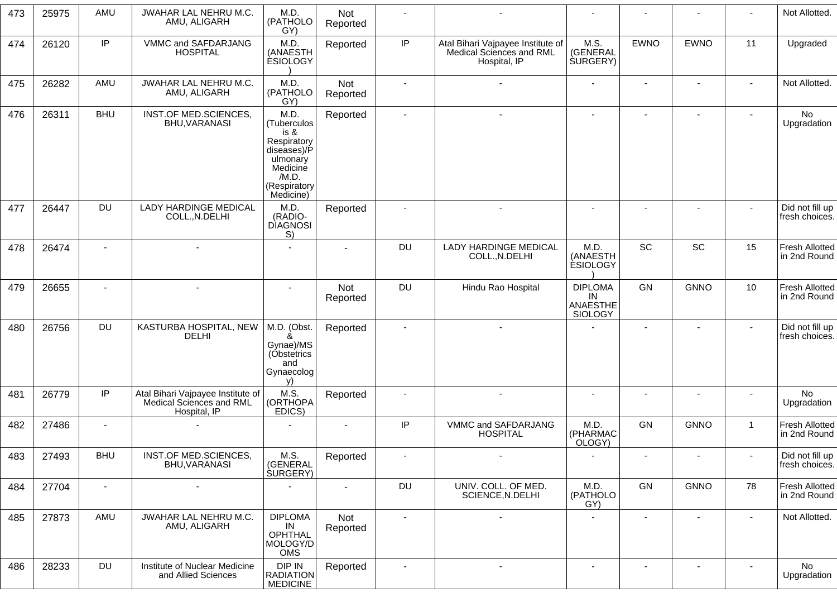| 473 | 25975 | AMU        | JWAHAR LAL NEHRU M.C.<br>AMU, ALIGARH                                         | M.D.<br>(PATHOLO<br>GY)                                                                                                 | Not<br>Reported |                          |                                                                               |                                             |                |                          |              | Not Allotted.                         |
|-----|-------|------------|-------------------------------------------------------------------------------|-------------------------------------------------------------------------------------------------------------------------|-----------------|--------------------------|-------------------------------------------------------------------------------|---------------------------------------------|----------------|--------------------------|--------------|---------------------------------------|
| 474 | 26120 | IP         | VMMC and SAFDARJANG<br><b>HOSPITAL</b>                                        | M.D.<br>(ANAESTH<br><b>ESIOLOGY</b>                                                                                     | Reported        | IP                       | Atal Bihari Vajpayee Institute of<br>Medical Sciences and RML<br>Hospital, IP | M.S.<br>(GENERAL<br><b>SURGERY)</b>         | <b>EWNO</b>    | <b>EWNO</b>              | 11           | Upgraded                              |
| 475 | 26282 | AMU        | JWAHAR LAL NEHRU M.C.<br>AMU, ALIGARH                                         | M.D.<br>(PATHOLO<br>GY)                                                                                                 | Not<br>Reported |                          |                                                                               |                                             |                |                          |              | Not Allotted.                         |
| 476 | 26311 | <b>BHU</b> | INST.OF MED.SCIENCES,<br>BHU, VARANASI                                        | M.D.<br>(Tuberculos<br>is &<br>Respiratory<br>diseases)/P<br>ulmonary<br>Medicine<br>/M.D.<br>(Respiratory<br>Medicine) | Reported        |                          |                                                                               |                                             |                |                          |              | No<br>Upgradation                     |
| 477 | 26447 | <b>DU</b>  | <b>LADY HARDINGE MEDICAL</b><br>COLL., N.DELHI                                | M.D.<br>(RADIO-<br><b>DIAGNOSI</b><br>S)                                                                                | Reported        |                          |                                                                               |                                             |                |                          | $\sim$       | Did not fill up<br>fresh choices.     |
| 478 | 26474 |            |                                                                               |                                                                                                                         | $\blacksquare$  | <b>DU</b>                | <b>LADY HARDINGE MEDICAL</b><br>COLL., N.DELHI                                | M.D.<br>(ANAESTH<br><b>ESIOLOGY</b>         | <b>SC</b>      | SC                       | 15           | <b>Fresh Allotted</b><br>in 2nd Round |
| 479 | 26655 |            |                                                                               |                                                                                                                         | Not<br>Reported | <b>DU</b>                | Hindu Rao Hospital                                                            | <b>DIPLOMA</b><br>IN<br>ANAESTHE<br>SIOLOGY | GN             | <b>GNNO</b>              | 10           | <b>Fresh Allotted</b><br>in 2nd Round |
| 480 | 26756 | <b>DU</b>  | KASTURBA HOSPITAL, NEW<br><b>DELHI</b>                                        | M.D. (Obst.<br>&<br>Gynae)/MS<br>(Obstetrics<br>and<br>Gynaecolog<br>v)                                                 | Reported        |                          |                                                                               |                                             |                |                          | $\sim$       | Did not fill up<br>fresh choices.     |
| 481 | 26779 | IP         | Atal Bihari Vajpayee Institute of<br>Medical Sciences and RML<br>Hospital, IP | M.S.<br>(ORTHOPA<br>EDICS)                                                                                              | Reported        |                          |                                                                               |                                             |                |                          |              | No<br>Upgradation                     |
| 482 | 27486 |            |                                                                               |                                                                                                                         | $\blacksquare$  | IP                       | VMMC and SAFDARJANG<br><b>HOSPITAL</b>                                        | M.D.<br>(PHARMAC<br>OLOGY)                  | GN             | <b>GNNO</b>              | $\mathbf{1}$ | <b>Fresh Allotted</b><br>in 2nd Round |
| 483 | 27493 | <b>BHU</b> | INST.OF MED.SCIENCES,<br>BHU, VARANASI                                        | M.S.<br>(GENERAL<br><b>SURGERY</b> )                                                                                    | Reported        | $\overline{\phantom{a}}$ | $\sim$                                                                        | $\overline{\phantom{a}}$                    | $\blacksquare$ | $\overline{\phantom{a}}$ |              | Did not fill up<br>fresh choices.     |
| 484 | 27704 | $\sim$     | $\blacksquare$                                                                |                                                                                                                         | $\sim$          | DU                       | UNIV. COLL. OF MED.<br>SCIENCE, N.DELHI                                       | M.D.<br>(PATHOLO<br>GY)                     | GN             | <b>GNNO</b>              | 78           | <b>Fresh Allotted</b><br>in 2nd Round |
| 485 | 27873 | AMU        | JWAHAR LAL NEHRU M.C.<br>AMU, ALIGARH                                         | <b>DIPLOMA</b><br>IN<br>OPHTHAL<br>MOLOGY/D<br>OMS                                                                      | Not<br>Reported | $\blacksquare$           | $\sim$                                                                        | ٠                                           | $\blacksquare$ | $\sim$                   | $\sim$       | Not Allotted.                         |
| 486 | 28233 | <b>DU</b>  | Institute of Nuclear Medicine<br>and Allied Sciences                          | DIP IN<br><b>RADIATION</b><br><b>MEDICINE</b>                                                                           | Reported        | $\blacksquare$           |                                                                               |                                             | $\blacksquare$ |                          |              | No<br>Upgradation                     |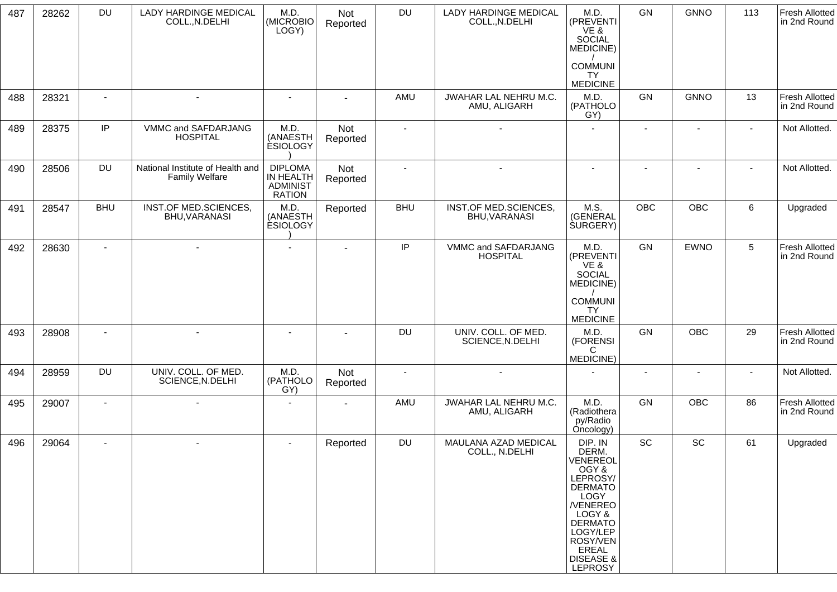| 487 | 28262 | <b>DU</b>      | <b>LADY HARDINGE MEDICAL</b><br>COLL., N.DELHI            | M.D.<br>(MICROBIO<br>LOGY)                                      | Not<br>Reported | <b>DU</b>      | <b>LADY HARDINGE MEDICAL</b><br>COLL., N.DELHI | M.D.<br>(PREVENTI<br>VE &<br><b>SOCIAL</b><br>MEDICINE)                                                                                                                                              | GN             | <b>GNNO</b>              | 113    | <b>Fresh Allotted</b><br>in 2nd Round |
|-----|-------|----------------|-----------------------------------------------------------|-----------------------------------------------------------------|-----------------|----------------|------------------------------------------------|------------------------------------------------------------------------------------------------------------------------------------------------------------------------------------------------------|----------------|--------------------------|--------|---------------------------------------|
|     |       |                |                                                           |                                                                 |                 |                |                                                | <b>COMMUNI</b><br>TY.<br><b>MEDICINE</b>                                                                                                                                                             |                |                          |        |                                       |
| 488 | 28321 | $\blacksquare$ | $\blacksquare$                                            | $\blacksquare$                                                  |                 | AMU            | JWAHAR LAL NEHRU M.C.<br>AMU, ALIGARH          | M.D.<br>(PATHOLO<br>GY)                                                                                                                                                                              | GN             | <b>GNNO</b>              | 13     | <b>Fresh Allotted</b><br>in 2nd Round |
| 489 | 28375 | IP             | VMMC and SAFDARJANG<br><b>HOSPITAL</b>                    | M.D.<br>(ANAESTH<br><b>ESIOLOGY</b>                             | Not<br>Reported | $\blacksquare$ | $\blacksquare$                                 | $\sim$                                                                                                                                                                                               | $\blacksquare$ | $\overline{\phantom{a}}$ | $\sim$ | Not Allotted.                         |
| 490 | 28506 | <b>DU</b>      | National Institute of Health and<br><b>Family Welfare</b> | <b>DIPLOMA</b><br>IN HEALTH<br><b>ADMINIST</b><br><b>RATION</b> | Not<br>Reported | $\sim$         |                                                |                                                                                                                                                                                                      |                |                          |        | Not Allotted.                         |
| 491 | 28547 | <b>BHU</b>     | INST.OF MED.SCIENCES,<br>BHU, VARANASI                    | M.D.<br>(ANAESTH<br><b>ESIOLOGY</b>                             | Reported        | <b>BHU</b>     | INST.OF MED.SCIENCES,<br>BHU, VARANASI         | M.S.<br>(GENERAL<br><b>SURGERY</b> )                                                                                                                                                                 | <b>OBC</b>     | OBC                      | 6      | Upgraded                              |
| 492 | 28630 | $\blacksquare$ | $\overline{\phantom{a}}$                                  | $\sim$                                                          |                 | IP             | VMMC and SAFDARJANG<br><b>HOSPITAL</b>         | M.D.<br>(PREVENTI<br>VE &<br>SOCIAL<br>MEDICINE)                                                                                                                                                     | GN             | <b>EWNO</b>              | 5      | <b>Fresh Allotted</b><br>in 2nd Round |
|     |       |                |                                                           |                                                                 |                 |                |                                                | <b>COMMUNI</b><br><b>TY</b><br><b>MEDICINE</b>                                                                                                                                                       |                |                          |        |                                       |
| 493 | 28908 | $\blacksquare$ | $\sim$                                                    | $\sim$                                                          |                 | <b>DU</b>      | UNIV. COLL. OF MED.<br>SCIENCE, N.DELHI        | M.D.<br>(FORENSI<br>C<br>MEDICINE)                                                                                                                                                                   | GN             | <b>OBC</b>               | 29     | <b>Fresh Allotted</b><br>in 2nd Round |
| 494 | 28959 | DU             | UNIV. COLL. OF MED.<br>SCIENCE, N.DELHI                   | M.D.<br>(PATHOLO<br>GY)                                         | Not<br>Reported | $\sim$         | $\overline{a}$                                 |                                                                                                                                                                                                      | $\sim$         | $\blacksquare$           |        | Not Allotted.                         |
| 495 | 29007 | $\blacksquare$ | $\overline{\phantom{a}}$                                  | $\sim$                                                          |                 | AMU            | JWAHAR LAL NEHRU M.C.<br>AMU, ALIGARH          | M.D.<br>(Radiothera<br>py/Radio<br>Oncology)                                                                                                                                                         | GN             | OBC                      | 86     | <b>Fresh Allotted</b><br>in 2nd Round |
| 496 | 29064 |                |                                                           |                                                                 | Reported        | <b>DU</b>      | MAULANA AZAD MEDICAL<br>COLL., N.DELHI         | DIP. IN<br>DERM.<br>VENEREOL<br>OGY &<br>LEPROSY/<br><b>DERMATO</b><br>LOGY<br><b>NENEREO</b><br>LOGY &<br><b>DERMATO</b><br>LOGY/LEP<br>ROSY/VEN<br>EREAL<br><b>DISEASE &amp;</b><br><b>LEPROSY</b> | SC             | SC                       | 61     | Upgraded                              |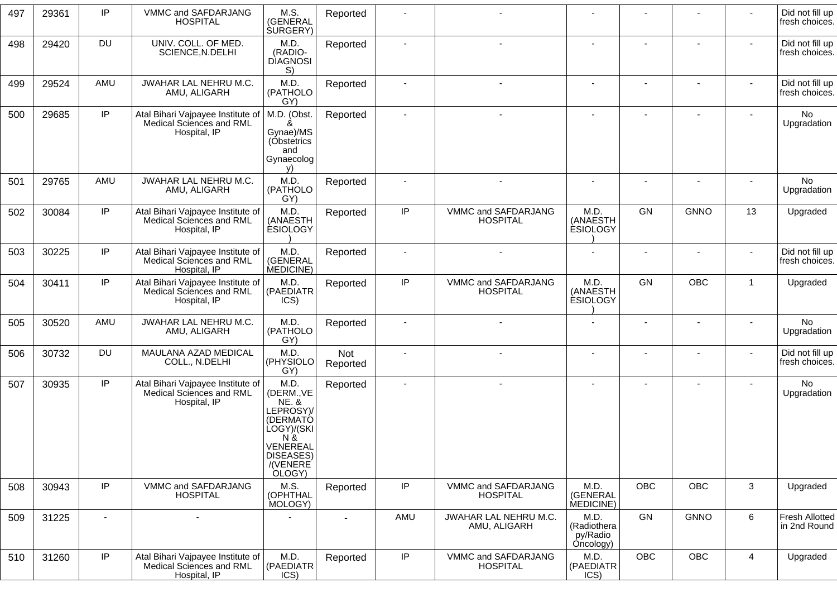| 497 | 29361 | IP        | VMMC and SAFDARJANG<br><b>HOSPITAL</b>                                        | M.S.<br>(GENERAL<br>SURGERY)                                                                                                                   | Reported        |          |                                        |                                              | $\blacksquare$           |             |                | Did not fill up<br>fresh choices.     |
|-----|-------|-----------|-------------------------------------------------------------------------------|------------------------------------------------------------------------------------------------------------------------------------------------|-----------------|----------|----------------------------------------|----------------------------------------------|--------------------------|-------------|----------------|---------------------------------------|
| 498 | 29420 | <b>DU</b> | UNIV. COLL. OF MED.<br>SCIENCE, N.DELHI                                       | M.D.<br>(RADIO-<br><b>DIAGNOSI</b><br>S)                                                                                                       | Reported        |          | $\blacksquare$                         | $\blacksquare$                               |                          | ۰           | $\blacksquare$ | Did not fill up<br>fresh choices.     |
| 499 | 29524 | AMU       | JWAHAR LAL NEHRU M.C.<br>AMU, ALIGARH                                         | M.D.<br>(PATHOLO<br>GY)                                                                                                                        | Reported        |          |                                        | $\overline{a}$                               |                          |             |                | Did not fill up<br>fresh choices.     |
| 500 | 29685 | IP        | Atal Bihari Vajpayee Institute of<br>Medical Sciences and RML<br>Hospital, IP | M.D. (Obst.<br>&<br>Gynae)/MS<br>(Óbstetrics<br>and<br>Gynaecolog<br>V)                                                                        | Reported        |          |                                        | $\blacksquare$                               |                          | ٠           | $\blacksquare$ | No<br>Upgradation                     |
| 501 | 29765 | AMU       | JWAHAR LAL NEHRU M.C.<br>AMU, ALIGARH                                         | M.D.<br>(PATHOLO<br>GY)                                                                                                                        | Reported        |          | $\blacksquare$                         | $\sim$                                       | $\overline{\phantom{a}}$ | ۰           |                | No<br>Upgradation                     |
| 502 | 30084 | IP        | Atal Bihari Vajpayee Institute of<br>Medical Sciences and RML<br>Hospital, IP | M.D.<br>(ANAESTH<br><b>ESIOLOGY</b>                                                                                                            | Reported        | IP       | VMMC and SAFDARJANG<br><b>HOSPITAL</b> | M.D.<br>(ANAESTH<br><b>ESIOLOGY</b>          | GN                       | <b>GNNO</b> | 13             | Upgraded                              |
| 503 | 30225 | IP        | Atal Bihari Vajpayee Institute of<br>Medical Sciences and RML<br>Hospital, IP | M.D.<br>(GENERAL<br>MEDICINE)                                                                                                                  | Reported        |          | $\sim$                                 | $\blacksquare$                               | $\blacksquare$           | ۰           | $\blacksquare$ | Did not fill up<br>fresh choices.     |
| 504 | 30411 | IP        | Atal Bihari Vajpayee Institute of<br>Medical Sciences and RML<br>Hospital, IP | M.D.<br>(PAEDIATR<br>ICS)                                                                                                                      | Reported        | $\sf IP$ | VMMC and SAFDARJANG<br><b>HOSPITAL</b> | M.D.<br>(ANAESTH<br><b>ESIOLOGY</b>          | GN                       | <b>OBC</b>  | $\overline{1}$ | Upgraded                              |
| 505 | 30520 | AMU       | JWAHAR LAL NEHRU M.C.<br>AMU, ALIGARH                                         | M.D.<br>(PATHOLO<br>GY)                                                                                                                        | Reported        |          |                                        | $\blacksquare$                               |                          | ۰           |                | No<br>Upgradation                     |
| 506 | 30732 | <b>DU</b> | MAULANA AZAD MEDICAL<br>COLL., N.DELHI                                        | M.D.<br>(PHYSIOLO<br>GY)                                                                                                                       | Not<br>Reported |          |                                        | $\blacksquare$                               |                          |             | $\blacksquare$ | Did not fill up<br>fresh choices.     |
| 507 | 30935 | IP        | Atal Bihari Vajpayee Institute of<br>Medical Sciences and RML<br>Hospital, IP | M.D.<br>(DERM., VE<br><b>NE. &amp;</b><br>LEPROSY)/<br>(DERMATÓ<br>LOGY)/(SKI<br>$N \&$<br>VENEREAL<br><b>DISEASES)</b><br>/(VENERE)<br>OLOGY) | Reported        |          |                                        |                                              | $\blacksquare$           |             |                | No<br>Upgradation                     |
| 508 | 30943 | IP        | VMMC and SAFDARJANG<br><b>HOSPITAL</b>                                        | M.S.<br>(OPHTHAL<br>MOLOGY)                                                                                                                    | Reported        | $\sf IP$ | VMMC and SAFDARJANG<br><b>HOSPITAL</b> | M.D.<br>(GENERAL<br>MEDICINE)                | <b>OBC</b>               | <b>OBC</b>  | 3              | Upgraded                              |
| 509 | 31225 |           |                                                                               |                                                                                                                                                | $\blacksquare$  | AMU      | JWAHAR LAL NEHRU M.C.<br>AMU, ALIGARH  | M.D.<br>(Radiothera<br>py/Radio<br>Oncology) | GN                       | <b>GNNO</b> | 6              | <b>Fresh Allotted</b><br>in 2nd Round |
| 510 | 31260 | $\sf IP$  | Atal Bihari Vajpayee Institute of<br>Medical Sciences and RML<br>Hospital, IP | M.D.<br>(PAEDIATR<br>ICS)                                                                                                                      | Reported        | $\sf IP$ | VMMC and SAFDARJANG<br><b>HOSPITAL</b> | M.D.<br>(PAEDIATR<br>ICS)                    | OBC                      | OBC         | $\overline{4}$ | Upgraded                              |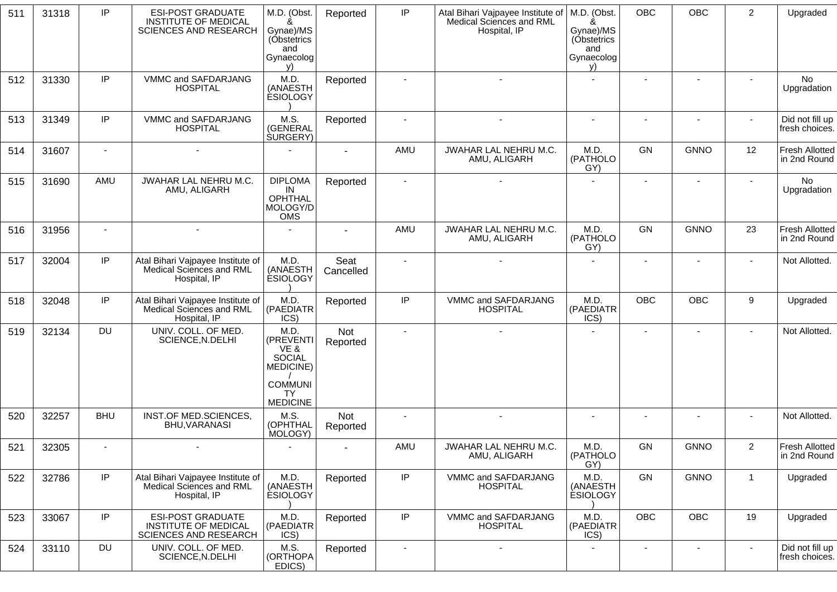| 511 | 31318 | IP             | <b>ESI-POST GRADUATE</b><br><b>INSTITUTE OF MEDICAL</b><br><b>SCIENCES AND RESEARCH</b> | M.D. (Obst.<br>&<br>Gynae)/MS<br>(Obstetrics<br>and<br>Gynaecolog<br>v)                                   | Reported               | IP             | Atal Bihari Vajpayee Institute of<br>Medical Sciences and RML<br>Hospital, IP | M.D. (Obst.<br>&<br>Gynae)/MS<br>(Obstetrics<br>and<br>Gynaecolog<br>V) | <b>OBC</b>               | OBC                      | $\overline{2}$           | Upgraded                              |
|-----|-------|----------------|-----------------------------------------------------------------------------------------|-----------------------------------------------------------------------------------------------------------|------------------------|----------------|-------------------------------------------------------------------------------|-------------------------------------------------------------------------|--------------------------|--------------------------|--------------------------|---------------------------------------|
| 512 | 31330 | IP             | VMMC and SAFDARJANG<br><b>HOSPITAL</b>                                                  | M.D<br>(ANAESTH<br><b>ESIOLOGY</b>                                                                        | Reported               | $\blacksquare$ | $\overline{a}$                                                                | $\blacksquare$                                                          | $\overline{\phantom{a}}$ | $\blacksquare$           | $\sim$                   | No<br>Upgradation                     |
| 513 | 31349 | IP             | VMMC and SAFDARJANG<br><b>HOSPITAL</b>                                                  | M.S.<br>(GENERAL<br><b>SURGERY</b> )                                                                      | Reported               |                |                                                                               | $\blacksquare$                                                          | $\blacksquare$           |                          |                          | Did not fill up<br>fresh choices.     |
| 514 | 31607 | $\blacksquare$ |                                                                                         |                                                                                                           |                        | AMU            | JWAHAR LAL NEHRU M.C.<br>AMU, ALIGARH                                         | M.D.<br>(PATHOLO<br>GY)                                                 | GN                       | <b>GNNO</b>              | 12                       | <b>Fresh Allotted</b><br>in 2nd Round |
| 515 | 31690 | AMU            | JWAHAR LAL NEHRU M.C.<br>AMU, ALIGARH                                                   | <b>DIPLOMA</b><br>IN<br><b>OPHTHAL</b><br>MOLOGY/D<br>OMS                                                 | Reported               | $\sim$         |                                                                               |                                                                         | $\blacksquare$           | $\blacksquare$           |                          | No<br>Upgradation                     |
| 516 | 31956 |                | $\overline{\phantom{a}}$                                                                |                                                                                                           |                        | <b>AMU</b>     | JWAHAR LAL NEHRU M.C.<br>AMU, ALIGARH                                         | M.D.<br>(PATHOLO<br>GY)                                                 | GN                       | <b>GNNO</b>              | 23                       | <b>Fresh Allotted</b><br>in 2nd Round |
| 517 | 32004 | IP             | Atal Bihari Vajpayee Institute of<br>Medical Sciences and RML<br>Hospital, IP           | M.D.<br>(ANAESTH<br><b>ESIOLOGY</b>                                                                       | Seat<br>Cancelled      |                |                                                                               |                                                                         |                          |                          |                          | Not Allotted.                         |
| 518 | 32048 | IP             | Atal Bihari Vajpayee Institute of<br>Medical Sciences and RML<br>Hospital, IP           | M.D.<br>(PAEDIATR<br>ICS)                                                                                 | Reported               | IP             | VMMC and SAFDARJANG<br><b>HOSPITAL</b>                                        | M.D.<br>(PAEDIATR<br>ICS)                                               | <b>OBC</b>               | <b>OBC</b>               | 9                        | Upgraded                              |
| 519 | 32134 | <b>DU</b>      | UNIV. COLL. OF MED.<br>SCIENCE, N.DELHI                                                 | M.D.<br>(PREVENTI<br>VE &<br><b>SOCIAL</b><br>MEDICINE)<br><b>COMMUNI</b><br><b>TY</b><br><b>MEDICINE</b> | Not<br>Reported        |                |                                                                               |                                                                         | $\blacksquare$           |                          |                          | Not Allotted.                         |
| 520 | 32257 | <b>BHU</b>     | INST.OF MED.SCIENCES,<br>BHU, VARANASI                                                  | M.S.<br>(OPHTHAL<br>MOLOGY)                                                                               | <b>Not</b><br>Reported |                |                                                                               |                                                                         |                          |                          |                          | Not Allotted.                         |
| 521 | 32305 |                |                                                                                         |                                                                                                           |                        | AMU            | JWAHAR LAL NEHRU M.C.<br>AMU, ALIGARH                                         | M.D.<br>(PATHOLO<br>GY)                                                 | GN                       | <b>GNNO</b>              | $\boldsymbol{2}$         | Fresh Allotted<br>in 2nd Round        |
| 522 | 32786 | IP             | Atal Bihari Vajpayee Institute of<br>Medical Sciences and RML<br>Hospital, IP           | M.D.<br>(ANAESTH<br><b>ESIOLOGY</b>                                                                       | Reported               | IP             | VMMC and SAFDARJANG<br><b>HOSPITAL</b>                                        | M.D.<br>(ANAESTH<br><b>ESIOLOGY</b>                                     | GN                       | <b>GNNO</b>              | $\mathbf{1}$             | Upgraded                              |
| 523 | 33067 | IP             | <b>ESI-POST GRADUATE</b><br><b>INSTITUTE OF MEDICAL</b><br><b>SCIENCES AND RESEARCH</b> | M.D.<br>(PAEDIATR<br>ICS)                                                                                 | Reported               | $\sf IP$       | VMMC and SAFDARJANG<br><b>HOSPITAL</b>                                        | M.D.<br>(PAEDIATR<br>ICS)                                               | OBC                      | OBC                      | 19                       | Upgraded                              |
| 524 | 33110 | <b>DU</b>      | UNIV. COLL. OF MED.<br>SCIENCE, N.DELHI                                                 | M.S.<br>(ORTHOPA<br>EDICS)                                                                                | Reported               |                | $\overline{\phantom{0}}$                                                      | $\blacksquare$                                                          |                          | $\overline{\phantom{a}}$ | $\overline{\phantom{a}}$ | Did not fill up<br>fresh choices.     |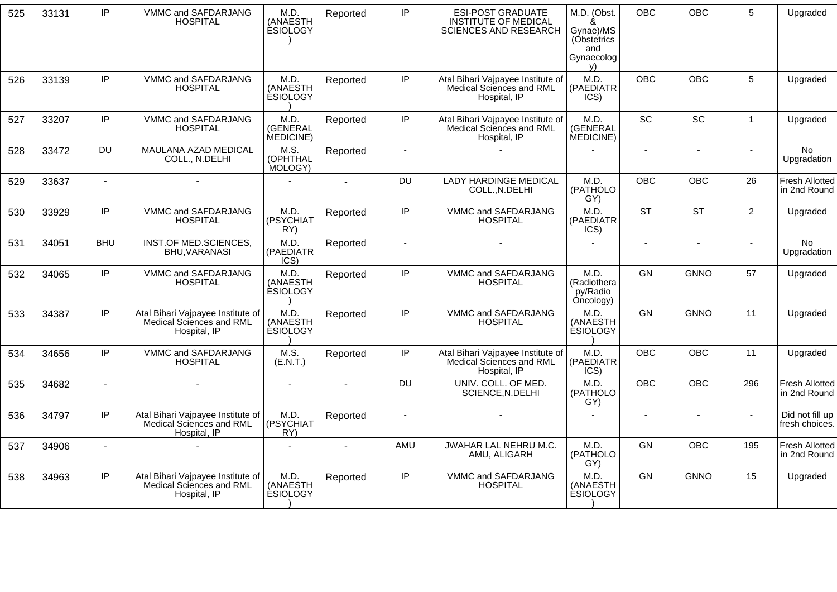| 525 | 33131 | IP             | VMMC and SAFDARJANG<br><b>HOSPITAL</b>                                        | M.D.<br>(ANAESTH<br><b>ESIOLOGY</b> | Reported | IP             | ESI-POST GRADUATE<br><b>INSTITUTE OF MEDICAL</b><br><b>SCIENCES AND RESEARCH</b> | M.D. (Obst.<br>&<br>Gynae)/MS<br>(Obstetrics<br>and<br>Gynaecolog<br>V) | <b>OBC</b> | <b>OBC</b>     | 5              | Upgraded                              |
|-----|-------|----------------|-------------------------------------------------------------------------------|-------------------------------------|----------|----------------|----------------------------------------------------------------------------------|-------------------------------------------------------------------------|------------|----------------|----------------|---------------------------------------|
| 526 | 33139 | IP             | VMMC and SAFDARJANG<br><b>HOSPITAL</b>                                        | M.D.<br>(ANAESTH<br><b>ESIOLOGY</b> | Reported | IP             | Atal Bihari Vajpayee Institute of<br>Medical Sciences and RML<br>Hospital, IP    | M.D.<br>(PAEDIATR<br>ICS)                                               | <b>OBC</b> | <b>OBC</b>     | 5              | Upgraded                              |
| 527 | 33207 | IP             | VMMC and SAFDARJANG<br><b>HOSPITAL</b>                                        | M.D.<br>(GENERAL<br>MEDICINE)       | Reported | IP             | Atal Bihari Vajpayee Institute of<br>Medical Sciences and RML<br>Hospital, IP    | M.D.<br>(GENERAL<br>MEDICINE)                                           | SC         | SC             | $\mathbf{1}$   | Upgraded                              |
| 528 | 33472 | <b>DU</b>      | MAULANA AZAD MEDICAL<br>COLL., N.DELHI                                        | M.S.<br>(OPHTHAL<br>MOLOGY)         | Reported | $\overline{a}$ |                                                                                  |                                                                         |            | $\blacksquare$ |                | <b>No</b><br>Upgradation              |
| 529 | 33637 | $\sim$         | ÷,                                                                            |                                     |          | <b>DU</b>      | <b>LADY HARDINGE MEDICAL</b><br>COLLN.DELHI                                      | M.D.<br>(PATHOLO<br>GY)                                                 | <b>OBC</b> | OBC            | 26             | <b>Fresh Allotted</b><br>in 2nd Round |
| 530 | 33929 | IP             | VMMC and SAFDARJANG<br><b>HOSPITAL</b>                                        | M.D.<br>(PSYCHIAT<br>RY)            | Reported | IP.            | VMMC and SAFDARJANG<br><b>HOSPITAL</b>                                           | M.D.<br>(PAEDIATR<br>ICS)                                               | <b>ST</b>  | <b>ST</b>      | $\overline{2}$ | Upgraded                              |
| 531 | 34051 | <b>BHU</b>     | INST.OF MED.SCIENCES,<br><b>BHU, VARANASI</b>                                 | M.D.<br>(PAEDIATR<br>ICS)           | Reported | $\mathbf{r}$   |                                                                                  |                                                                         | $\sim$     | $\blacksquare$ | $\sim$         | No<br>Upgradation                     |
| 532 | 34065 | IP             | VMMC and SAFDARJANG<br><b>HOSPITAL</b>                                        | M.D.<br>(ANAESTH<br><b>ESIOLOGY</b> | Reported | IP             | VMMC and SAFDARJANG<br><b>HOSPITAL</b>                                           | M.D.<br>(Radiothera<br>py/Radio<br>Oncology)                            | GN         | <b>GNNO</b>    | 57             | Upgraded                              |
| 533 | 34387 | IP             | Atal Bihari Vajpayee Institute of<br>Medical Sciences and RML<br>Hospital, IP | M.D.<br>(ANAESTH<br><b>ESIOLOGY</b> | Reported | IP             | VMMC and SAFDARJANG<br><b>HOSPITAL</b>                                           | M.D.<br>(ANAESTH<br><b>ESIOLOGY</b>                                     | GN         | <b>GNNO</b>    | 11             | Upgraded                              |
| 534 | 34656 | IP             | VMMC and SAFDARJANG<br><b>HOSPITAL</b>                                        | M.S.<br>(E.N.T.)                    | Reported | IP             | Atal Bihari Vajpayee Institute of<br>Medical Sciences and RML<br>Hospital, IP    | M.D.<br>(PAEDIATR<br>ICS)                                               | <b>OBC</b> | <b>OBC</b>     | 11             | Upgraded                              |
| 535 | 34682 | $\sim$         | ÷,                                                                            | $\sim$                              |          | DU             | UNIV. COLL. OF MED.<br>SCIENCE, N.DELHI                                          | M.D.<br>(PATHOLO<br>GY)                                                 | <b>OBC</b> | <b>OBC</b>     | 296            | <b>Fresh Allotted</b><br>in 2nd Round |
| 536 | 34797 | IP             | Atal Bihari Vajpayee Institute of<br>Medical Sciences and RML<br>Hospital, IP | M.D.<br>(PSYCHIAT<br>RY)            | Reported | $\overline{a}$ |                                                                                  |                                                                         |            |                |                | Did not fill up<br>fresh choices.     |
| 537 | 34906 | $\blacksquare$ |                                                                               |                                     |          | AMU            | <b>JWAHAR LAL NEHRU M.C.</b><br>AMU, ALIGARH                                     | M.D.<br>(PATHOLO<br>GY)                                                 | GN         | <b>OBC</b>     | 195            | <b>Fresh Allotted</b><br>in 2nd Round |
| 538 | 34963 | IP             | Atal Bihari Vajpayee Institute of<br>Medical Sciences and RML<br>Hospital, IP | M.D.<br>(ANAESTH<br><b>ESIOLOGY</b> | Reported | IP             | VMMC and SAFDARJANG<br><b>HOSPITAL</b>                                           | M.D.<br>(ANAESTH<br><b>ESIOLOGY</b>                                     | GN         | <b>GNNO</b>    | 15             | Upgraded                              |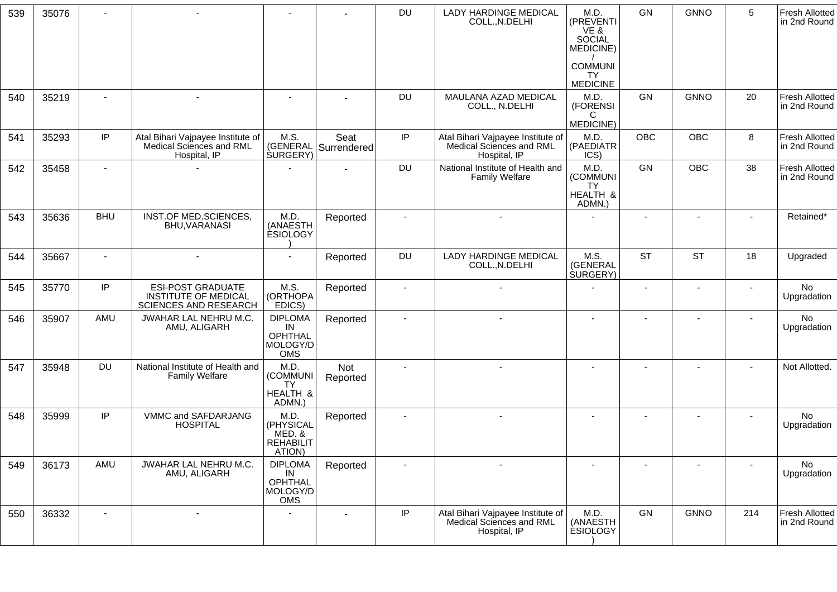| 539 | 35076 |            |                                                                                  |                                                                  |                     | <b>DU</b>      | LADY HARDINGE MEDICAL<br>COLL., N.DELHI                                       | M.D.<br>(PREVENTI<br>VE &<br><b>SOCIAL</b><br>MEDICINE) | GN                       | <b>GNNO</b>              | 5      | <b>Fresh Allotted</b><br>in 2nd Round |
|-----|-------|------------|----------------------------------------------------------------------------------|------------------------------------------------------------------|---------------------|----------------|-------------------------------------------------------------------------------|---------------------------------------------------------|--------------------------|--------------------------|--------|---------------------------------------|
|     |       |            |                                                                                  |                                                                  |                     |                |                                                                               | <b>COMMUNI</b><br><b>TY</b><br><b>MEDICINE</b>          |                          |                          |        |                                       |
| 540 | 35219 |            | $\blacksquare$                                                                   | $\sim$                                                           |                     | <b>DU</b>      | MAULANA AZAD MEDICAL<br>COLL., N.DELHI                                        | M.D.<br>(FORENSI<br>C<br>MEDICINE)                      | GN                       | <b>GNNO</b>              | 20     | <b>Fresh Allotted</b><br>in 2nd Round |
| 541 | 35293 | IP         | Atal Bihari Vajpayee Institute of<br>Medical Sciences and RML<br>Hospital, IP    | M.S.<br>(GENERAL<br><b>SURGERY</b> )                             | Seat<br>Surrendered | IP             | Atal Bihari Vajpayee Institute of<br>Medical Sciences and RML<br>Hospital, IP | M.D.<br>(PAEDIATR<br>ICS)                               | <b>OBC</b>               | OBC                      | 8      | <b>Fresh Allotted</b><br>in 2nd Round |
| 542 | 35458 |            |                                                                                  |                                                                  |                     | <b>DU</b>      | National Institute of Health and<br><b>Family Welfare</b>                     | M.D.<br>(COMMUNI<br><b>TY</b><br>HEALTH &<br>ADMN.)     | GN                       | <b>OBC</b>               | 38     | <b>Fresh Allotted</b><br>in 2nd Round |
| 543 | 35636 | <b>BHU</b> | <b>INST.OF MED.SCIENCES,</b><br>BHU, VARANASI                                    | M.D.<br>(ANAESTH<br><b>ESIOLOGY</b>                              | Reported            |                | $\blacksquare$                                                                |                                                         | $\blacksquare$           | $\blacksquare$           |        | Retained*                             |
| 544 | 35667 |            | ÷,                                                                               | $\blacksquare$                                                   | Reported            | <b>DU</b>      | <b>LADY HARDINGE MEDICAL</b><br>COLL., N.DELHI                                | M.S.<br>(GENERAL<br><b>SURGERY</b> )                    | <b>ST</b>                | <b>ST</b>                | 18     | Upgraded                              |
| 545 | 35770 | IP         | <b>ESI-POST GRADUATE</b><br><b>INSTITUTE OF MEDICAL</b><br>SCIENCES AND RESEARCH | M.S.<br>(ORTHOPA<br>EDICS)                                       | Reported            |                |                                                                               |                                                         | $\overline{\phantom{a}}$ | $\overline{\phantom{a}}$ |        | No<br>Upgradation                     |
| 546 | 35907 | AMU        | JWAHAR LAL NEHRU M.C.<br>AMU, ALIGARH                                            | <b>DIPLOMA</b><br>IN<br><b>OPHTHAL</b><br>MOLOGY/D<br><b>OMS</b> | Reported            |                |                                                                               | $\overline{\phantom{a}}$                                | ٠                        | $\overline{\phantom{a}}$ |        | No<br>Upgradation                     |
| 547 | 35948 | <b>DU</b>  | National Institute of Health and<br><b>Family Welfare</b>                        | M.D<br>(COMMUNI<br><b>TY</b><br>HEALTH &<br>ADMN.)               | Not<br>Reported     | $\sim$         | $\overline{\phantom{a}}$                                                      | ٠                                                       | $\blacksquare$           | $\blacksquare$           | ٠      | Not Allotted.                         |
| 548 | 35999 | IP         | VMMC and SAFDARJANG<br><b>HOSPITAL</b>                                           | M.D.<br>(PHYSICAL<br>MED.&<br><b>REHABILIT</b><br>ATION)         | Reported            | $\overline{a}$ | $\sim$                                                                        | $\sim$                                                  | $\blacksquare$           | $\blacksquare$           | $\sim$ | No<br>Upgradation                     |
| 549 | 36173 | AMU        | JWAHAR LAL NEHRU M.C.<br>AMU, ALIGARH                                            | <b>DIPLOMA</b><br>IN<br><b>OPHTHAL</b><br>MOLOGY/D<br>OMS        | Reported            |                |                                                                               |                                                         |                          |                          |        | No<br>Upgradation                     |
| 550 | 36332 |            | ÷                                                                                |                                                                  |                     | IP             | Atal Bihari Vajpayee Institute of<br>Medical Sciences and RML<br>Hospital, IP | M.D.<br>(ANAESTH<br><b>ESIOLOGY</b>                     | GN                       | <b>GNNO</b>              | 214    | <b>Fresh Allotted</b><br>in 2nd Round |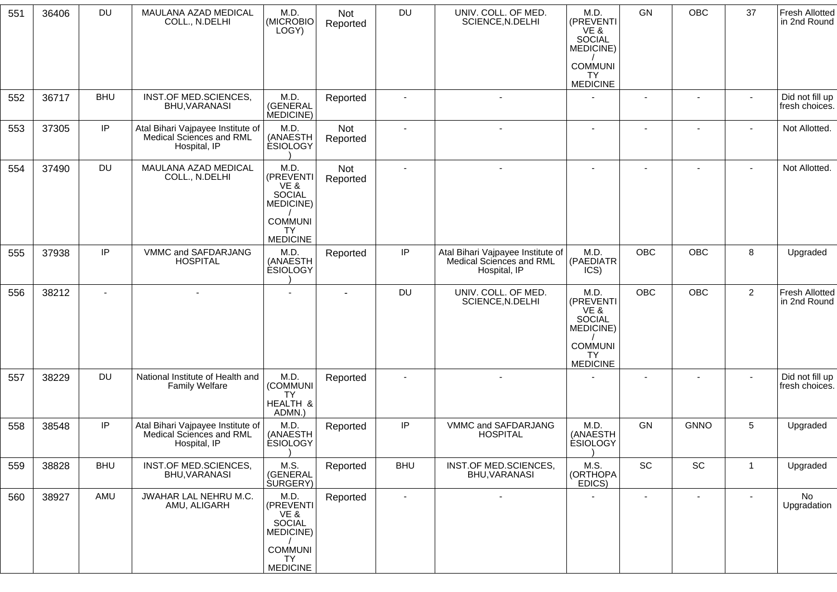| 551 | 36406 | <b>DU</b>  | MAULANA AZAD MEDICAL<br>COLL., N.DELHI                                        | M.D.<br>(MICROBIO<br>LOGY)                                                                          | Not<br>Reported | <b>DU</b>      | UNIV. COLL. OF MED.<br>SCIENCE, N.DELHI                                       | M.D.<br>(PREVENTI<br>VE &<br>SOCIAL<br>MEDICINE)                                | GN             | OBC                          | 37             | <b>Fresh Allotted</b><br>in 2nd Round |
|-----|-------|------------|-------------------------------------------------------------------------------|-----------------------------------------------------------------------------------------------------|-----------------|----------------|-------------------------------------------------------------------------------|---------------------------------------------------------------------------------|----------------|------------------------------|----------------|---------------------------------------|
|     |       |            |                                                                               |                                                                                                     |                 |                |                                                                               | <b>COMMUNI</b><br>TY.<br><b>MEDICINE</b>                                        |                |                              |                |                                       |
| 552 | 36717 | <b>BHU</b> | INST.OF MED.SCIENCES,<br>BHU, VARANASI                                        | M.D.<br>(GENERAL<br>MEDICINE)                                                                       | Reported        | $\blacksquare$ |                                                                               |                                                                                 | $\sim$         | $\blacksquare$               |                | Did not fill up<br>fresh choices.     |
| 553 | 37305 | IP         | Atal Bihari Vajpayee Institute of<br>Medical Sciences and RML<br>Hospital, IP | M.D.<br>(ANAESTH<br><b>ESIOLOGY</b>                                                                 | Not<br>Reported | $\blacksquare$ |                                                                               | $\blacksquare$                                                                  |                | $\overline{\phantom{a}}$     |                | Not Allotted.                         |
| 554 | 37490 | <b>DU</b>  | MAULANA AZAD MEDICAL<br>COLL., N.DELHI                                        | M.D.<br>(PREVENTI<br>VE &<br><b>SOCIAL</b><br>MEDICINE)<br><b>COMMUNI</b><br>TY.                    | Not<br>Reported | $\blacksquare$ |                                                                               |                                                                                 |                |                              |                | Not Allotted.                         |
| 555 | 37938 | IP         | VMMC and SAFDARJANG<br><b>HOSPITAL</b>                                        | <b>MEDICINE</b><br>M.D.<br>(ANAESTH<br><b>ESIOLOGY</b>                                              | Reported        | IP             | Atal Bihari Vajpayee Institute of<br>Medical Sciences and RML<br>Hospital, IP | M.D.<br>(PAEDIATR<br>ICS)                                                       | <b>OBC</b>     | OBC                          | 8              | Upgraded                              |
| 556 | 38212 | $\sim$     |                                                                               |                                                                                                     |                 | <b>DU</b>      | UNIV. COLL. OF MED.<br>SCIENCE, N.DELHI                                       | M.D.<br>(PREVENTI<br>VE &<br>SOCIAL<br>MEDICINE)<br><b>COMMUNI</b><br><b>TY</b> | <b>OBC</b>     | OBC                          | $\overline{2}$ | <b>Fresh Allotted</b><br>in 2nd Round |
| 557 | 38229 | DU         | National Institute of Health and<br><b>Family Welfare</b>                     | M.D.<br>(COMMUNI<br>TY.<br>HEALTH &<br>ADMN.)                                                       | Reported        |                |                                                                               | <b>MEDICINE</b>                                                                 |                |                              |                | Did not fill up<br>fresh choices.     |
| 558 | 38548 | IP         | Atal Bihari Vajpayee Institute of<br>Medical Sciences and RML<br>Hospital, IP | M.D.<br>(ANAESTH<br><b>ESIOLOGY</b>                                                                 | Reported        | IP             | VMMC and SAFDARJANG<br><b>HOSPITAL</b>                                        | M.D.<br>(ANAESTH<br><b>ESIOLOGY</b>                                             | GN             | <b>GNNO</b>                  | 5              | Upgraded                              |
| 559 | 38828 | <b>BHU</b> | INST.OF MED.SCIENCES,<br>BHU, VARANASI                                        | M.S.<br>(GENERAL<br>SURGERY)                                                                        | Reported        | <b>BHU</b>     | INST.OF MED.SCIENCES,<br>BHU, VARANASI                                        | M.S.<br>(ORTHOPA<br>EDICS)                                                      | SC             | $\operatorname{\textsf{SC}}$ | $\overline{1}$ | Upgraded                              |
| 560 | 38927 | AMU        | JWAHAR LAL NEHRU M.C.<br>AMU, ALIGARH                                         | M.D.<br>(PREVENTI<br>VE &<br>SOCIAL<br><b>MEDICINE)</b><br><b>COMMUNI</b><br>TY.<br><b>MEDICINE</b> | Reported        | $\blacksquare$ |                                                                               |                                                                                 | $\blacksquare$ | $\blacksquare$               |                | No<br>Upgradation                     |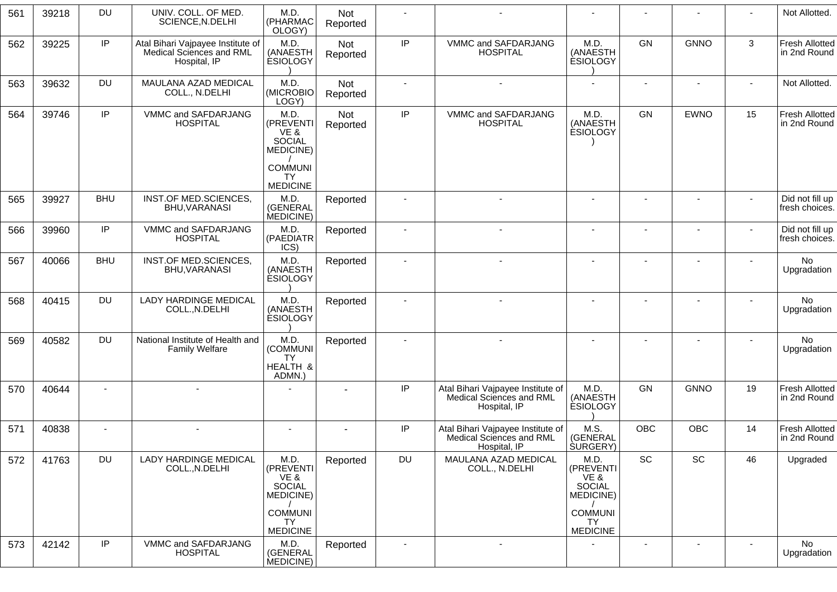| 561 | 39218 | <b>DU</b>  | UNIV. COLL. OF MED.<br>SCIENCE, N.DELHI                                       | M.D.<br>(PHARMAC<br>OLOGY)                          | Not<br>Reported |                |                                                                               |                                                   |                          |                          |                          | Not Allotted.                         |
|-----|-------|------------|-------------------------------------------------------------------------------|-----------------------------------------------------|-----------------|----------------|-------------------------------------------------------------------------------|---------------------------------------------------|--------------------------|--------------------------|--------------------------|---------------------------------------|
| 562 | 39225 | IP         | Atal Bihari Vajpayee Institute of<br>Medical Sciences and RML<br>Hospital, IP | M.D.<br>(ANAESTH<br><b>ESIOLOGY</b>                 | Not<br>Reported | $\sf IP$       | VMMC and SAFDARJANG<br><b>HOSPITAL</b>                                        | M.D.<br>(ANAESTH<br><b>ESIOLOGY</b>               | GN                       | <b>GNNO</b>              | $\mathbf{3}$             | <b>Fresh Allotted</b><br>in 2nd Round |
| 563 | 39632 | <b>DU</b>  | MAULANA AZAD MEDICAL<br>COLL., N.DELHI                                        | M.D.<br>(MICROBIO<br>LOGY)                          | Not<br>Reported |                | $\blacksquare$                                                                | $\blacksquare$                                    | $\overline{\phantom{a}}$ | $\blacksquare$           |                          | Not Allotted.                         |
| 564 | 39746 | IP         | VMMC and SAFDARJANG<br><b>HOSPITAL</b>                                        | M.D.<br>(PREVENTI<br>VE&<br>SOCIAL<br>MEDICINE)     | Not<br>Reported | $\sf IP$       | VMMC and SAFDARJANG<br><b>HOSPITAL</b>                                        | M.D.<br>(ANAESTH<br><b>ESIOLOGY</b>               | GN                       | <b>EWNO</b>              | 15                       | Fresh Allotted<br>in 2nd Round        |
|     |       |            |                                                                               | <b>COMMUNI</b><br><b>TY</b><br><b>MEDICINE</b>      |                 |                |                                                                               |                                                   |                          |                          |                          |                                       |
| 565 | 39927 | <b>BHU</b> | INST.OF MED.SCIENCES,<br>BHU, VARANASI                                        | M.D.<br>(GENERAL<br>MEDICINE)                       | Reported        |                | $\sim$                                                                        | $\sim$                                            |                          | $\blacksquare$           | $\sim$                   | Did not fill up<br>fresh choices.     |
| 566 | 39960 | IP         | VMMC and SAFDARJANG<br><b>HOSPITAL</b>                                        | M.D.<br>(PAEDIATR<br>ICS)                           | Reported        |                | $\sim$                                                                        |                                                   | ÷,                       | ÷                        | $\overline{\phantom{a}}$ | Did not fill up<br>fresh choices.     |
| 567 | 40066 | <b>BHU</b> | INST.OF MED.SCIENCES,<br>BHU, VARANASI                                        | M.D.<br>(ANAESTH<br><b>ESIOLOGY</b>                 | Reported        |                |                                                                               |                                                   |                          |                          |                          | No<br>Upgradation                     |
| 568 | 40415 | <b>DU</b>  | <b>LADY HARDINGE MEDICAL</b><br>COLL., N.DELHI                                | M.D.<br>(ANAESTH<br><b>ESIOLOGY</b>                 | Reported        |                | $\sim$                                                                        | $\blacksquare$                                    | $\overline{\phantom{a}}$ |                          | ٠                        | No<br>Upgradation                     |
| 569 | 40582 | <b>DU</b>  | National Institute of Health and<br><b>Family Welfare</b>                     | M.D.<br>(COMMUNI<br><b>TY</b><br>HEALTH &<br>ADMN.) | Reported        |                | $\overline{\phantom{a}}$                                                      | $\blacksquare$                                    | ٠                        | ۰                        | $\blacksquare$           | No<br>Upgradation                     |
| 570 | 40644 |            |                                                                               |                                                     |                 | $\sf IP$       | Atal Bihari Vajpayee Institute of<br>Medical Sciences and RML<br>Hospital, IP | M.D.<br>(ANAESTH<br><b>ESIOLOGY</b>               | GN                       | <b>GNNO</b>              | 19                       | <b>Fresh Allotted</b><br>in 2nd Round |
| 571 | 40838 |            |                                                                               |                                                     |                 | IP             | Atal Bihari Vajpayee Institute of<br>Medical Sciences and RML<br>Hospital, IP | M.S.<br>(GENERAL<br><b>SURGERY</b> )              | <b>OBC</b>               | <b>OBC</b>               | 14                       | <b>Fresh Allotted</b><br>in 2nd Round |
| 572 | 41763 | <b>DU</b>  | <b>LADY HARDINGE MEDICAL</b><br>COLL., N.DELHI                                | M.D.<br>(PREVENTI<br>VE &<br>SOCIAL<br>MEDICINE)    | Reported        | DU             | MAULANA AZAD MEDICAL<br>COLL., N.DELHI                                        | M.D.<br>(PREVENTI)<br>VE &<br>SOCIAL<br>MEDICINE) | SC                       | SC                       | 46                       | Upgraded                              |
|     |       |            |                                                                               | <b>COMMUNI</b><br><b>TY</b>                         |                 |                |                                                                               | <b>COMMUNI</b><br><b>TY</b>                       |                          |                          |                          |                                       |
| 573 | 42142 | IP         | VMMC and SAFDARJANG<br><b>HOSPITAL</b>                                        | <b>MEDICINE</b><br>M.D.<br>(GENERAL<br>MEDICINE)    | Reported        | $\blacksquare$ | $\blacksquare$                                                                | <b>MEDICINE</b>                                   | $\blacksquare$           | $\overline{\phantom{a}}$ | $\blacksquare$           | <b>No</b><br>Upgradation              |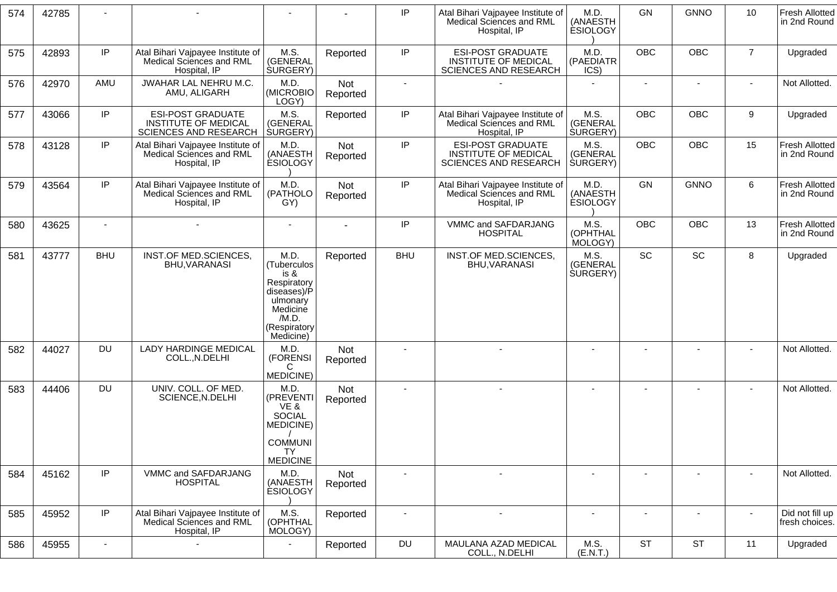| 574 | 42785 |                |                                                                                  |                                                                                                                         |                        | IP             | Atal Bihari Vajpayee Institute of<br>Medical Sciences and RML<br>Hospital, IP           | M.D.<br>(ANAESTH<br><b>ÉSIOLOGY</b>  | GN                       | <b>GNNO</b>    | 10             | <b>Fresh Allotted</b><br>in 2nd Round |
|-----|-------|----------------|----------------------------------------------------------------------------------|-------------------------------------------------------------------------------------------------------------------------|------------------------|----------------|-----------------------------------------------------------------------------------------|--------------------------------------|--------------------------|----------------|----------------|---------------------------------------|
| 575 | 42893 | IP             | Atal Bihari Vajpayee Institute of<br>Medical Sciences and RML<br>Hospital, IP    | M.S.<br>(GENERAL<br><b>SURGERY</b> )                                                                                    | Reported               | IP             | <b>ESI-POST GRADUATE</b><br><b>INSTITUTE OF MEDICAL</b><br>SCIENCES AND RESEARCH        | M.D.<br>(PAEDIATR<br>ICS)            | <b>OBC</b>               | <b>OBC</b>     | $\overline{7}$ | Upgraded                              |
| 576 | 42970 | AMU            | JWAHAR LAL NEHRU M.C.<br>AMU, ALIGARH                                            | M.D.<br>(MICROBIO<br>LOGY)                                                                                              | Not<br>Reported        |                |                                                                                         | $\blacksquare$                       | $\blacksquare$           | $\blacksquare$ |                | Not Allotted.                         |
| 577 | 43066 | IP             | <b>ESI-POST GRADUATE</b><br><b>INSTITUTE OF MEDICAL</b><br>SCIENCES AND RESEARCH | M.S.<br>(GENERAL<br><b>SURGERY</b> )                                                                                    | Reported               | IP             | Atal Bihari Vajpayee Institute of<br>Medical Sciences and RML<br>Hospital, IP           | M.S.<br>(GENERAL<br><b>SURGERY</b> ) | <b>OBC</b>               | <b>OBC</b>     | 9              | Upgraded                              |
| 578 | 43128 | IP             | Atal Bihari Vajpayee Institute of<br>Medical Sciences and RML<br>Hospital, IP    | M.D.<br>(ANAESTH<br><b>ESIOLOGY</b>                                                                                     | Not<br>Reported        | $\sf IP$       | <b>ESI-POST GRADUATE</b><br><b>INSTITUTE OF MEDICAL</b><br><b>SCIENCES AND RESEARCH</b> | M.S.<br>(GENERAL<br><b>SURGERY</b> ) | <b>OBC</b>               | <b>OBC</b>     | 15             | <b>Fresh Allotted</b><br>in 2nd Round |
| 579 | 43564 | IP             | Atal Bihari Vajpayee Institute of<br>Medical Sciences and RML<br>Hospital, IP    | M.D.<br>(PATHOLO<br>GY)                                                                                                 | <b>Not</b><br>Reported | $\sf IP$       | Atal Bihari Vajpayee Institute of<br>Medical Sciences and RML<br>Hospital, IP           | M.D.<br>(ANAESTH<br><b>ESIOLOGY</b>  | GN                       | <b>GNNO</b>    | 6              | <b>Fresh Allotted</b><br>in 2nd Round |
| 580 | 43625 |                | $\overline{a}$                                                                   |                                                                                                                         |                        | IP             | VMMC and SAFDARJANG<br><b>HOSPITAL</b>                                                  | M.S.<br>(OPHTHAL<br>MOLOGY)          | <b>OBC</b>               | <b>OBC</b>     | 13             | <b>Fresh Allotted</b><br>in 2nd Round |
| 581 | 43777 | <b>BHU</b>     | INST.OF MED.SCIENCES,<br>BHU, VARANASI                                           | M.D.<br>(Tuberculos<br>is &<br>Respiratory<br>diseases)/P<br>ulmonary<br>Medicine<br>/M.D.<br>(Respiratory<br>Medicine) | Reported               | <b>BHU</b>     | INST.OF MED.SCIENCES,<br>BHU, VARANASI                                                  | M.S.<br>(GENERAL<br><b>SURGERY</b> ) | SC                       | SC             | 8              | Upgraded                              |
| 582 | 44027 | <b>DU</b>      | <b>LADY HARDINGE MEDICAL</b><br>COLL., N.DELHI                                   | M.D.<br>(FORENSI<br>$\mathsf{C}$<br>MEDICINE)                                                                           | Not<br>Reported        |                |                                                                                         |                                      |                          |                |                | Not Allotted.                         |
| 583 | 44406 | <b>DU</b>      | UNIV. COLL. OF MED.<br>SCIENCE, N.DELHI                                          | M.D.<br>(PREVENTI<br>VE &<br><b>SOCIAL</b><br>MEDICINE)<br><b>COMMUNI</b><br>TΥ<br><b>MEDICINE</b>                      | Not<br>Reported        |                | $\sim$                                                                                  | $\overline{\phantom{a}}$             | $\blacksquare$           | ٠              | $\blacksquare$ | Not Allotted.                         |
| 584 | 45162 | IP             | VMMC and SAFDARJANG<br><b>HOSPITAL</b>                                           | M.D.<br>(ANAESTH<br><b>ESIOLOGY</b>                                                                                     | Not<br>Reported        |                |                                                                                         |                                      |                          |                |                | Not Allotted.                         |
| 585 | 45952 | IP             | Atal Bihari Vajpayee Institute of<br>Medical Sciences and RML<br>Hospital, IP    | M.S.<br>(OPHTHAL<br>MOLOGY)                                                                                             | Reported               | $\blacksquare$ | $\blacksquare$                                                                          | $\blacksquare$                       | $\overline{\phantom{a}}$ | $\blacksquare$ | $\sim$         | Did not fill up<br>fresh choices.     |
| 586 | 45955 | $\blacksquare$ |                                                                                  | $\overline{\phantom{a}}$                                                                                                | Reported               | DU             | MAULANA AZAD MEDICAL<br>COLL., N.DELHI                                                  | M.S.<br>(E.N.T.)                     | <b>ST</b>                | <b>ST</b>      | 11             | Upgraded                              |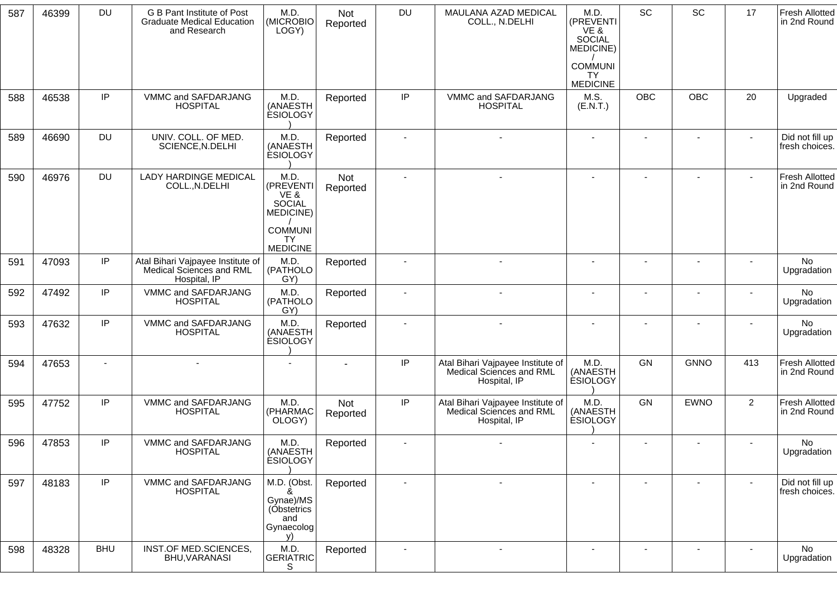| 587 | 46399 | <b>DU</b>      | G B Pant Institute of Post<br><b>Graduate Medical Education</b><br>and Research | M.D.<br>(MICROBIO<br>LOGY)                                                                  | Not<br>Reported | DU                       | MAULANA AZAD MEDICAL<br>COLL., N.DELHI                                        | M.D.<br>(PREVENTI<br>VE &<br><b>SOCIAL</b><br>MEDICINE)<br><b>COMMUNI</b><br><b>TY</b><br><b>MEDICINE</b> | SC                       | SC             | 17             | <b>Fresh Allotted</b><br>in 2nd Round |
|-----|-------|----------------|---------------------------------------------------------------------------------|---------------------------------------------------------------------------------------------|-----------------|--------------------------|-------------------------------------------------------------------------------|-----------------------------------------------------------------------------------------------------------|--------------------------|----------------|----------------|---------------------------------------|
| 588 | 46538 | IP             | VMMC and SAFDARJANG<br><b>HOSPITAL</b>                                          | M.D.<br>(ANAESTH<br><b>ESIOLOGY</b>                                                         | Reported        | IP                       | VMMC and SAFDARJANG<br><b>HOSPITAL</b>                                        | M.S.<br>(E.N.T.)                                                                                          | OBC                      | OBC            | 20             | Upgraded                              |
| 589 | 46690 | <b>DU</b>      | UNIV. COLL. OF MED.<br>SCIENCE, N.DELHI                                         | M.D.<br>(ANAESTH<br><b>ESIOLOGY</b>                                                         | Reported        |                          |                                                                               |                                                                                                           |                          |                |                | Did not fill up<br>fresh choices.     |
| 590 | 46976 | <b>DU</b>      | <b>LADY HARDINGE MEDICAL</b><br>COLL., N.DELHI                                  | M.D.<br>(PREVENTI<br>VE &<br>SOCIAL<br>MEDICINE)<br><b>COMMUNI</b><br>TY<br><b>MEDICINE</b> | Not<br>Reported | $\overline{a}$           |                                                                               |                                                                                                           | $\overline{\phantom{a}}$ | $\blacksquare$ | $\sim$         | <b>Fresh Allotted</b><br>in 2nd Round |
| 591 | 47093 | IP             | Atal Bihari Vajpayee Institute of<br>Medical Sciences and RML<br>Hospital, IP   | M.D.<br>(PATHOLO<br>GY)                                                                     | Reported        |                          |                                                                               |                                                                                                           |                          |                |                | No<br>Upgradation                     |
| 592 | 47492 | IP             | VMMC and SAFDARJANG<br><b>HOSPITAL</b>                                          | M.D.<br>(PATHOLO<br>GY)                                                                     | Reported        |                          |                                                                               |                                                                                                           |                          | $\blacksquare$ |                | No<br>Upgradation                     |
| 593 | 47632 | IP             | VMMC and SAFDARJANG<br><b>HOSPITAL</b>                                          | M.D.<br>(ANAESTH<br><b>ESIOLOGY</b>                                                         | Reported        | $\blacksquare$           |                                                                               |                                                                                                           |                          |                |                | <b>No</b><br>Upgradation              |
| 594 | 47653 | $\blacksquare$ |                                                                                 |                                                                                             |                 | IP                       | Atal Bihari Vajpayee Institute of<br>Medical Sciences and RML<br>Hospital, IP | M.D.<br>(ANAESTH<br><b>ESIOLOGY</b>                                                                       | GN                       | <b>GNNO</b>    | 413            | <b>Fresh Allotted</b><br>in 2nd Round |
| 595 | 47752 | IP             | VMMC and SAFDARJANG<br><b>HOSPITAL</b>                                          | M.D.<br>(PHARMAC<br>OLOGY)                                                                  | Not<br>Reported | $\sf IP$                 | Atal Bihari Vajpayee Institute of<br>Medical Sciences and RML<br>Hospital, IP | M.D.<br>(ANAESTH<br><b>ESIOLOGY</b>                                                                       | GN                       | <b>EWNO</b>    | $\overline{2}$ | Fresh Allotted<br>in 2nd Round        |
| 596 | 47853 | IP             | VMMC and SAFDARJANG<br><b>HOSPITAL</b>                                          | M.D.<br>(ANAESTH<br><b>ESIOLOGY</b>                                                         | Reported        | $\blacksquare$           |                                                                               |                                                                                                           |                          | $\overline{a}$ |                | No<br>Upgradation                     |
| 597 | 48183 | IP             | VMMC and SAFDARJANG<br><b>HOSPITAL</b>                                          | M.D. (Obst.<br>&<br>Gynae)/MS<br>(Obstetrics<br>and<br>Gynaecolog<br>V)                     | Reported        | $\overline{\phantom{a}}$ |                                                                               |                                                                                                           |                          |                |                | Did not fill up<br>fresh choices.     |
| 598 | 48328 | <b>BHU</b>     | INST.OF MED.SCIENCES,<br>BHU, VARANASI                                          | M.D.<br><b>GERIATRIC</b><br>S                                                               | Reported        |                          | $\blacksquare$                                                                | $\blacksquare$                                                                                            |                          | $\blacksquare$ |                | No<br>Upgradation                     |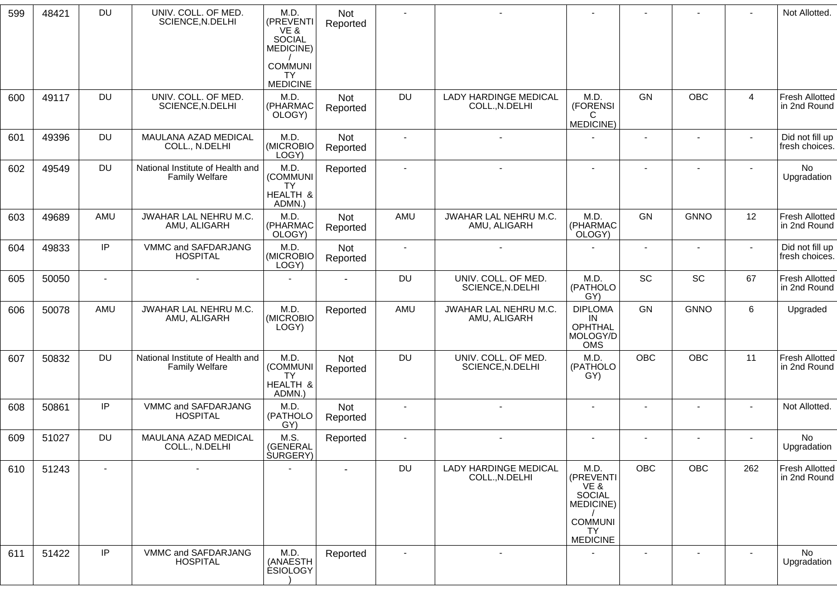| 599 | 48421 | <b>DU</b>                | UNIV. COLL. OF MED.<br>SCIENCE, N.DELHI                   | M.D.<br>(PREVENTI<br>VE &<br><b>SOCIAL</b><br>MEDICINE) | Not<br>Reported |                          |                                                |                                                                    |                          |                          |                | Not Allotted.                         |
|-----|-------|--------------------------|-----------------------------------------------------------|---------------------------------------------------------|-----------------|--------------------------|------------------------------------------------|--------------------------------------------------------------------|--------------------------|--------------------------|----------------|---------------------------------------|
|     |       |                          |                                                           | <b>COMMUNI</b><br>TY<br><b>MEDICINE</b>                 |                 |                          |                                                |                                                                    |                          |                          |                |                                       |
| 600 | 49117 | <b>DU</b>                | UNIV. COLL. OF MED.<br>SCIENCE, N.DELHI                   | M.D.<br>(PHARMAC<br>OLOGY)                              | Not<br>Reported | <b>DU</b>                | <b>LADY HARDINGE MEDICAL</b><br>COLL., N.DELHI | M.D.<br>(FORENSI<br>C<br>MEDICINE)                                 | GN                       | OBC                      | $\overline{4}$ | <b>Fresh Allotted</b><br>in 2nd Round |
| 601 | 49396 | DU                       | MAULANA AZAD MEDICAL<br>COLL., N.DELHI                    | M.D.<br>(MICROBIO<br>LOGY)                              | Not<br>Reported |                          |                                                |                                                                    |                          |                          |                | Did not fill up<br>fresh choices.     |
| 602 | 49549 | <b>DU</b>                | National Institute of Health and<br><b>Family Welfare</b> | M.D.<br>(COMMUNI<br>TY<br>HEALTH &<br>ADMN.)            | Reported        | $\overline{\phantom{a}}$ |                                                | $\blacksquare$                                                     | $\blacksquare$           | ٠                        |                | No<br>Upgradation                     |
| 603 | 49689 | AMU                      | JWAHAR LAL NEHRU M.C.<br>AMU, ALIGARH                     | M.D.<br>(PHARMAC<br>OLOGY)                              | Not<br>Reported | AMU                      | JWAHAR LAL NEHRU M.C.<br>AMU, ALIGARH          | M.D.<br>(PHARMAC<br>OLOGY)                                         | GN                       | <b>GNNO</b>              | 12             | <b>Fresh Allotted</b><br>in 2nd Round |
| 604 | 49833 | IP                       | VMMC and SAFDARJANG<br><b>HOSPITAL</b>                    | M.D.<br>(MICROBIO<br>LOGY)                              | Not<br>Reported | $\sim$                   | $\blacksquare$                                 |                                                                    | $\overline{\phantom{a}}$ | $\blacksquare$           | $\sim$         | Did not fill up<br>fresh choices.     |
| 605 | 50050 | $\sim$                   | $\blacksquare$                                            |                                                         |                 | <b>DU</b>                | UNIV. COLL. OF MED.<br>SCIENCE, N.DELHI        | M.D.<br>(PATHOLO<br>GY)                                            | SC                       | SC                       | 67             | <b>Fresh Allotted</b><br>in 2nd Round |
| 606 | 50078 | AMU                      | JWAHAR LAL NEHRU M.C.<br>AMU, ALIGARH                     | M.D.<br>(MICROBIO<br>LOGY)                              | Reported        | AMU                      | JWAHAR LAL NEHRU M.C.<br>AMU, ALIGARH          | <b>DIPLOMA</b><br>IN<br><b>OPHTHAL</b><br>MOLOGY/D<br><b>OMS</b>   | GN                       | <b>GNNO</b>              | 6              | Upgraded                              |
| 607 | 50832 | <b>DU</b>                | National Institute of Health and<br><b>Family Welfare</b> | M.D.<br>(COMMUNI<br><b>TY</b><br>HEALTH &<br>ADMN.)     | Not<br>Reported | <b>DU</b>                | UNIV. COLL. OF MED.<br>SCIENCE, N.DELHI        | M.D.<br>(PATHOLO<br>GY)                                            | <b>OBC</b>               | OBC                      | 11             | <b>Fresh Allotted</b><br>in 2nd Round |
| 608 | 50861 | IP                       | VMMC and SAFDARJANG<br><b>HOSPITAL</b>                    | M.D.<br>(PATHOLO<br>GY)                                 | Not<br>Reported |                          |                                                | $\blacksquare$                                                     | $\overline{\phantom{a}}$ | $\overline{a}$           |                | Not Allotted.                         |
| 609 | 51027 | <b>DU</b>                | MAULANA AZAD MEDICAL<br>COLL., N.DELHI                    | M.S.<br>(GENERAL<br><b>SURGERY</b> )                    | Reported        |                          | $\sim$                                         | $\blacksquare$                                                     | $\overline{\phantom{a}}$ | $\blacksquare$           |                | No<br>Upgradation                     |
| 610 | 51243 | $\overline{\phantom{a}}$ | $\blacksquare$                                            |                                                         |                 | <b>DU</b>                | <b>LADY HARDINGE MEDICAL</b><br>COLL., N.DELHI | M.D.<br>(PREVENTI<br>VE &<br>SOCIAL<br>MEDICINE)<br><b>COMMUNI</b> | OBC                      | OBC                      | 262            | <b>Fresh Allotted</b><br>in 2nd Round |
|     |       |                          |                                                           |                                                         |                 |                          |                                                | <b>TY</b><br><b>MEDICINE</b>                                       |                          |                          |                |                                       |
| 611 | 51422 | IP                       | VMMC and SAFDARJANG<br><b>HOSPITAL</b>                    | M.D.<br>(ANAESTH<br><b>ESIOLOGY</b>                     | Reported        |                          | $\overline{\phantom{a}}$                       |                                                                    | $\overline{\phantom{a}}$ | $\overline{\phantom{a}}$ | $\sim$         | No<br>Upgradation                     |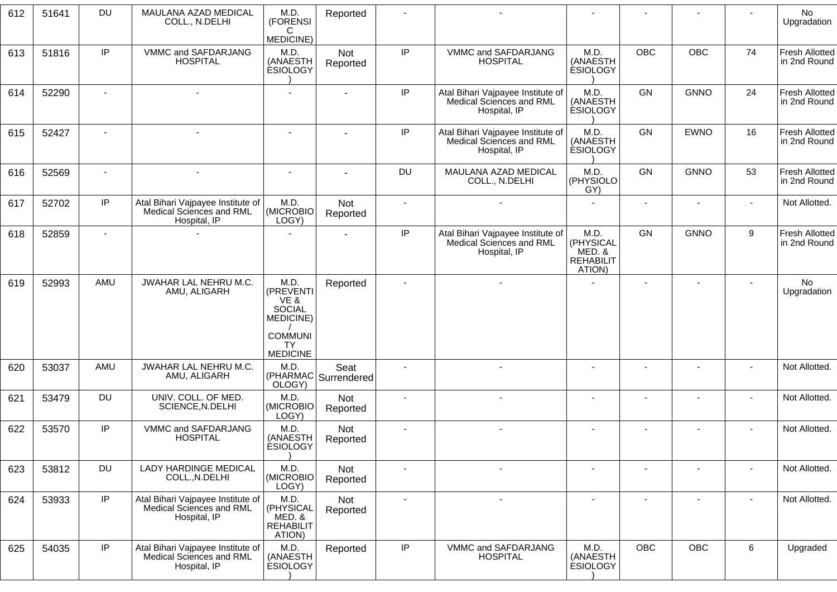| 612 | 51641 | <b>DU</b>                | MAULANA AZAD MEDICAL<br>COLL., N.DELHI                                        | M.D.<br>(FORENSI<br>C<br>MEDICINE)                                                     | Reported                      |                |                                                                               |                                                           |                |                          |                | <b>No</b><br>Upgradation              |
|-----|-------|--------------------------|-------------------------------------------------------------------------------|----------------------------------------------------------------------------------------|-------------------------------|----------------|-------------------------------------------------------------------------------|-----------------------------------------------------------|----------------|--------------------------|----------------|---------------------------------------|
| 613 | 51816 | IP                       | VMMC and SAFDARJANG<br><b>HOSPITAL</b>                                        | M.D.<br>(ANAESTH<br><b>ESIOLOGY</b>                                                    | Not<br>Reported               | $\sf IP$       | VMMC and SAFDARJANG<br><b>HOSPITAL</b>                                        | M.D.<br>(ANAESTH<br><b>ESIOLOGY</b>                       | <b>OBC</b>     | <b>OBC</b>               | 74             | <b>Fresh Allotted</b><br>in 2nd Round |
| 614 | 52290 | $\overline{a}$           | $\sim$                                                                        |                                                                                        |                               | IP             | Atal Bihari Vajpayee Institute of<br>Medical Sciences and RML<br>Hospital, IP | M.D.<br>(ANAESTH<br><b>ESIOLOGY</b>                       | GN             | <b>GNNO</b>              | 24             | Fresh Allotted<br>in 2nd Round        |
| 615 | 52427 |                          |                                                                               |                                                                                        |                               | $\sf IP$       | Atal Bihari Vajpayee Institute of<br>Medical Sciences and RML<br>Hospital, IP | M.D.<br>(ANAESTH<br><b>ÉSIOLOGY</b>                       | GN             | <b>EWNO</b>              | 16             | <b>Fresh Allotted</b><br>in 2nd Round |
| 616 | 52569 | $\overline{\phantom{a}}$ | $\overline{\phantom{a}}$                                                      |                                                                                        |                               | DU             | MAULANA AZAD MEDICAL<br>COLL., N.DELHI                                        | M.D.<br>(PHYSIOLO<br>GY)                                  | GN             | <b>GNNO</b>              | 53             | <b>Fresh Allotted</b><br>in 2nd Round |
| 617 | 52702 | IP                       | Atal Bihari Vajpayee Institute of<br>Medical Sciences and RML<br>Hospital, IP | M.D.<br>(MICROBIO<br>LOGY)                                                             | Not<br>Reported               |                |                                                                               |                                                           |                |                          |                | Not Allotted.                         |
| 618 | 52859 | $\blacksquare$           |                                                                               |                                                                                        | $\blacksquare$                | IP             | Atal Bihari Vajpayee Institute of<br>Medical Sciences and RML<br>Hospital, IP | M.D.<br>(PHYSICAL<br>MED. &<br><b>REHABILIT</b><br>ATION) | <b>GN</b>      | <b>GNNO</b>              | 9              | <b>Fresh Allotted</b><br>in 2nd Round |
| 619 | 52993 | AMU                      | JWAHAR LAL NEHRU M.C.<br>AMU, ALIGARH                                         | M.D.<br>(PREVENTI<br>VE &<br><b>SOCIAL</b><br>MEDICINE)<br><b>COMMUNI</b><br><b>TY</b> | Reported                      | $\blacksquare$ | $\blacksquare$                                                                |                                                           | $\blacksquare$ | $\overline{\phantom{a}}$ | $\blacksquare$ | No<br>Upgradation                     |
| 620 | 53037 | AMU                      | JWAHAR LAL NEHRU M.C.<br>AMU, ALIGARH                                         | <b>MEDICINE</b><br>M.D.<br>OLOGY)                                                      | Seat<br>(PHARMAC Surrendered) | $\sim$         |                                                                               | $\blacksquare$                                            |                | $\blacksquare$           | $\blacksquare$ | Not Allotted.                         |
| 621 | 53479 | <b>DU</b>                | UNIV. COLL. OF MED.<br>SCIENCE, N.DELHI                                       | M.D.<br>(MICROBIO<br>LOGY)                                                             | Not<br>Reported               |                |                                                                               |                                                           |                |                          |                | Not Allotted.                         |
| 622 | 53570 | IP                       | VMMC and SAFDARJANG<br><b>HOSPITAL</b>                                        | M.D.<br>(ANAESTH<br><b>ESIOLOGY</b>                                                    | Not<br>Reported               |                |                                                                               |                                                           |                |                          |                | Not Allotted.                         |
| 623 | 53812 | <b>DU</b>                | LADY HARDINGE MEDICAL<br>COLL., N.DELHI                                       | M.D.<br>(MICROBIO<br>LOGY)                                                             | Not<br>Reported               | $\blacksquare$ |                                                                               | $\overline{\phantom{a}}$                                  | ٠              | $\overline{\phantom{a}}$ | $\blacksquare$ | Not Allotted.                         |
| 624 | 53933 | IP                       | Atal Bihari Vajpayee Institute of<br>Medical Sciences and RML<br>Hospital, IP | M.D.<br>(PHYSICAL<br>MED. &<br><b>REHABILIT</b><br>ATION)                              | Not<br>Reported               | $\sim$         | $\blacksquare$                                                                | $\blacksquare$                                            | $\blacksquare$ | $\blacksquare$           | $\blacksquare$ | Not Allotted.                         |
| 625 | 54035 | IP                       | Atal Bihari Vajpayee Institute of<br>Medical Sciences and RML<br>Hospital, IP | M.D.<br>(ANAESTH<br><b>ESIOLOGY</b>                                                    | Reported                      | $\sf IP$       | VMMC and SAFDARJANG<br><b>HOSPITAL</b>                                        | M.D.<br>(ANAESTH<br><b>ESIOLOGY</b>                       | <b>OBC</b>     | <b>OBC</b>               | 6              | Upgraded                              |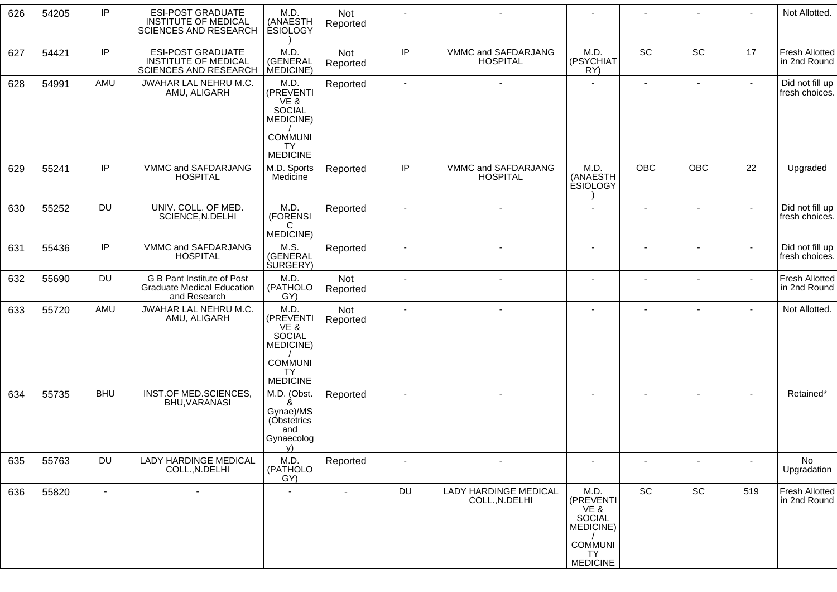| 626 | 54205 | IP         | <b>ESI-POST GRADUATE</b><br><b>INSTITUTE OF MEDICAL</b><br><b>SCIENCES AND RESEARCH</b> | M.D.<br>(ANAESTH<br><b>ESIOLOGY</b>                                     | Not<br>Reported |                |                                         |                                                                                        |                          |                          |                          | Not Allotted.                         |
|-----|-------|------------|-----------------------------------------------------------------------------------------|-------------------------------------------------------------------------|-----------------|----------------|-----------------------------------------|----------------------------------------------------------------------------------------|--------------------------|--------------------------|--------------------------|---------------------------------------|
| 627 | 54421 | IP         | <b>ESI-POST GRADUATE</b><br><b>INSTITUTE OF MEDICAL</b><br>SCIENCES AND RESEARCH        | M.D.<br>(GENERAL<br>MEDICINE)                                           | Not<br>Reported | IP             | VMMC and SAFDARJANG<br><b>HOSPITAL</b>  | M.D.<br>(PSYCHIAT<br>RY)                                                               | SC                       | SC                       | 17                       | <b>Fresh Allotted</b><br>in 2nd Round |
| 628 | 54991 | AMU        | JWAHAR LAL NEHRU M.C.<br>AMU, ALIGARH                                                   | M.D.<br>(PREVENTI<br>VE &<br>SOCIAL<br>MEDICINE)                        | Reported        | $\blacksquare$ |                                         |                                                                                        | $\blacksquare$           | $\blacksquare$           | $\sim$                   | Did not fill up<br>fresh choices.     |
|     |       |            |                                                                                         | <b>COMMUNI</b><br><b>TY</b><br><b>MEDICINE</b>                          |                 |                |                                         |                                                                                        |                          |                          |                          |                                       |
| 629 | 55241 | IP         | VMMC and SAFDARJANG<br><b>HOSPITAL</b>                                                  | M.D. Sports<br>Medicine                                                 | Reported        | IP             | VMMC and SAFDARJANG<br><b>HOSPITAL</b>  | M.D.<br>(ANAESTH<br><b>ESIOLOGY</b>                                                    | <b>OBC</b>               | OBC                      | 22                       | Upgraded                              |
| 630 | 55252 | DU         | UNIV. COLL. OF MED.<br>SCIENCE, N.DELHI                                                 | M.D.<br>(FORENSI<br>C<br>MEDICINE)                                      | Reported        |                |                                         |                                                                                        |                          |                          |                          | Did not fill up<br>fresh choices.     |
| 631 | 55436 | IP         | VMMC and SAFDARJANG<br><b>HOSPITAL</b>                                                  | M.S.<br>(GENERAL<br><b>SURGERY</b> )                                    | Reported        | $\blacksquare$ |                                         |                                                                                        |                          |                          | $\overline{\phantom{a}}$ | Did not fill up<br>fresh choices.     |
| 632 | 55690 | DU         | G B Pant Institute of Post<br><b>Graduate Medical Education</b><br>and Research         | M.D.<br>(PATHOLO<br>GY)                                                 | Not<br>Reported |                |                                         |                                                                                        |                          |                          |                          | <b>Fresh Allotted</b><br>in 2nd Round |
| 633 | 55720 | AMU        | JWAHAR LAL NEHRU M.C.<br>AMU, ALIGARH                                                   | M.D.<br>(PREVENTI<br>VE &<br>SOCIAL<br>MEDICINE)                        | Not<br>Reported | $\blacksquare$ |                                         |                                                                                        |                          |                          |                          | Not Allotted.                         |
|     |       |            |                                                                                         | <b>COMMUNI</b><br>TY.<br><b>MEDICINE</b>                                |                 |                |                                         |                                                                                        |                          |                          |                          |                                       |
| 634 | 55735 | <b>BHU</b> | INST.OF MED.SCIENCES,<br>BHU, VARANASI                                                  | M.D. (Obst.<br>ጼ<br>Gynae)/MS<br>(Obstetrics<br>and<br>Gynaecolog<br>V) | Reported        | $\blacksquare$ |                                         |                                                                                        | $\overline{\phantom{a}}$ |                          |                          | Retained*                             |
| 635 | 55763 | DU         | LADY HARDINGE MEDICAL<br>COLL., N.DELHI                                                 | M.D.<br>(PATHOLO<br>GY)                                                 | Reported        | $\blacksquare$ |                                         | $\overline{\phantom{a}}$                                                               |                          | $\overline{\phantom{a}}$ | $\overline{\phantom{a}}$ | No<br>Upgradation                     |
| 636 | 55820 | $\sim$     | $\blacksquare$                                                                          | $\sim$                                                                  | $\sim$          | <b>DU</b>      | LADY HARDINGE MEDICAL<br>COLL., N.DELHI | M.D.<br>(PREVENTI<br>VE &<br><b>SOCIAL</b><br>MEDICINE)<br><b>COMMUNI</b><br><b>TY</b> | SC                       | SC                       | 519                      | <b>Fresh Allotted</b><br>in 2nd Round |
|     |       |            |                                                                                         |                                                                         |                 |                |                                         | <b>MEDICINE</b>                                                                        |                          |                          |                          |                                       |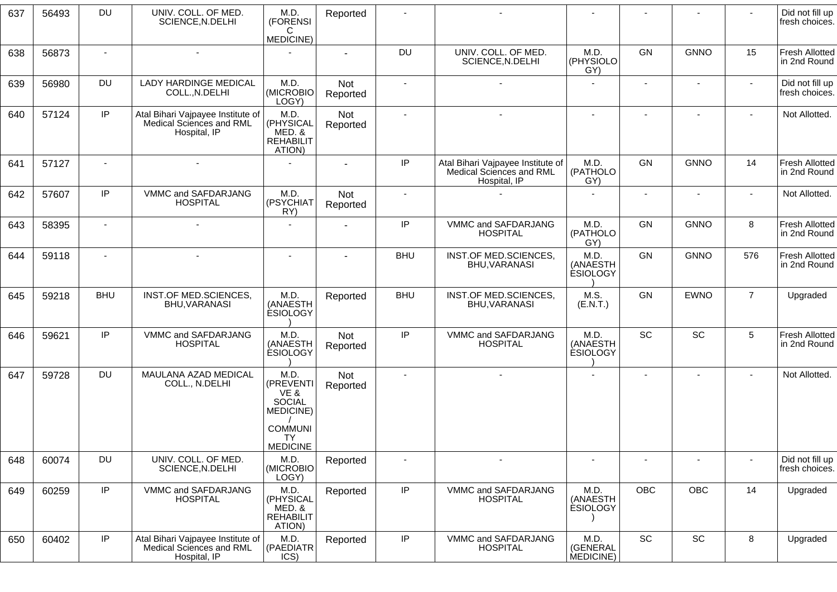| 637 | 56493 | <b>DU</b>                | UNIV. COLL. OF MED.<br>SCIENCE, N.DELHI                                       | M.D.<br>(FORENSI<br>C                                                                  | Reported               |                          |                                                                               |                                     |                          |                          |                              | Did not fill up<br>fresh choices.     |
|-----|-------|--------------------------|-------------------------------------------------------------------------------|----------------------------------------------------------------------------------------|------------------------|--------------------------|-------------------------------------------------------------------------------|-------------------------------------|--------------------------|--------------------------|------------------------------|---------------------------------------|
|     |       |                          |                                                                               | MEDICINE)                                                                              |                        |                          |                                                                               |                                     |                          |                          |                              |                                       |
| 638 | 56873 | $\overline{\phantom{a}}$ |                                                                               |                                                                                        |                        | DU                       | UNIV. COLL. OF MED.<br>SCIENCE, N.DELHI                                       | M.D.<br>(PHYSIOLO<br>GY)            | GN                       | <b>GNNO</b>              | 15                           | <b>Fresh Allotted</b><br>in 2nd Round |
| 639 | 56980 | <b>DU</b>                | LADY HARDINGE MEDICAL<br>COLL., N.DELHI                                       | M.D.<br>(MICROBIO<br>LOGY)                                                             | <b>Not</b><br>Reported | $\sim$                   | $\sim$                                                                        |                                     | $\blacksquare$           | $\overline{\phantom{a}}$ | $\blacksquare$               | Did not fill up<br>fresh choices.     |
| 640 | 57124 | IP                       | Atal Bihari Vajpayee Institute of<br>Medical Sciences and RML<br>Hospital, IP | M.D.<br>(PHYSICAL<br>MED. &<br><b>REHABILIT</b><br>ATION)                              | Not<br>Reported        | $\sim$                   | $\blacksquare$                                                                | $\overline{a}$                      |                          | $\blacksquare$           | $\overline{\phantom{a}}$     | Not Allotted.                         |
| 641 | 57127 | $\sim$                   | $\blacksquare$                                                                |                                                                                        | $\sim$                 | IP                       | Atal Bihari Vajpayee Institute of<br>Medical Sciences and RML<br>Hospital, IP | M.D.<br>(PATHOLO<br>GY)             | GN                       | <b>GNNO</b>              | 14                           | Fresh Allotted<br>in 2nd Round        |
| 642 | 57607 | IP                       | VMMC and SAFDARJANG<br><b>HOSPITAL</b>                                        | M.D.<br>(PSYCHIAT<br>RY)                                                               | Not<br>Reported        | $\sim$                   |                                                                               | $\blacksquare$                      | $\blacksquare$           | $\blacksquare$           | $\sim$                       | Not Allotted.                         |
| 643 | 58395 | $\blacksquare$           |                                                                               |                                                                                        |                        | IP                       | VMMC and SAFDARJANG<br><b>HOSPITAL</b>                                        | M.D.<br>(PATHOLO<br>GY)             | GN                       | <b>GNNO</b>              | 8                            | Fresh Allotted<br>in 2nd Round        |
| 644 | 59118 | $\sim$                   |                                                                               |                                                                                        |                        | <b>BHU</b>               | INST.OF MED.SCIENCES,<br>BHU, VARANASI                                        | M.D.<br>(ANAESTH<br><b>ESIOLOGY</b> | GN                       | <b>GNNO</b>              | 576                          | <b>Fresh Allotted</b><br>in 2nd Round |
| 645 | 59218 | <b>BHU</b>               | INST.OF MED.SCIENCES,<br><b>BHU, VARANASI</b>                                 | M.D.<br>(ANAESTH<br><b>ESIOLOGY</b>                                                    | Reported               | <b>BHU</b>               | INST.OF MED.SCIENCES,<br>BHU, VARANASI                                        | M.S.<br>(E.N.T.)                    | <b>GN</b>                | <b>EWNO</b>              | $\overline{7}$               | Upgraded                              |
| 646 | 59621 | IP                       | VMMC and SAFDARJANG<br><b>HOSPITAL</b>                                        | M.D.<br>(ANAESTH<br><b>ESIOLOGY</b>                                                    | Not<br>Reported        | IP                       | VMMC and SAFDARJANG<br><b>HOSPITAL</b>                                        | M.D.<br>(ANAESTH<br><b>ESIOLOGY</b> | SC                       | SC                       | 5                            | Fresh Allotted<br>in 2nd Round        |
| 647 | 59728 | <b>DU</b>                | MAULANA AZAD MEDICAL<br>COLL., N.DELHI                                        | M.D.<br>(PREVENTI<br>VE &<br><b>SOCIAL</b><br>MEDICINE)<br><b>COMMUNI</b><br><b>TY</b> | Not<br>Reported        |                          |                                                                               |                                     |                          |                          |                              | Not Allotted.                         |
| 648 | 60074 | <b>DU</b>                | UNIV. COLL. OF MED.<br>SCIENCE, N.DELHI                                       | <b>MEDICINE</b><br>M.D.<br>(MICROBIO<br>LOGY)                                          | Reported               | $\overline{\phantom{a}}$ | $\sim$                                                                        | $\blacksquare$                      | $\overline{\phantom{a}}$ | $\overline{\phantom{a}}$ | $\qquad \qquad \blacksquare$ | Did not fill up<br>fresh choices.     |
| 649 | 60259 | IP                       | VMMC and SAFDARJANG<br><b>HOSPITAL</b>                                        | M.D.<br>(PHYSICAL<br>MED. &<br><b>REHABILIT</b><br>ATION)                              | Reported               | IP                       | VMMC and SAFDARJANG<br><b>HOSPITAL</b>                                        | M.D.<br>(ANAESTH<br><b>ESIOLOGY</b> | OBC                      | OBC                      | 14                           | Upgraded                              |
| 650 | 60402 | IP                       | Atal Bihari Vajpayee Institute of<br>Medical Sciences and RML<br>Hospital, IP | M.D.<br>(PAEDIATR<br>ICS)                                                              | Reported               | IP                       | VMMC and SAFDARJANG<br><b>HOSPITAL</b>                                        | M.D.<br>(GENERAL<br>MEDICINE)       | SC                       | SC                       | 8                            | Upgraded                              |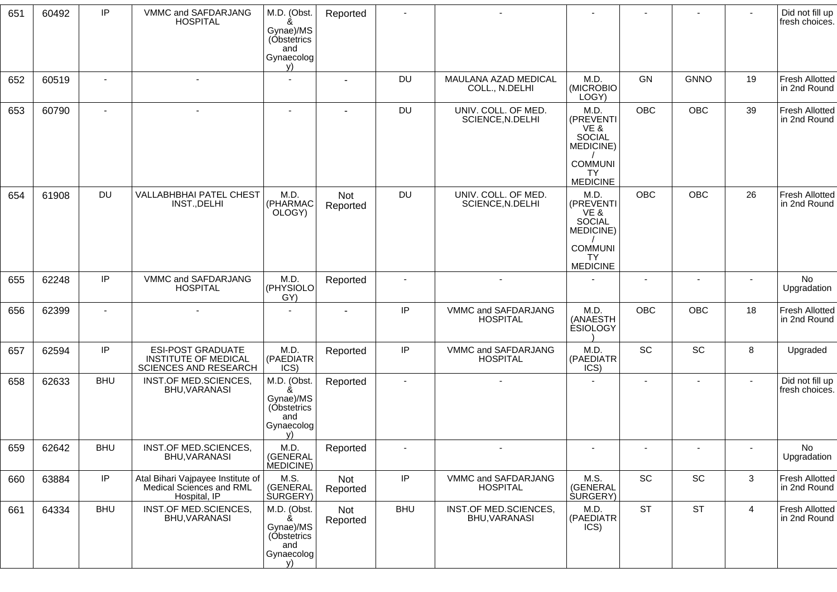| 651 | 60492 | IP             | VMMC and SAFDARJANG<br><b>HOSPITAL</b>                                           | M.D. (Obst.<br>ጼ<br>Gynae)/MS<br>(Obstetrics<br>and<br>Gynaecolog<br>V) | Reported        |            |                                         |                                                                                                           |                |             | $\blacksquare$           | Did not fill up<br>fresh choices.     |
|-----|-------|----------------|----------------------------------------------------------------------------------|-------------------------------------------------------------------------|-----------------|------------|-----------------------------------------|-----------------------------------------------------------------------------------------------------------|----------------|-------------|--------------------------|---------------------------------------|
| 652 | 60519 | $\overline{a}$ | $\blacksquare$                                                                   |                                                                         |                 | DU         | MAULANA AZAD MEDICAL<br>COLL., N.DELHI  | M.D.<br>(MICROBIO)<br>LOGY)                                                                               | GN             | <b>GNNO</b> | 19                       | <b>Fresh Allotted</b><br>in 2nd Round |
| 653 | 60790 | $\blacksquare$ |                                                                                  |                                                                         |                 | DU         | UNIV. COLL. OF MED.<br>SCIENCE, N.DELHI | M.D.<br>(PREVENTI<br>VE &<br><b>SOCIAL</b><br>MEDICINE)<br><b>COMMUNI</b><br><b>TY</b><br><b>MEDICINE</b> | <b>OBC</b>     | <b>OBC</b>  | 39                       | <b>Fresh Allotted</b><br>in 2nd Round |
| 654 | 61908 | <b>DU</b>      | VALLABHBHAI PATEL CHEST<br>INST., DELHI                                          | M.D.<br>(PHARMAC<br>OLOGY)                                              | Not<br>Reported | DU         | UNIV. COLL. OF MED.<br>SCIENCE, N.DELHI | M.D.<br>(PREVENTI<br>VE &<br>SOCIAL<br>MEDICINE)<br><b>COMMUNI</b><br><b>TY</b><br><b>MEDICINE</b>        | <b>OBC</b>     | <b>OBC</b>  | 26                       | <b>Fresh Allotted</b><br>in 2nd Round |
| 655 | 62248 | IP             | VMMC and SAFDARJANG<br><b>HOSPITAL</b>                                           | M.D.<br>(PHYSIOLO<br>GY)                                                | Reported        |            |                                         |                                                                                                           |                |             |                          | No<br>Upgradation                     |
| 656 | 62399 |                |                                                                                  |                                                                         |                 | IP         | VMMC and SAFDARJANG<br><b>HOSPITAL</b>  | M.D.<br>(ANAESTH<br><b>ESIOLOGY</b>                                                                       | <b>OBC</b>     | OBC         | 18                       | <b>Fresh Allotted</b><br>in 2nd Round |
| 657 | 62594 | IP             | <b>ESI-POST GRADUATE</b><br><b>INSTITUTE OF MEDICAL</b><br>SCIENCES AND RESEARCH | M.D.<br>(PAEDIATR<br>ICS)                                               | Reported        | IP         | VMMC and SAFDARJANG<br><b>HOSPITAL</b>  | M.D.<br>(PAEDIATR<br>ICS)                                                                                 | SC             | SC          | 8                        | Upgraded                              |
| 658 | 62633 | <b>BHU</b>     | INST.OF MED.SCIENCES,<br>BHU, VARANASI                                           | M.D. (Obst.<br>Gynae)/MS<br>(Obstetrics<br>and<br>Gynaecolog<br>V)      | Reported        |            |                                         |                                                                                                           | $\blacksquare$ | ۰           | $\overline{\phantom{a}}$ | Did not fill up<br>fresh choices.     |
| 659 | 62642 | <b>BHU</b>     | <b>INST.OF MED.SCIENCES</b><br>BHU, VARANASI                                     | M.D.<br>(GENERAL<br>MEDICINE)                                           | Reported        |            |                                         |                                                                                                           |                |             |                          | No<br>Upgradation                     |
| 660 | 63884 | IP             | Atal Bihari Vajpayee Institute of<br>Medical Sciences and RML<br>Hospital, IP    | M.S.<br>(GENERAL<br>SURGERY)                                            | Not<br>Reported | $\sf IP$   | VMMC and SAFDARJANG<br><b>HOSPITAL</b>  | M.S.<br>(GENERAL<br><b>SURGERY</b> )                                                                      | SC             | SC          | $\mathbf{3}$             | Fresh Allotted<br>in 2nd Round        |
| 661 | 64334 | <b>BHU</b>     | INST.OF MED.SCIENCES,<br>BHU, VARANASI                                           | M.D. (Obst.<br>&<br>Gynae)/MS<br>(Obstetrics<br>and<br>Gynaecolog<br>v) | Not<br>Reported | <b>BHU</b> | INST.OF MED.SCIENCES,<br>BHU, VARANASI  | M.D.<br>(PAEDIATR<br>ICS)                                                                                 | <b>ST</b>      | <b>ST</b>   | $\overline{4}$           | <b>Fresh Allotted</b><br>in 2nd Round |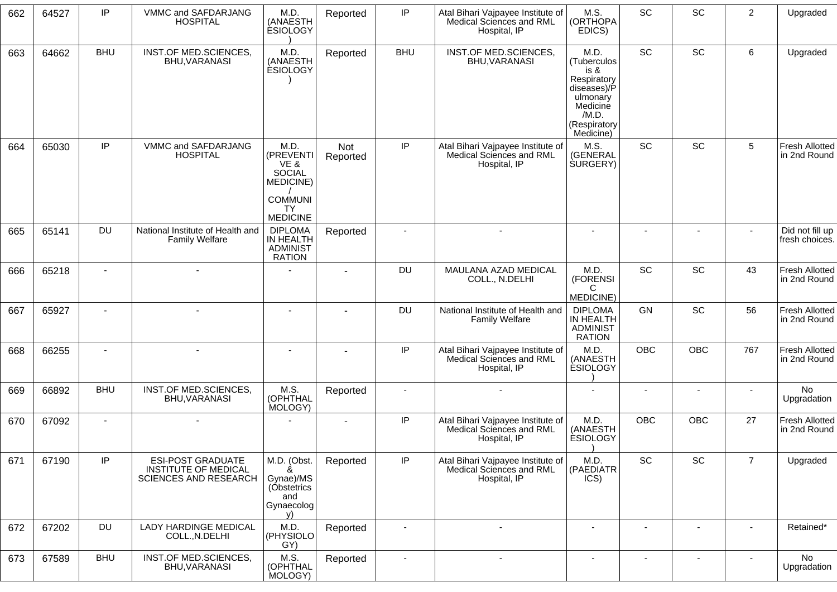| 662 | 64527 | IP         | VMMC and SAFDARJANG<br><b>HOSPITAL</b>                                                  | M.D.<br>(ANAESTH<br><b>ESIOLOGY</b>                                             | Reported        | IP                       | Atal Bihari Vajpayee Institute of<br>Medical Sciences and RML<br>Hospital, IP | M.S.<br>(ORTHOPA<br>EDICS)                                                                                              | <b>SC</b>                | SC             | $\overline{c}$ | Upgraded                              |
|-----|-------|------------|-----------------------------------------------------------------------------------------|---------------------------------------------------------------------------------|-----------------|--------------------------|-------------------------------------------------------------------------------|-------------------------------------------------------------------------------------------------------------------------|--------------------------|----------------|----------------|---------------------------------------|
| 663 | 64662 | <b>BHU</b> | INST.OF MED.SCIENCES,<br>BHU, VARANASI                                                  | M.D.<br>(ANAESTH<br><b>ESIOLOGY</b>                                             | Reported        | <b>BHU</b>               | INST.OF MED.SCIENCES,<br>BHU, VARANASI                                        | M.D.<br>(Tuberculos<br>is &<br>Respiratory<br>diseases)/P<br>ulmonary<br>Medicine<br>/M.D.<br>(Respiratory<br>Medicine) | SC                       | SC             | 6              | Upgraded                              |
| 664 | 65030 | IP         | VMMC and SAFDARJANG<br><b>HOSPITAL</b>                                                  | M.D.<br>(PREVENTI<br>VE &<br>SOCIAL<br>MEDICINE)<br><b>COMMUNI</b><br><b>TY</b> | Not<br>Reported | IP                       | Atal Bihari Vajpayee Institute of<br>Medical Sciences and RML<br>Hospital, IP | M.S.<br>(GENERAL<br><b>SURGERY</b> )                                                                                    | <b>SC</b>                | <b>SC</b>      | 5              | <b>Fresh Allotted</b><br>in 2nd Round |
| 665 | 65141 | <b>DU</b>  | National Institute of Health and                                                        | <b>MEDICINE</b><br><b>DIPLOMA</b>                                               | Reported        |                          |                                                                               |                                                                                                                         |                          |                |                | Did not fill up                       |
|     |       |            | <b>Family Welfare</b>                                                                   | IN HEALTH<br><b>ADMINIST</b><br><b>RATION</b>                                   |                 |                          |                                                                               |                                                                                                                         |                          |                |                | fresh choices.                        |
| 666 | 65218 |            |                                                                                         |                                                                                 | $\blacksquare$  | <b>DU</b>                | MAULANA AZAD MEDICAL<br>COLL., N.DELHI                                        | M.D.<br>(FORENSI<br>C<br>MEDICINE)                                                                                      | SC                       | SC             | 43             | <b>Fresh Allotted</b><br>in 2nd Round |
| 667 | 65927 |            |                                                                                         | $\blacksquare$                                                                  |                 | <b>DU</b>                | National Institute of Health and<br><b>Family Welfare</b>                     | <b>DIPLOMA</b><br>IN HEALTH<br><b>ADMINIST</b><br><b>RATION</b>                                                         | GN                       | SC             | 56             | <b>Fresh Allotted</b><br>in 2nd Round |
| 668 | 66255 |            |                                                                                         |                                                                                 |                 | IP                       | Atal Bihari Vajpayee Institute of<br>Medical Sciences and RML<br>Hospital, IP | M.D.<br>(ANAESTH<br><b>ESIOLOGY</b>                                                                                     | <b>OBC</b>               | <b>OBC</b>     | 767            | <b>Fresh Allotted</b><br>in 2nd Round |
| 669 | 66892 | <b>BHU</b> | INST.OF MED.SCIENCES,<br>BHU, VARANASI                                                  | M.S.<br>(OPHTHAL<br>MOLOGY)                                                     | Reported        | $\overline{\phantom{a}}$ | $\sim$                                                                        |                                                                                                                         | $\overline{\phantom{a}}$ |                |                | No<br>Upgradation                     |
| 670 | 67092 |            | $\sim$                                                                                  |                                                                                 |                 | IP                       | Atal Bihari Vajpayee Institute of<br>Medical Sciences and RML<br>Hospital, IP | M.D.<br>(ANAESTH<br><b>ESIOLOGY</b>                                                                                     | <b>OBC</b>               | <b>OBC</b>     | 27             | <b>Fresh Allotted</b><br>in 2nd Round |
| 671 | 67190 | IP         | <b>ESI-POST GRADUATE</b><br><b>INSTITUTE OF MEDICAL</b><br><b>SCIENCES AND RESEARCH</b> | M.D. (Obst.<br>Gynae)/MS<br>(Obstetrics<br>and<br>Gynaecolog<br>V)              | Reported        | IP                       | Atal Bihari Vajpayee Institute of<br>Medical Sciences and RML<br>Hospital, IP | M.D.<br>(PAEDIATR<br>ICS)                                                                                               | SC                       | SC             | $\overline{7}$ | Upgraded                              |
| 672 | 67202 | <b>DU</b>  | <b>LADY HARDINGE MEDICAL</b><br>COLL., N.DELHI                                          | M.D.<br>(PHYSIOLO<br>GY)                                                        | Reported        | $\overline{\phantom{a}}$ |                                                                               | $\blacksquare$                                                                                                          | $\overline{\phantom{a}}$ | $\blacksquare$ | $\blacksquare$ | Retained*                             |
| 673 | 67589 | <b>BHU</b> | INST.OF MED.SCIENCES,<br>BHU, VARANASI                                                  | M.S.<br>(OPHTHAL<br>MOLOGY)                                                     | Reported        | $\overline{\phantom{a}}$ | $\blacksquare$                                                                | $\blacksquare$                                                                                                          | $\blacksquare$           | $\blacksquare$ | $\blacksquare$ | No<br>Upgradation                     |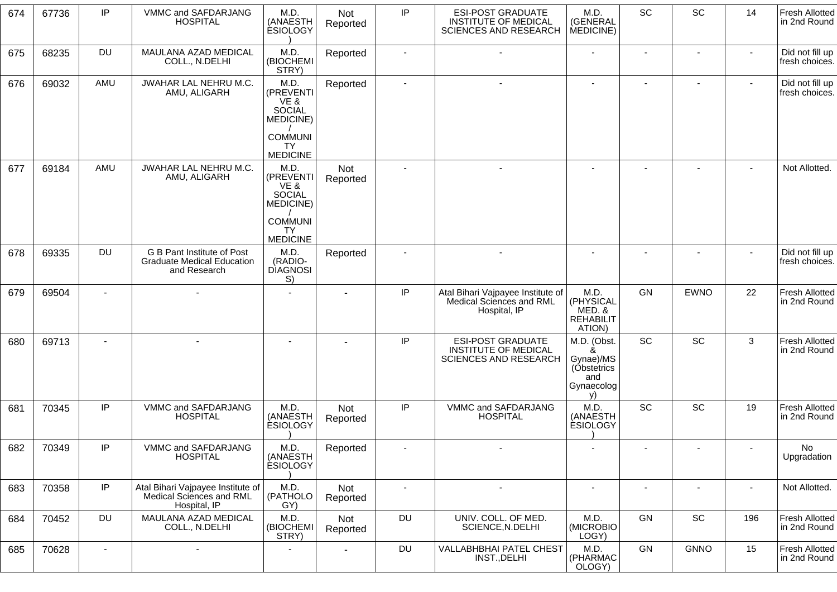| 674 | 67736 | IP             | VMMC and SAFDARJANG<br><b>HOSPITAL</b>                                          | M.D.<br>(ANAESTH<br><b>ESIOLOGY</b>                                                    | Not<br>Reported        | IP        | <b>ESI-POST GRADUATE</b><br><b>INSTITUTE OF MEDICAL</b><br><b>SCIENCES AND RESEARCH</b> | M.D.<br>(GENERAL<br>MEDICINE)                                           | SC                       | SC                       | 14             | <b>Fresh Allotted</b><br>in 2nd Round |
|-----|-------|----------------|---------------------------------------------------------------------------------|----------------------------------------------------------------------------------------|------------------------|-----------|-----------------------------------------------------------------------------------------|-------------------------------------------------------------------------|--------------------------|--------------------------|----------------|---------------------------------------|
| 675 | 68235 | <b>DU</b>      | MAULANA AZAD MEDICAL<br>COLL., N.DELHI                                          | M.D.<br>(BIOCHEMI<br>STRY)                                                             | Reported               |           |                                                                                         | ٠                                                                       |                          |                          |                | Did not fill up<br>fresh choices.     |
| 676 | 69032 | AMU            | JWAHAR LAL NEHRU M.C.<br>AMU, ALIGARH                                           | M.D.<br>(PREVENTI<br>VE &<br><b>SOCIAL</b><br>MEDICINE)<br><b>COMMUNI</b><br><b>TY</b> | Reported               |           |                                                                                         | ٠                                                                       |                          | $\blacksquare$           |                | Did not fill up<br>fresh choices.     |
| 677 | 69184 | AMU            | JWAHAR LAL NEHRU M.C.                                                           | <b>MEDICINE</b><br>M.D.                                                                | Not                    |           | $\sim$                                                                                  | ٠                                                                       | $\blacksquare$           | $\blacksquare$           |                | Not Allotted.                         |
|     |       |                | AMU, ALIGARH                                                                    | (PREVENTI<br>VE &<br><b>SOCIAL</b><br>MEDICINE)                                        | Reported               |           |                                                                                         |                                                                         |                          |                          |                |                                       |
|     |       |                |                                                                                 | <b>COMMUNI</b><br><b>TY</b><br><b>MEDICINE</b>                                         |                        |           |                                                                                         |                                                                         |                          |                          |                |                                       |
| 678 | 69335 | <b>DU</b>      | G B Pant Institute of Post<br><b>Graduate Medical Education</b><br>and Research | M.D.<br>(RADIO-<br><b>DIAGNOSI</b><br>S)                                               | Reported               |           |                                                                                         |                                                                         |                          |                          |                | Did not fill up<br>fresh choices.     |
| 679 | 69504 |                |                                                                                 |                                                                                        |                        | IP        | Atal Bihari Vajpayee Institute of<br>Medical Sciences and RML<br>Hospital, IP           | M.D.<br>(PHYSICAL<br>MED. &<br><b>REHABILIT</b><br>ATION)               | GN                       | <b>EWNO</b>              | 22             | <b>Fresh Allotted</b><br>in 2nd Round |
| 680 | 69713 | $\blacksquare$ | $\blacksquare$                                                                  | $\overline{\phantom{a}}$                                                               |                        | IP        | <b>ESI-POST GRADUATE</b><br><b>INSTITUTE OF MEDICAL</b><br><b>SCIENCES AND RESEARCH</b> | M.D. (Obst.<br>&<br>Gynae)/MS<br>(Obstetrics<br>and<br>Gynaecolog<br>v) | SC                       | SC                       | 3              | Fresh Allotted<br>in 2nd Round        |
| 681 | 70345 | IP             | VMMC and SAFDARJANG<br><b>HOSPITAL</b>                                          | M.D.<br>(ANAESTH<br><b>ESIOLOGY</b>                                                    | Not<br>Reported        | IP        | VMMC and SAFDARJANG<br><b>HOSPITAL</b>                                                  | M.D.<br>(ANAESTH<br><b>ESIOLOGY</b>                                     | <b>SC</b>                | <b>SC</b>                | 19             | <b>Fresh Allotted</b><br>in 2nd Round |
| 682 | 70349 | IP             | VMMC and SAFDARJANG<br><b>HOSPITAL</b>                                          | M.D.<br>(ANAESTH<br><b>ESIOLOGY</b>                                                    | Reported               |           |                                                                                         |                                                                         |                          |                          |                | No<br>Upgradation                     |
| 683 | 70358 | IP             | Atal Bihari Vajpayee Institute of<br>Medical Sciences and RML<br>Hospital, IP   | M.D.<br>(PATHOLO<br>GY)                                                                | Not<br>Reported        |           | $\overline{\phantom{a}}$                                                                | $\overline{\phantom{m}}$                                                | $\overline{\phantom{a}}$ | $\overline{\phantom{a}}$ | $\blacksquare$ | Not Allotted.                         |
| 684 | 70452 | <b>DU</b>      | MAULANA AZAD MEDICAL<br>COLL., N.DELHI                                          | M.D.<br>(BIOCHEMI<br>STRY)                                                             | <b>Not</b><br>Reported | DU        | UNIV. COLL. OF MED.<br>SCIENCE, N.DELHI                                                 | M.D.<br>(MICROBIO<br>LOGY)                                              | GN                       | SC                       | 196            | Fresh Allotted<br>in 2nd Round        |
| 685 | 70628 | $\sim$         | $\blacksquare$                                                                  | $\blacksquare$                                                                         | $\blacksquare$         | <b>DU</b> | <b>VALLABHBHAI PATEL CHEST</b><br>INST., DELHI                                          | M.D.<br>(PHARMAC<br>OLOGY)                                              | GN                       | <b>GNNO</b>              | 15             | <b>Fresh Allotted</b><br>in 2nd Round |
|     |       |                |                                                                                 |                                                                                        |                        |           |                                                                                         |                                                                         |                          |                          |                |                                       |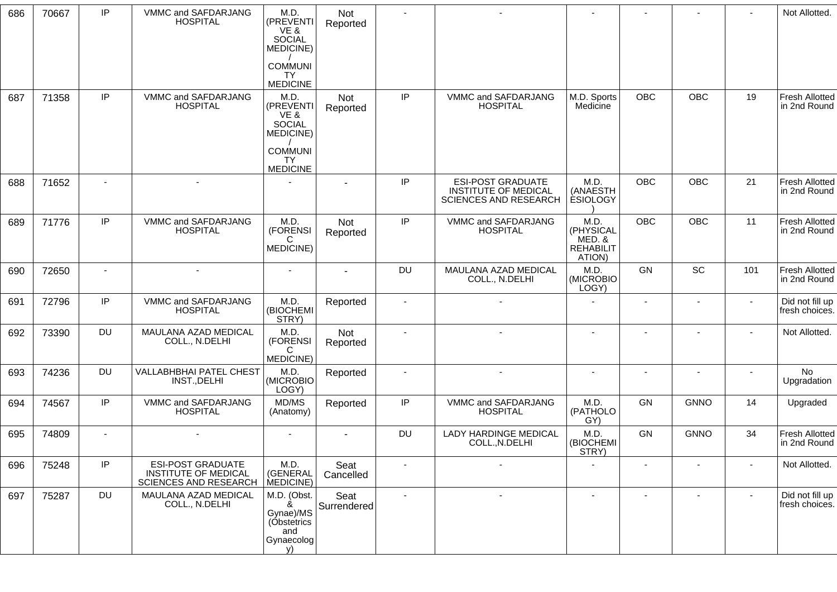| 686 | 70667 | IP             | VMMC and SAFDARJANG<br><b>HOSPITAL</b>                                                  | M.D.<br>(PREVENTI<br>VE &<br><b>SOCIAL</b><br>MEDICINE)                 | Not<br>Reported     |                |                                                                                         |                                                           |                |                          |                          | Not Allotted.                         |
|-----|-------|----------------|-----------------------------------------------------------------------------------------|-------------------------------------------------------------------------|---------------------|----------------|-----------------------------------------------------------------------------------------|-----------------------------------------------------------|----------------|--------------------------|--------------------------|---------------------------------------|
|     |       |                |                                                                                         | <b>COMMUNI</b><br><b>TY</b><br><b>MEDICINE</b>                          |                     |                |                                                                                         |                                                           |                |                          |                          |                                       |
| 687 | 71358 | IP             | VMMC and SAFDARJANG<br><b>HOSPITAL</b>                                                  | M.D.<br>(PREVENTI<br>VE &<br>SOCIAL<br><b>MEDICINE)</b>                 | Not<br>Reported     | IP             | VMMC and SAFDARJANG<br><b>HOSPITAL</b>                                                  | M.D. Sports<br>Medicine                                   | <b>OBC</b>     | OBC                      | 19                       | <b>Fresh Allotted</b><br>in 2nd Round |
|     |       |                |                                                                                         | <b>COMMUNI</b><br><b>TY</b><br><b>MEDICINE</b>                          |                     |                |                                                                                         |                                                           |                |                          |                          |                                       |
| 688 | 71652 | $\blacksquare$ | $\overline{a}$                                                                          |                                                                         |                     | IP             | <b>ESI-POST GRADUATE</b><br><b>INSTITUTE OF MEDICAL</b><br><b>SCIENCES AND RESEARCH</b> | M.D.<br>(ANAESTH<br><b>ÈSIOLOGY</b>                       | <b>OBC</b>     | OBC                      | 21                       | <b>Fresh Allotted</b><br>in 2nd Round |
| 689 | 71776 | IP             | VMMC and SAFDARJANG<br><b>HOSPITAL</b>                                                  | M.D.<br>(FORENSI<br>C<br>MEDICINE)                                      | Not<br>Reported     | IP             | VMMC and SAFDARJANG<br><b>HOSPITAL</b>                                                  | M.D.<br>(PHYSICAL<br>MED. &<br><b>REHABILIT</b><br>ATION) | <b>OBC</b>     | OBC                      | 11                       | <b>Fresh Allotted</b><br>in 2nd Round |
| 690 | 72650 | $\blacksquare$ | $\blacksquare$                                                                          |                                                                         |                     | <b>DU</b>      | MAULANA AZAD MEDICAL<br>COLL., N.DELHI                                                  | M.D.<br>(MICROBIO<br>LOGY)                                | GN             | SC                       | 101                      | <b>Fresh Allotted</b><br>in 2nd Round |
| 691 | 72796 | IP             | VMMC and SAFDARJANG<br><b>HOSPITAL</b>                                                  | M.D.<br>(BIOCHEMI<br>STRY)                                              | Reported            | $\blacksquare$ |                                                                                         |                                                           | $\blacksquare$ |                          | $\blacksquare$           | Did not fill up<br>fresh choices.     |
| 692 | 73390 | <b>DU</b>      | MAULANA AZAD MEDICAL<br>COLL., N.DELHI                                                  | M.D.<br>(FORENSI<br>С<br>MEDICINE)                                      | Not<br>Reported     | $\sim$         |                                                                                         | $\blacksquare$                                            |                | $\overline{\phantom{a}}$ | $\blacksquare$           | Not Allotted.                         |
| 693 | 74236 | DU             | VALLABHBHAI PATEL CHEST<br>INST., DELHI                                                 | M.D.<br>(MICROBIO<br>LOGY)                                              | Reported            | $\blacksquare$ | $\blacksquare$                                                                          | $\blacksquare$                                            |                |                          |                          | <b>No</b><br>Upgradation              |
| 694 | 74567 | IP             | VMMC and SAFDARJANG<br><b>HOSPITAL</b>                                                  | MD/MS<br>(Anatomy)                                                      | Reported            | IP             | VMMC and SAFDARJANG<br><b>HOSPITAL</b>                                                  | M.D.<br>(PATHOLO<br>GY)                                   | GN             | <b>GNNO</b>              | 14                       | Upgraded                              |
| 695 | 74809 | $\blacksquare$ |                                                                                         | $\overline{\phantom{a}}$                                                |                     | <b>DU</b>      | <b>LADY HARDINGE MEDICAL</b><br>COLL., N.DELHI                                          | M.D.<br>(BIOCHEMI<br>STRY)                                | GN             | <b>GNNO</b>              | 34                       | <b>Fresh Allotted</b><br>in 2nd Round |
| 696 | 75248 | IP             | <b>ESI-POST GRADUATE</b><br><b>INSTITUTE OF MEDICAL</b><br><b>SCIENCES AND RESEARCH</b> | M.D.<br>(GENERAL<br>MEDICINE)                                           | Seat<br>Cancelled   | $\blacksquare$ |                                                                                         |                                                           |                |                          |                          | Not Allotted.                         |
| 697 | 75287 | <b>DU</b>      | MAULANA AZAD MEDICAL<br>COLL., N.DELHI                                                  | M.D. (Obst.<br>&<br>Gynae)/MS<br>(Obstetrics<br>and<br>Gynaecolog<br>v) | Seat<br>Surrendered | $\blacksquare$ |                                                                                         |                                                           |                |                          | $\overline{\phantom{a}}$ | Did not fill up<br>fresh choices.     |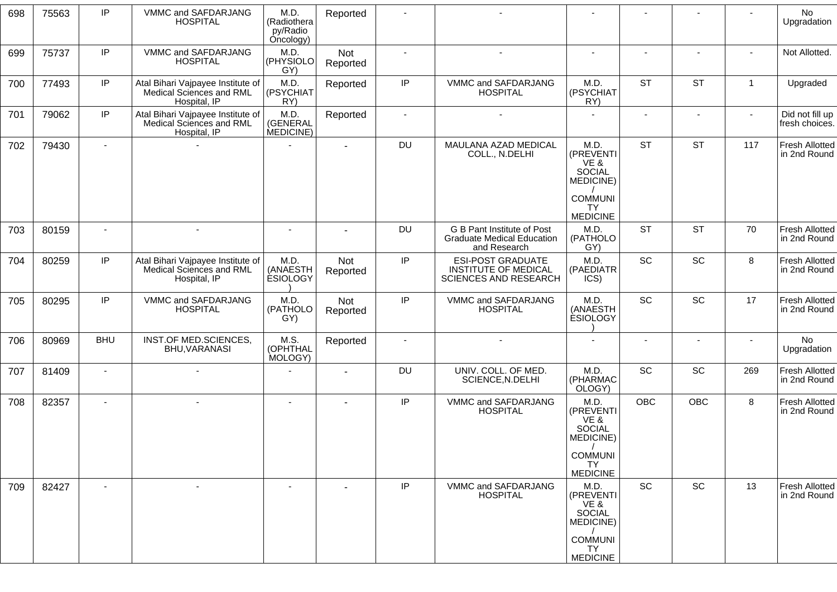| 698 | 75563 | IP             | VMMC and SAFDARJANG<br><b>HOSPITAL</b>                                        | M.D.<br>(Radiothera<br>py/Radio<br>Oncology) | Reported        |                |                                                                                  |                                                         |                |                |                | No<br>Upgradation                     |
|-----|-------|----------------|-------------------------------------------------------------------------------|----------------------------------------------|-----------------|----------------|----------------------------------------------------------------------------------|---------------------------------------------------------|----------------|----------------|----------------|---------------------------------------|
| 699 | 75737 | IP             | VMMC and SAFDARJANG<br><b>HOSPITAL</b>                                        | M.D.<br>(PHYSIOLO<br>GY)                     | Not<br>Reported | $\blacksquare$ | $\sim$                                                                           | $\blacksquare$                                          |                |                |                | Not Allotted.                         |
| 700 | 77493 | IP             | Atal Bihari Vajpayee Institute of<br>Medical Sciences and RML<br>Hospital, IP | M.D.<br>(PSYCHIAT<br>RY)                     | Reported        | IP             | VMMC and SAFDARJANG<br><b>HOSPITAL</b>                                           | M.D.<br>(PSYCHIAT)<br>RY)                               | <b>ST</b>      | <b>ST</b>      | $\overline{1}$ | Upgraded                              |
| 701 | 79062 | IP             | Atal Bihari Vajpayee Institute of<br>Medical Sciences and RML<br>Hospital, IP | M.D.<br>(GENERAL<br>MEDICINE)                | Reported        | $\sim$         | $\overline{\phantom{a}}$                                                         |                                                         | $\blacksquare$ | $\blacksquare$ | $\sim$         | Did not fill up<br>fresh choices.     |
| 702 | 79430 | $\sim$         |                                                                               |                                              | $\sim$          | DU             | MAULANA AZAD MEDICAL<br>COLL., N.DELHI                                           | M.D.<br>(PREVENTI<br>VE &<br><b>SOCIAL</b><br>MEDICINE) | <b>ST</b>      | <b>ST</b>      | 117            | Fresh Allotted<br>in 2nd Round        |
|     |       |                |                                                                               |                                              |                 |                |                                                                                  | <b>COMMUNI</b><br><b>TY</b><br><b>MEDICINE</b>          |                |                |                |                                       |
| 703 | 80159 | $\blacksquare$ | $\blacksquare$                                                                | $\blacksquare$                               | $\blacksquare$  | DU             | G B Pant Institute of Post<br><b>Graduate Medical Education</b><br>and Research  | M.D.<br>(PATHOLO<br>GY)                                 | <b>ST</b>      | <b>ST</b>      | 70             | <b>Fresh Allotted</b><br>in 2nd Round |
| 704 | 80259 | IP             | Atal Bihari Vajpayee Institute of<br>Medical Sciences and RML<br>Hospital, IP | M.D.<br>(ANAESTH<br><b>ESIOLOGY</b>          | Not<br>Reported | $\sf IP$       | <b>ESI-POST GRADUATE</b><br><b>INSTITUTE OF MEDICAL</b><br>SCIENCES AND RESEARCH | M.D.<br>(PAEDIATR<br>ICS)                               | SC             | SC             | 8              | <b>Fresh Allotted</b><br>in 2nd Round |
| 705 | 80295 | IP             | VMMC and SAFDARJANG<br><b>HOSPITAL</b>                                        | M.D.<br>(PATHOLO<br>GY)                      | Not<br>Reported | IP             | VMMC and SAFDARJANG<br><b>HOSPITAL</b>                                           | M.D.<br>(ANAESTH<br><b>ESIOLOGY</b>                     | <b>SC</b>      | SC             | 17             | Fresh Allotted<br>in 2nd Round        |
| 706 | 80969 | <b>BHU</b>     | INST.OF MED.SCIENCES,<br>BHU, VARANASI                                        | M.S.<br>(OPHTHAL<br>MOLOGY)                  | Reported        |                | $\blacksquare$                                                                   |                                                         |                | $\blacksquare$ | $\blacksquare$ | No<br>Upgradation                     |
| 707 | 81409 | $\blacksquare$ | $\blacksquare$                                                                |                                              | $\sim$          | DU             | UNIV. COLL. OF MED.<br>SCIENCE, N.DELHI                                          | M.D.<br>(PHARMAC<br>OLOGY)                              | <b>SC</b>      | SC             | 269            | <b>Fresh Allotted</b><br>in 2nd Round |
| 708 | 82357 | $\sim$         | $\sim$                                                                        | $\overline{\phantom{a}}$                     | $\sim$          | IP             | VMMC and SAFDARJANG<br><b>HOSPITAL</b>                                           | M.D.<br>(PREVENTI<br>VE &<br><b>SOCIAL</b><br>MEDICINE) | <b>OBC</b>     | <b>OBC</b>     | 8              | Fresh Allotted<br>in 2nd Round        |
|     |       |                |                                                                               |                                              |                 |                |                                                                                  | <b>COMMUNI</b><br><b>TY</b><br><b>MEDICINE</b>          |                |                |                |                                       |
| 709 | 82427 | $\sim$         | $\overline{\phantom{a}}$                                                      |                                              |                 | IP             | VMMC and SAFDARJANG<br><b>HOSPITAL</b>                                           | M.D.<br>(PREVENTI<br>VE &<br><b>SOCIAL</b><br>MEDICINE) | SC             | <b>SC</b>      | 13             | <b>Fresh Allotted</b><br>in 2nd Round |
|     |       |                |                                                                               |                                              |                 |                |                                                                                  | <b>COMMUNI</b><br>TY.<br><b>MEDICINE</b>                |                |                |                |                                       |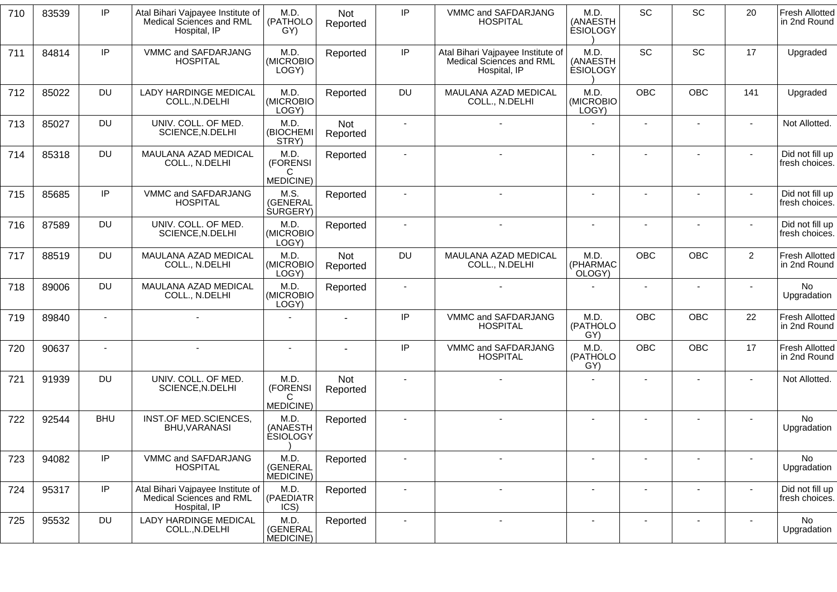| 710 | 83539 | IP             | Atal Bihari Vajpayee Institute of<br>Medical Sciences and RML<br>Hospital, IP | M.D.<br>(PATHOLO<br>GY)                    | <b>Not</b><br>Reported | IP                       | VMMC and SAFDARJANG<br><b>HOSPITAL</b>                                        | M.D.<br>(ANAESTH<br><b>ESIOLOGY</b> | SC                       | SC                       | 20             | <b>Fresh Allotted</b><br>in 2nd Round |
|-----|-------|----------------|-------------------------------------------------------------------------------|--------------------------------------------|------------------------|--------------------------|-------------------------------------------------------------------------------|-------------------------------------|--------------------------|--------------------------|----------------|---------------------------------------|
| 711 | 84814 | IP             | VMMC and SAFDARJANG<br><b>HOSPITAL</b>                                        | M.D.<br>(MICROBIO<br>LOGY)                 | Reported               | IP                       | Atal Bihari Vajpayee Institute of<br>Medical Sciences and RML<br>Hospital, IP | M.D.<br>(ANAESTH<br><b>ESIOLOGY</b> | <b>SC</b>                | SC                       | 17             | Upgraded                              |
| 712 | 85022 | <b>DU</b>      | <b>LADY HARDINGE MEDICAL</b><br>COLL., N.DELHI                                | M.D.<br>(MICROBIO<br>LOGY)                 | Reported               | <b>DU</b>                | MAULANA AZAD MEDICAL<br>COLL., N.DELHI                                        | M.D.<br>(MICROBIO<br>LOGY)          | <b>OBC</b>               | <b>OBC</b>               | 141            | Upgraded                              |
| 713 | 85027 | <b>DU</b>      | UNIV. COLL. OF MED.<br>SCIENCE, N.DELHI                                       | M.D.<br>(BIOCHEMI<br>STRY)                 | Not<br>Reported        | $\blacksquare$           |                                                                               |                                     |                          |                          |                | Not Allotted.                         |
| 714 | 85318 | <b>DU</b>      | MAULANA AZAD MEDICAL<br>COLL., N.DELHI                                        | M.D.<br>(FORENSI<br>C<br>MEDICINE)         | Reported               | $\sim$                   |                                                                               |                                     |                          |                          |                | Did not fill up<br>fresh choices.     |
| 715 | 85685 | IP             | VMMC and SAFDARJANG<br><b>HOSPITAL</b>                                        | M.S.<br>(GENERAL<br><b>SURGERY</b> )       | Reported               | $\sim$                   | $\sim$                                                                        | $\sim$                              |                          |                          |                | Did not fill up<br>fresh choices.     |
| 716 | 87589 | <b>DU</b>      | UNIV. COLL. OF MED.<br>SCIENCE, N.DELHI                                       | M.D.<br>(MICROBIO<br>LOGY)                 | Reported               | $\blacksquare$           |                                                                               | $\blacksquare$                      |                          |                          |                | Did not fill up<br>fresh choices.     |
| 717 | 88519 | <b>DU</b>      | MAULANA AZAD MEDICAL<br>COLL., N.DELHI                                        | M.D.<br>(MICROBIO<br>LOGY)                 | Not<br>Reported        | <b>DU</b>                | MAULANA AZAD MEDICAL<br>COLL., N.DELHI                                        | M.D.<br>(PHARMAC<br>OLOGY)          | OBC                      | OBC                      | $\overline{2}$ | <b>Fresh Allotted</b><br>in 2nd Round |
| 718 | 89006 | <b>DU</b>      | MAULANA AZAD MEDICAL<br>COLL., N.DELHI                                        | M.D.<br>(MICROBIO<br>LOGY)                 | Reported               | $\blacksquare$           |                                                                               |                                     | $\sim$                   | $\overline{\phantom{a}}$ |                | No<br>Upgradation                     |
| 719 | 89840 | $\blacksquare$ |                                                                               | $\sim$                                     |                        | IP                       | VMMC and SAFDARJANG<br><b>HOSPITAL</b>                                        | M.D.<br>(PATHOLO<br>GY)             | OBC                      | <b>OBC</b>               | 22             | <b>Fresh Allotted</b><br>in 2nd Round |
| 720 | 90637 | $\sim$         | $\blacksquare$                                                                | $\blacksquare$                             |                        | IP                       | VMMC and SAFDARJANG<br><b>HOSPITAL</b>                                        | M.D.<br>(PATHOLO<br>GY)             | <b>OBC</b>               | <b>OBC</b>               | 17             | <b>Fresh Allotted</b><br>in 2nd Round |
| 721 | 91939 | <b>DU</b>      | UNIV. COLL. OF MED.<br>SCIENCE, N.DELHI                                       | M.D.<br>(FORENSI<br>C<br><b>MEDICINE</b> ) | Not<br>Reported        | $\blacksquare$           |                                                                               |                                     |                          |                          |                | Not Allotted.                         |
| 722 | 92544 | <b>BHU</b>     | INST.OF MED.SCIENCES,<br>BHU, VARANASI                                        | M.D.<br>(ANAESTH<br><b>ESIOLOGY</b>        | Reported               | $\sim$                   |                                                                               | $\sim$                              | $\blacksquare$           | $\overline{\phantom{a}}$ |                | <b>No</b><br>Upgradation              |
| 723 | 94082 | IP             | VMMC and SAFDARJANG<br><b>HOSPITAL</b>                                        | M.D.<br>(GENERAL<br>MEDICINE)              | Reported               | $\overline{\phantom{a}}$ |                                                                               |                                     |                          | $\overline{\phantom{a}}$ |                | No<br>Upgradation                     |
| 724 | 95317 | IP             | Atal Bihari Vajpayee Institute of<br>Medical Sciences and RML<br>Hospital, IP | M.D.<br>(PAEDIATR<br>ICS)                  | Reported               | $\blacksquare$           | $\blacksquare$                                                                |                                     |                          | $\overline{\phantom{a}}$ |                | Did not fill up<br>fresh choices.     |
| 725 | 95532 | <b>DU</b>      | LADY HARDINGE MEDICAL<br>COLL., N.DELHI                                       | M.D.<br>(GENERAL<br>MEDICINE)              | Reported               | $\overline{\phantom{a}}$ | $\overline{\phantom{a}}$                                                      | $\overline{\phantom{a}}$            | $\overline{\phantom{a}}$ | $\overline{\phantom{a}}$ |                | No<br>Upgradation                     |